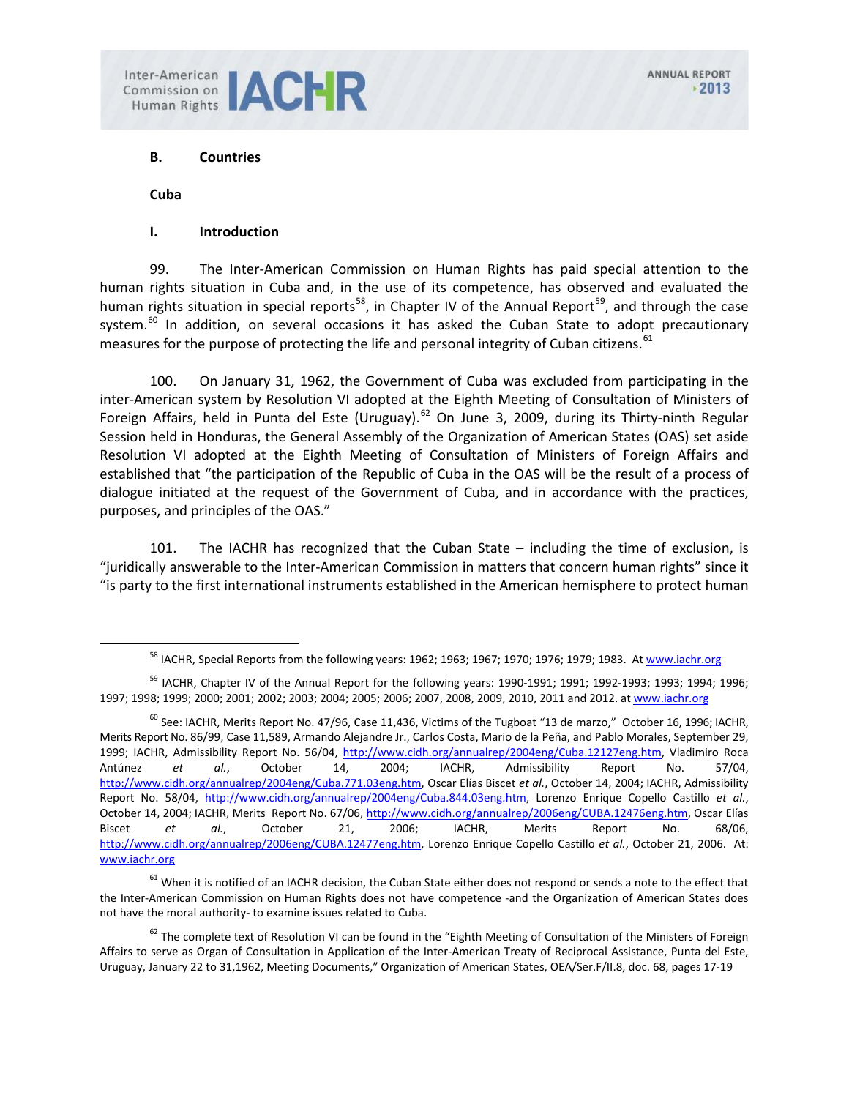Commission on **JACHR** 

# **B. Countries**

**Cuba**

#### **I. Introduction**

99. The Inter-American Commission on Human Rights has paid special attention to the human rights situation in Cuba and, in the use of its competence, has observed and evaluated the human rights situation in special reports<sup>58</sup>, in Chapter IV of the Annual Report<sup>59</sup>, and through the case system.<sup>[60](#page-0-2)</sup> In addition, on several occasions it has asked the Cuban State to adopt precautionary measures for the purpose of protecting the life and personal integrity of Cuban citizens.<sup>[61](#page-0-3)</sup>

100. On January 31, 1962, the Government of Cuba was excluded from participating in the inter-American system by Resolution VI adopted at the Eighth Meeting of Consultation of Ministers of Foreign Affairs, held in Punta del Este (Uruguay).<sup>[62](#page-0-4)</sup> On June 3, 2009, during its Thirty-ninth Regular Session held in Honduras, the General Assembly of the Organization of American States (OAS) set aside Resolution VI adopted at the Eighth Meeting of Consultation of Ministers of Foreign Affairs and established that "the participation of the Republic of Cuba in the OAS will be the result of a process of dialogue initiated at the request of the Government of Cuba, and in accordance with the practices, purposes, and principles of the OAS."

101. The IACHR has recognized that the Cuban State – including the time of exclusion, is "juridically answerable to the Inter-American Commission in matters that concern human rights" since it "is party to the first international instruments established in the American hemisphere to protect human

<sup>&</sup>lt;sup>58</sup> IACHR, Special Reports from the following years: 1962; 1963; 1967; 1970; 1976; 1979; 1983. A[t www.iachr.org](http://www.iachr.org/)

<span id="page-0-1"></span><span id="page-0-0"></span> $59$  IACHR, Chapter IV of the Annual Report for the following years: 1990-1991; 1991; 1992-1993; 1993; 1994; 1996; 1997; 1998; 1999; 2000; 2001; 2002; 2003; 2004; 2005; 2006; 2007, 2008, 2009, 2010, 2011 and 2012. a[t www.iachr.org](http://www.iachr.org/)

<span id="page-0-2"></span> $^{60}$  See: IACHR, Merits Report No. 47/96, Case 11,436, Victims of the Tugboat "13 de marzo," October 16, 1996; IACHR, Merits Report No. 86/99, Case 11,589, Armando Alejandre Jr., Carlos Costa, Mario de la Peña, and Pablo Morales, September 29, 1999; IACHR, Admissibility Report No. 56/04, [http://www.cidh.org/annualrep/2004eng/Cuba.12127eng.htm,](http://www.cidh.org/annualrep/2004eng/Cuba.12127eng.htm) Vladimiro Roca Antúnez *et al.*, October 14, 2004; IACHR, Admissibility Report No. 57/04, [http://www.cidh.org/annualrep/2004eng/Cuba.771.03eng.htm,](http://www.cidh.org/annualrep/2004eng/Cuba.771.03eng.htm) Oscar Elías Biscet *et al.*, October 14, 2004; IACHR, Admissibility Report No. 58/04, [http://www.cidh.org/annualrep/2004eng/Cuba.844.03eng.htm,](http://www.cidh.org/annualrep/2004eng/Cuba.844.03eng.htm) Lorenzo Enrique Copello Castillo *et al.*, October 14, 2004; IACHR, Merits Report No. 67/06[, http://www.cidh.org/annualrep/2006eng/CUBA.12476eng.htm,](http://www.cidh.org/annualrep/2006eng/CUBA.12476eng.htm) Oscar Elías Biscet *et al.*, October 21, 2006; IACHR, Merits Report No. 68/06, [http://www.cidh.org/annualrep/2006eng/CUBA.12477eng.htm,](http://www.cidh.org/annualrep/2006eng/CUBA.12477eng.htm) Lorenzo Enrique Copello Castillo *et al.*, October 21, 2006. At: [www.iachr.org](http://www.iachr.org/)

<span id="page-0-3"></span><sup>&</sup>lt;sup>61</sup> When it is notified of an IACHR decision, the Cuban State either does not respond or sends a note to the effect that the Inter-American Commission on Human Rights does not have competence -and the Organization of American States does not have the moral authority- to examine issues related to Cuba.

<span id="page-0-4"></span> $62$  The complete text of Resolution VI can be found in the "Eighth Meeting of Consultation of the Ministers of Foreign Affairs to serve as Organ of Consultation in Application of the Inter-American Treaty of Reciprocal Assistance, Punta del Este, Uruguay, January 22 to 31,1962, Meeting Documents," Organization of American States, OEA/Ser.F/II.8, doc. 68, pages 17-19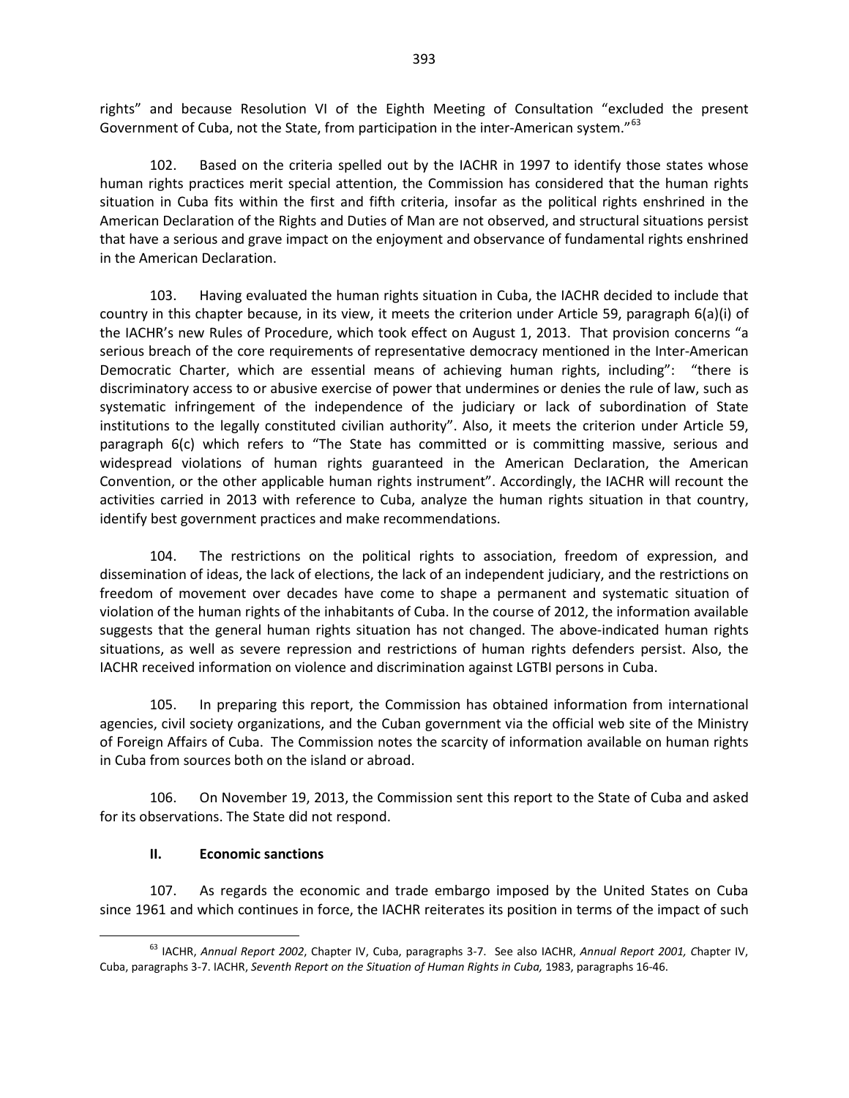rights" and because Resolution VI of the Eighth Meeting of Consultation "excluded the present Government of Cuba, not the State, from participation in the inter-American system."<sup>[63](#page-1-0)</sup>

102. Based on the criteria spelled out by the IACHR in 1997 to identify those states whose human rights practices merit special attention, the Commission has considered that the human rights situation in Cuba fits within the first and fifth criteria, insofar as the political rights enshrined in the American Declaration of the Rights and Duties of Man are not observed, and structural situations persist that have a serious and grave impact on the enjoyment and observance of fundamental rights enshrined in the American Declaration.

103. Having evaluated the human rights situation in Cuba, the IACHR decided to include that country in this chapter because, in its view, it meets the criterion under Article 59, paragraph 6(a)(i) of the IACHR's new Rules of Procedure, which took effect on August 1, 2013. That provision concerns "a serious breach of the core requirements of representative democracy mentioned in the Inter-American Democratic Charter, which are essential means of achieving human rights, including": "there is discriminatory access to or abusive exercise of power that undermines or denies the rule of law, such as systematic infringement of the independence of the judiciary or lack of subordination of State institutions to the legally constituted civilian authority". Also, it meets the criterion under Article 59, paragraph 6(c) which refers to "The State has committed or is committing massive, serious and widespread violations of human rights guaranteed in the American Declaration, the American Convention, or the other applicable human rights instrument". Accordingly, the IACHR will recount the activities carried in 2013 with reference to Cuba, analyze the human rights situation in that country, identify best government practices and make recommendations.

104. The restrictions on the political rights to association, freedom of expression, and dissemination of ideas, the lack of elections, the lack of an independent judiciary, and the restrictions on freedom of movement over decades have come to shape a permanent and systematic situation of violation of the human rights of the inhabitants of Cuba. In the course of 2012, the information available suggests that the general human rights situation has not changed. The above-indicated human rights situations, as well as severe repression and restrictions of human rights defenders persist. Also, the IACHR received information on violence and discrimination against LGTBI persons in Cuba.

105. In preparing this report, the Commission has obtained information from international agencies, civil society organizations, and the Cuban government via the official web site of the Ministry of Foreign Affairs of Cuba. The Commission notes the scarcity of information available on human rights in Cuba from sources both on the island or abroad.

106. On November 19, 2013, the Commission sent this report to the State of Cuba and asked for its observations. The State did not respond.

#### **II. Economic sanctions**

107. As regards the economic and trade embargo imposed by the United States on Cuba since 1961 and which continues in force, the IACHR reiterates its position in terms of the impact of such

<span id="page-1-0"></span><sup>63</sup> IACHR, *Annual Report 2002*, Chapter IV, Cuba, paragraphs 3-7. See also IACHR, *Annual Report 2001, C*hapter IV, Cuba, paragraphs 3-7. IACHR, *Seventh Report on the Situation of Human Rights in Cuba,* 1983, paragraphs 16-46.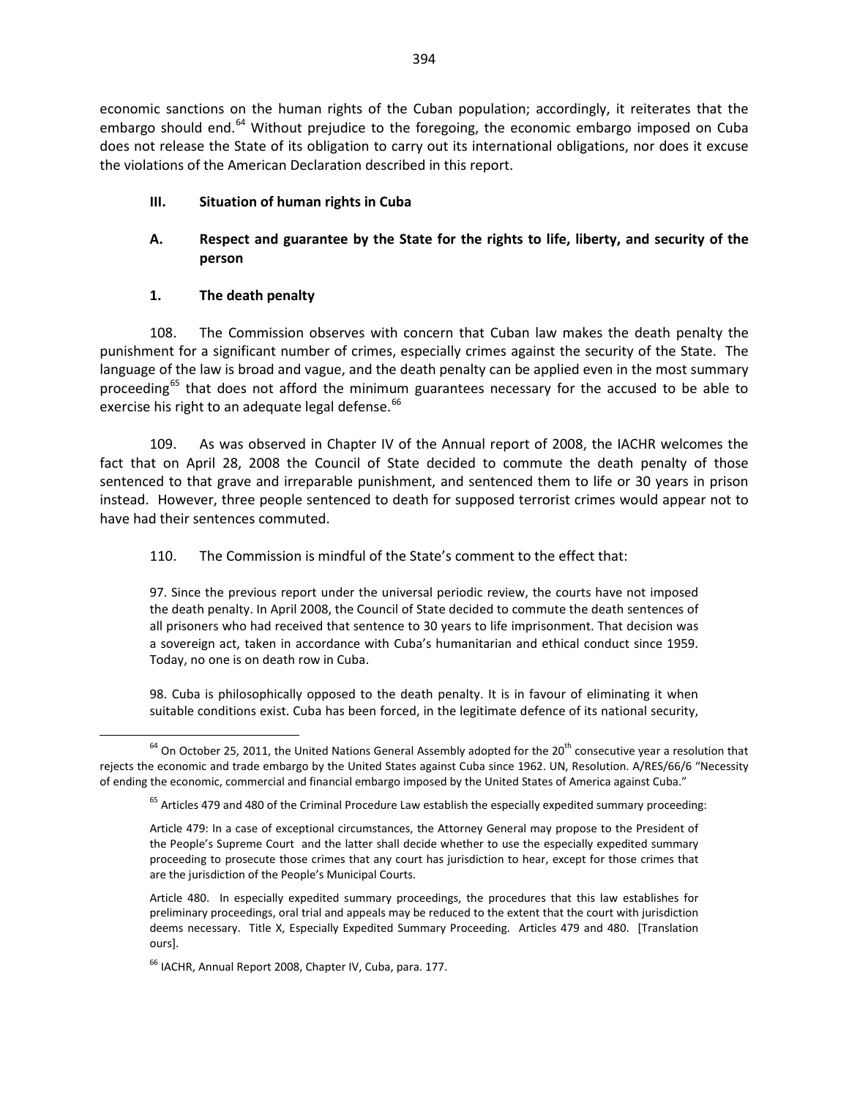economic sanctions on the human rights of the Cuban population; accordingly, it reiterates that the embargo should end.<sup>[64](#page-2-0)</sup> Without prejudice to the foregoing, the economic embargo imposed on Cuba does not release the State of its obligation to carry out its international obligations, nor does it excuse the violations of the American Declaration described in this report.

# **III. Situation of human rights in Cuba**

# **A. Respect and guarantee by the State for the rights to life, liberty, and security of the person**

# **1. The death penalty**

108. The Commission observes with concern that Cuban law makes the death penalty the punishment for a significant number of crimes, especially crimes against the security of the State. The language of the law is broad and vague, and the death penalty can be applied even in the most summary proceeding<sup>[65](#page-2-1)</sup> that does not afford the minimum guarantees necessary for the accused to be able to exercise his right to an adequate legal defense.<sup>[66](#page-2-2)</sup>

109. As was observed in Chapter IV of the Annual report of 2008, the IACHR welcomes the fact that on April 28, 2008 the Council of State decided to commute the death penalty of those sentenced to that grave and irreparable punishment, and sentenced them to life or 30 years in prison instead. However, three people sentenced to death for supposed terrorist crimes would appear not to have had their sentences commuted.

# 110. The Commission is mindful of the State's comment to the effect that:

97. Since the previous report under the universal periodic review, the courts have not imposed the death penalty. In April 2008, the Council of State decided to commute the death sentences of all prisoners who had received that sentence to 30 years to life imprisonment. That decision was a sovereign act, taken in accordance with Cuba's humanitarian and ethical conduct since 1959. Today, no one is on death row in Cuba.

98. Cuba is philosophically opposed to the death penalty. It is in favour of eliminating it when suitable conditions exist. Cuba has been forced, in the legitimate defence of its national security,

<span id="page-2-1"></span><span id="page-2-0"></span> $64$  On October 25, 2011, the United Nations General Assembly adopted for the 20<sup>th</sup> consecutive year a resolution that rejects the economic and trade embargo by the United States against Cuba since 1962. UN, Resolution. A/RES/66/6 "Necessity of ending the economic, commercial and financial embargo imposed by the United States of America against Cuba."

<sup>&</sup>lt;sup>65</sup> Articles 479 and 480 of the Criminal Procedure Law establish the especially expedited summary proceeding:

Article 479: In a case of exceptional circumstances, the Attorney General may propose to the President of the People's Supreme Court and the latter shall decide whether to use the especially expedited summary proceeding to prosecute those crimes that any court has jurisdiction to hear, except for those crimes that are the jurisdiction of the People's Municipal Courts.

Article 480. In especially expedited summary proceedings, the procedures that this law establishes for preliminary proceedings, oral trial and appeals may be reduced to the extent that the court with jurisdiction deems necessary. Title X, Especially Expedited Summary Proceeding. Articles 479 and 480. [Translation ours].

<span id="page-2-2"></span><sup>&</sup>lt;sup>66</sup> IACHR, Annual Report 2008, Chapter IV, Cuba, para. 177.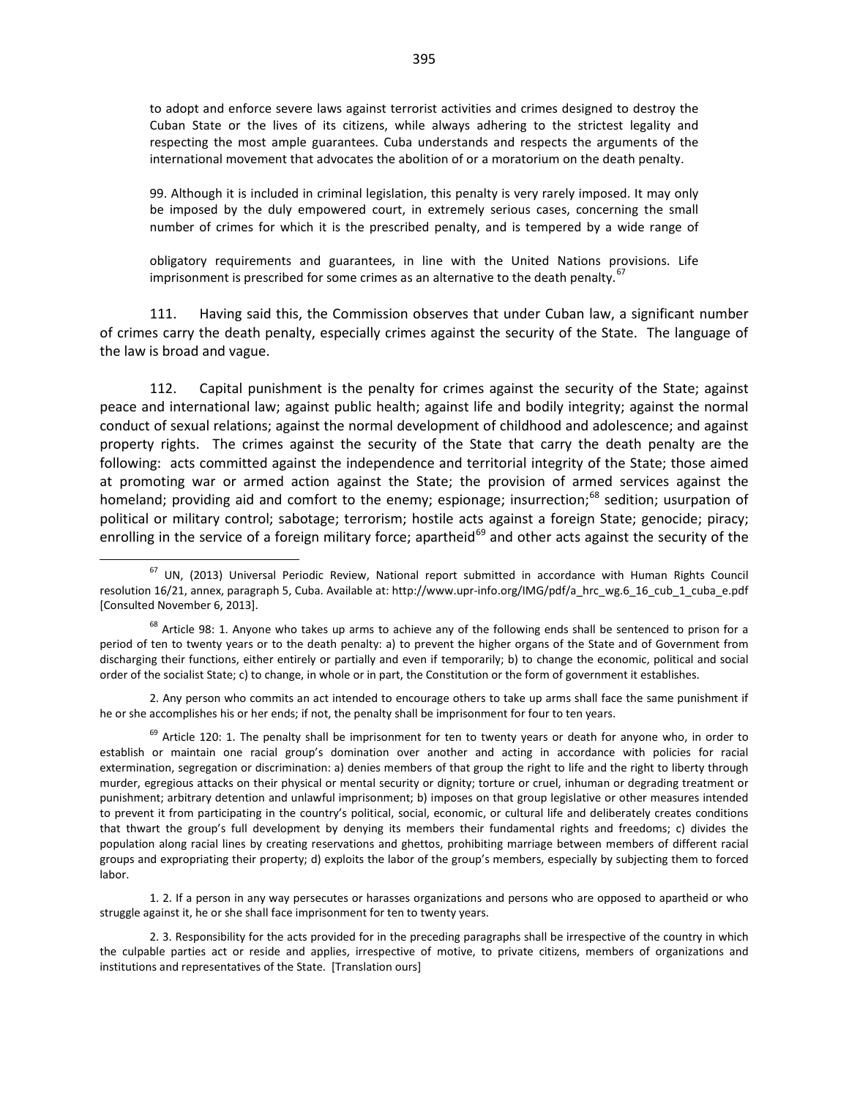to adopt and enforce severe laws against terrorist activities and crimes designed to destroy the Cuban State or the lives of its citizens, while always adhering to the strictest legality and respecting the most ample guarantees. Cuba understands and respects the arguments of the international movement that advocates the abolition of or a moratorium on the death penalty.

99. Although it is included in criminal legislation, this penalty is very rarely imposed. It may only be imposed by the duly empowered court, in extremely serious cases, concerning the small number of crimes for which it is the prescribed penalty, and is tempered by a wide range of

obligatory requirements and guarantees, in line with the United Nations provisions. Life imprisonment is prescribed for some crimes as an alternative to the death penalty.  $67$ 

111. Having said this, the Commission observes that under Cuban law, a significant number of crimes carry the death penalty, especially crimes against the security of the State. The language of the law is broad and vague.

112. Capital punishment is the penalty for crimes against the security of the State; against peace and international law; against public health; against life and bodily integrity; against the normal conduct of sexual relations; against the normal development of childhood and adolescence; and against property rights. The crimes against the security of the State that carry the death penalty are the following: acts committed against the independence and territorial integrity of the State; those aimed at promoting war or armed action against the State; the provision of armed services against the homeland; providing aid and comfort to the enemy; espionage; insurrection;<sup>[68](#page-3-1)</sup> sedition; usurpation of political or military control; sabotage; terrorism; hostile acts against a foreign State; genocide; piracy; enrolling in the service of a foreign military force; apartheid<sup>[69](#page-3-2)</sup> and other acts against the security of the

2. Any person who commits an act intended to encourage others to take up arms shall face the same punishment if he or she accomplishes his or her ends; if not, the penalty shall be imprisonment for four to ten years.

<span id="page-3-2"></span> $69$  Article 120: 1. The penalty shall be imprisonment for ten to twenty years or death for anyone who, in order to establish or maintain one racial group's domination over another and acting in accordance with policies for racial extermination, segregation or discrimination: a) denies members of that group the right to life and the right to liberty through murder, egregious attacks on their physical or mental security or dignity; torture or cruel, inhuman or degrading treatment or punishment; arbitrary detention and unlawful imprisonment; b) imposes on that group legislative or other measures intended to prevent it from participating in the country's political, social, economic, or cultural life and deliberately creates conditions that thwart the group's full development by denying its members their fundamental rights and freedoms; c) divides the population along racial lines by creating reservations and ghettos, prohibiting marriage between members of different racial groups and expropriating their property; d) exploits the labor of the group's members, especially by subjecting them to forced labor.

1. 2. If a person in any way persecutes or harasses organizations and persons who are opposed to apartheid or who struggle against it, he or she shall face imprisonment for ten to twenty years.

2. 3. Responsibility for the acts provided for in the preceding paragraphs shall be irrespective of the country in which the culpable parties act or reside and applies, irrespective of motive, to private citizens, members of organizations and institutions and representatives of the State. [Translation ours]

<span id="page-3-0"></span> $67$  UN, (2013) Universal Periodic Review, National report submitted in accordance with Human Rights Council resolution 16/21, annex, paragraph 5, Cuba. Available at: http://www.upr-info.org/IMG/pdf/a\_hrc\_wg.6\_16\_cub\_1\_cuba\_e.pdf [Consulted November 6, 2013].

<span id="page-3-1"></span> $68$  Article 98: 1. Anyone who takes up arms to achieve any of the following ends shall be sentenced to prison for a period of ten to twenty years or to the death penalty: a) to prevent the higher organs of the State and of Government from discharging their functions, either entirely or partially and even if temporarily; b) to change the economic, political and social order of the socialist State; c) to change, in whole or in part, the Constitution or the form of government it establishes.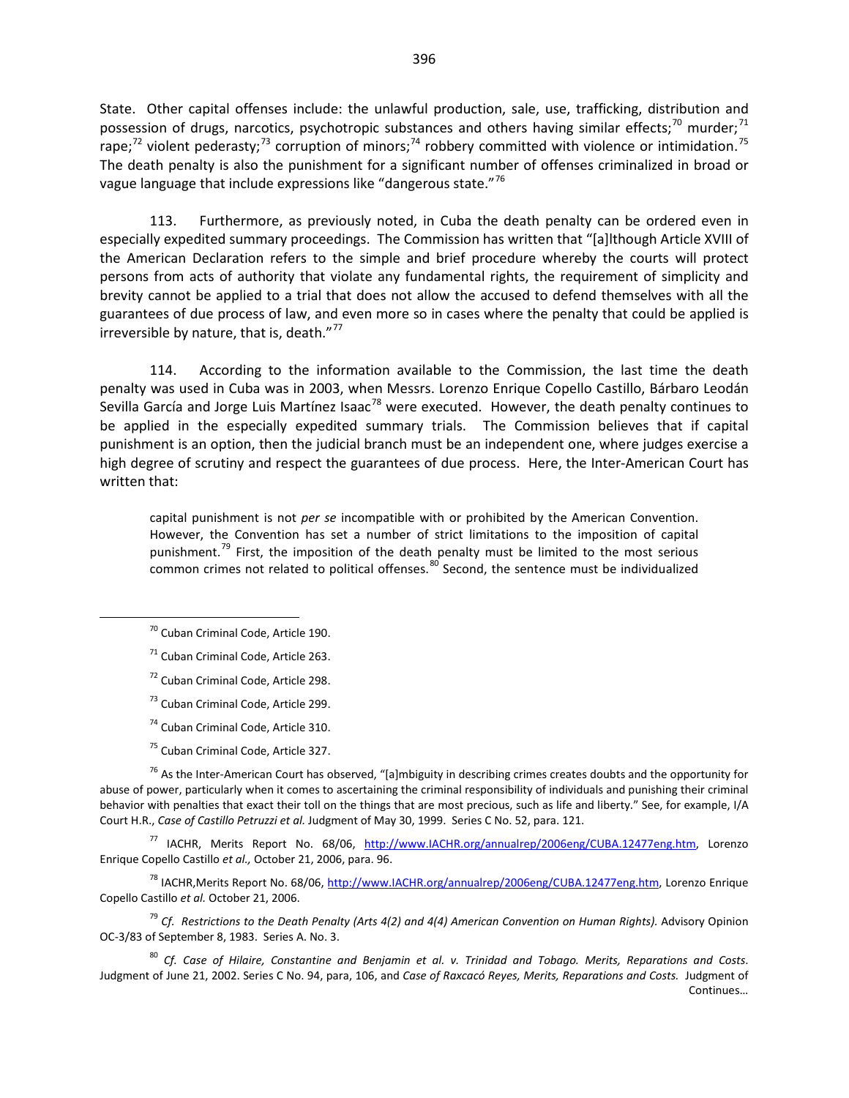State. Other capital offenses include: the unlawful production, sale, use, trafficking, distribution and possession of drugs, narcotics, psychotropic substances and others having similar effects;<sup>[70](#page-4-0)</sup> murder;<sup>[71](#page-4-1)</sup> rape;<sup>[72](#page-4-2)</sup> violent pederasty;<sup>[73](#page-4-3)</sup> corruption of minors;<sup>[74](#page-4-4)</sup> robbery committed with violence or intimidation.<sup>[75](#page-4-5)</sup> The death penalty is also the punishment for a significant number of offenses criminalized in broad or vague language that include expressions like "dangerous state." $76$ 

113. Furthermore, as previously noted, in Cuba the death penalty can be ordered even in especially expedited summary proceedings. The Commission has written that "[a]lthough Article XVIII of the American Declaration refers to the simple and brief procedure whereby the courts will protect persons from acts of authority that violate any fundamental rights, the requirement of simplicity and brevity cannot be applied to a trial that does not allow the accused to defend themselves with all the guarantees of due process of law, and even more so in cases where the penalty that could be applied is irreversible by nature, that is, death. $"^{77}$  $"^{77}$  $"^{77}$ 

114. According to the information available to the Commission, the last time the death penalty was used in Cuba was in 2003, when Messrs. Lorenzo Enrique Copello Castillo, Bárbaro Leodán Sevilla García and Jorge Luis Martínez Isaac<sup>[78](#page-4-8)</sup> were executed. However, the death penalty continues to be applied in the especially expedited summary trials. The Commission believes that if capital punishment is an option, then the judicial branch must be an independent one, where judges exercise a high degree of scrutiny and respect the guarantees of due process. Here, the Inter-American Court has written that:

capital punishment is not *per se* incompatible with or prohibited by the American Convention. However, the Convention has set a number of strict limitations to the imposition of capital punishment.<sup>[79](#page-4-9)</sup> First, the imposition of the death penalty must be limited to the most serious common crimes not related to political offenses. $80^\circ$  $80^\circ$  Second, the sentence must be individualized

- <sup>73</sup> Cuban Criminal Code, Article 299.
- <sup>74</sup> Cuban Criminal Code, Article 310.
- <sup>75</sup> Cuban Criminal Code, Article 327.

<span id="page-4-6"></span><span id="page-4-5"></span><span id="page-4-4"></span><span id="page-4-3"></span><span id="page-4-2"></span> $^{76}$  As the Inter-American Court has observed, "[a]mbiguity in describing crimes creates doubts and the opportunity for abuse of power, particularly when it comes to ascertaining the criminal responsibility of individuals and punishing their criminal behavior with penalties that exact their toll on the things that are most precious, such as life and liberty." See, for example, I/A Court H.R., *Case of Castillo Petruzzi et al.* Judgment of May 30, 1999. Series C No. 52, para. 121.

<span id="page-4-7"></span><sup>77</sup> IACHR, Merits Report No. 68/06, [http://www.IACHR.org/annualrep/2006eng/CUBA.12477eng.htm,](http://www.cidh.org/annualrep/2006eng/CUBA.12477eng.htm) Lorenzo Enrique Copello Castillo *et al.,* October 21, 2006, para. 96.

<span id="page-4-8"></span><sup>78</sup> IACHR,Merits Report No. 68/06, [http://www.IACHR.org/annualrep/2006eng/CUBA.12477eng.htm,](http://www.cidh.org/annualrep/2006eng/CUBA.12477eng.htm) Lorenzo Enrique Copello Castillo *et al.* October 21, 2006.

<span id="page-4-9"></span><sup>79</sup> Cf. Restrictions to the Death Penalty (Arts 4(2) and 4(4) American Convention on Human Rights). Advisory Opinion OC-3/83 of September 8, 1983. Series A. No. 3.

<span id="page-4-10"></span><sup>80</sup> *Cf. Case of Hilaire, Constantine and Benjamin et al. v. Trinidad and Tobago. Merits, Reparations and Costs*. Judgment of June 21, 2002. Series C No. 94, para, 106, and *Case of Raxcacó Reyes, Merits, Reparations and Costs.* Judgment of Continues…

<span id="page-4-0"></span><sup>70</sup> Cuban Criminal Code, Article 190.

<span id="page-4-1"></span><sup>71</sup> Cuban Criminal Code, Article 263.

<sup>72</sup> Cuban Criminal Code, Article 298.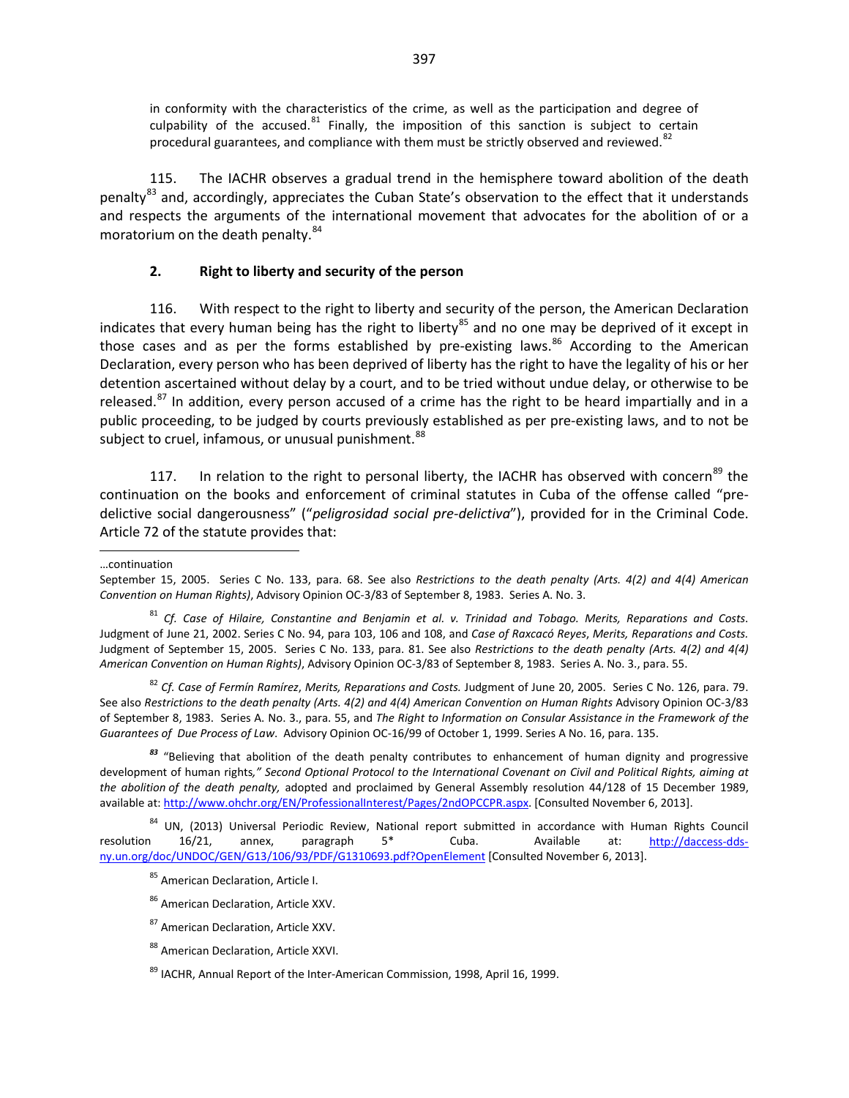in conformity with the characteristics of the crime, as well as the participation and degree of culpability of the accused.<sup>[81](#page-5-0)</sup> Finally, the imposition of this sanction is subject to certain procedural guarantees, and compliance with them must be strictly observed and reviewed.<sup>[82](#page-5-1)</sup>

115. The IACHR observes a gradual trend in the hemisphere toward abolition of the death penalty<sup>[83](#page-5-2)</sup> and, accordingly, appreciates the Cuban State's observation to the effect that it understands and respects the arguments of the international movement that advocates for the abolition of or a moratorium on the death penalty.<sup>[84](#page-5-3)</sup>

#### **2. Right to liberty and security of the person**

116. With respect to the right to liberty and security of the person, the American Declaration indicates that every human being has the right to liberty<sup>[85](#page-5-4)</sup> and no one may be deprived of it except in those cases and as per the forms established by pre-existing laws. $86$  According to the American Declaration, every person who has been deprived of liberty has the right to have the legality of his or her detention ascertained without delay by a court, and to be tried without undue delay, or otherwise to be released.<sup>[87](#page-5-6)</sup> In addition, every person accused of a crime has the right to be heard impartially and in a public proceeding, to be judged by courts previously established as per pre-existing laws, and to not be subject to cruel, infamous, or unusual punishment.<sup>[88](#page-5-7)</sup>

117. In relation to the right to personal liberty, the IACHR has observed with concern<sup>[89](#page-5-8)</sup> the continuation on the books and enforcement of criminal statutes in Cuba of the offense called "predelictive social dangerousness" ("*peligrosidad social pre-delictiva*"), provided for in the Criminal Code. Article 72 of the statute provides that:

 $\overline{a}$ 

<span id="page-5-1"></span><sup>82</sup> *Cf. Case of Fermín Ramírez*, *Merits, Reparations and Costs.* Judgment of June 20, 2005. Series C No. 126, para. 79. See also *Restrictions to the death penalty (Arts. 4(2) and 4(4) American Convention on Human Rights Advisory Opinion OC-3/83* of September 8, 1983. Series A. No. 3., para. 55, and *The Right to Information on Consular Assistance in the Framework of the Guarantees of Due Process of Law*. Advisory Opinion OC-16/99 of October 1, 1999. Series A No. 16, para. 135.

<span id="page-5-2"></span>*<sup>83</sup>* "Believing that abolition of the death penalty contributes to enhancement of human dignity and progressive development of human rights*," Second Optional Protocol to the International Covenant on Civil and Political Rights, aiming at the abolition of the death penalty,* adopted and proclaimed by General Assembly resolution 44/128 of 15 December 1989, available at: [http://www.ohchr.org/EN/ProfessionalInterest/Pages/2ndOPCCPR.aspx.](http://www.ohchr.org/EN/ProfessionalInterest/Pages/2ndOPCCPR.aspx) [Consulted November 6, 2013].

<span id="page-5-6"></span><span id="page-5-5"></span><span id="page-5-4"></span><span id="page-5-3"></span><sup>84</sup> UN, (2013) Universal Periodic Review, National report submitted in accordance with Human Rights Council resolution 16/21, annex, paragraph 5\* Cuba. Available at: [http://daccess-dds](http://daccess-dds-ny.un.org/doc/UNDOC/GEN/G13/106/93/PDF/G1310693.pdf?OpenElement)[ny.un.org/doc/UNDOC/GEN/G13/106/93/PDF/G1310693.pdf?OpenElement](http://daccess-dds-ny.un.org/doc/UNDOC/GEN/G13/106/93/PDF/G1310693.pdf?OpenElement) [Consulted November 6, 2013].

<sup>…</sup>continuation

September 15, 2005. Series C No. 133, para. 68. See also *Restrictions to the death penalty (Arts. 4(2) and 4(4) American Convention on Human Rights)*, Advisory Opinion OC-3/83 of September 8, 1983. Series A. No. 3.

<span id="page-5-0"></span><sup>81</sup> *Cf. Case of Hilaire, Constantine and Benjamin et al. v. Trinidad and Tobago. Merits, Reparations and Costs*. Judgment of June 21, 2002. Series C No. 94, para 103, 106 and 108, and *Case of Raxcacó Reyes*, *Merits, Reparations and Costs.*  Judgment of September 15, 2005. Series C No. 133, para. 81. See also *Restrictions to the death penalty (Arts. 4(2) and 4(4) American Convention on Human Rights)*, Advisory Opinion OC-3/83 of September 8, 1983. Series A. No. 3., para. 55.

<sup>85</sup> American Declaration, Article I.

<sup>86</sup> American Declaration, Article XXV.

<sup>87</sup> American Declaration, Article XXV.

<span id="page-5-7"></span><sup>88</sup> American Declaration, Article XXVI.

<span id="page-5-8"></span><sup>&</sup>lt;sup>89</sup> IACHR, Annual Report of the Inter-American Commission, 1998, April 16, 1999.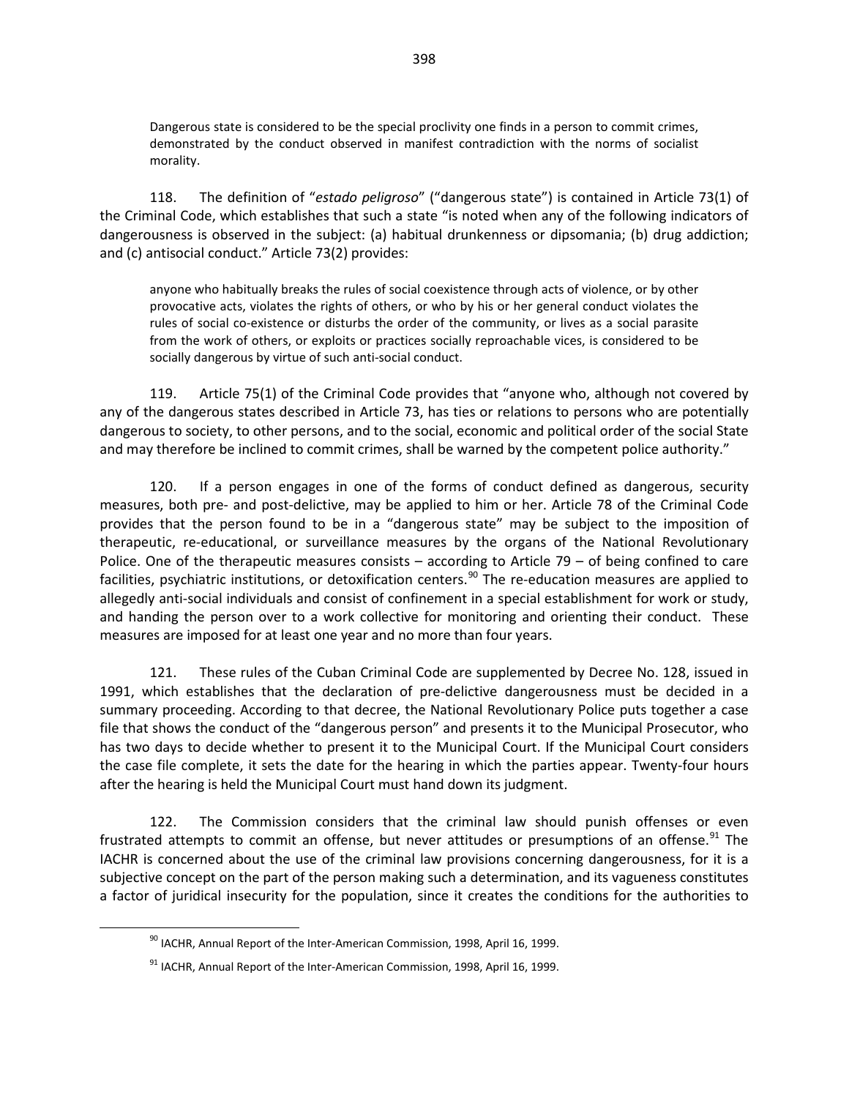Dangerous state is considered to be the special proclivity one finds in a person to commit crimes, demonstrated by the conduct observed in manifest contradiction with the norms of socialist morality.

118. The definition of "*estado peligroso*" ("dangerous state") is contained in Article 73(1) of the Criminal Code, which establishes that such a state "is noted when any of the following indicators of dangerousness is observed in the subject: (a) habitual drunkenness or dipsomania; (b) drug addiction; and (c) antisocial conduct." Article 73(2) provides:

anyone who habitually breaks the rules of social coexistence through acts of violence, or by other provocative acts, violates the rights of others, or who by his or her general conduct violates the rules of social co-existence or disturbs the order of the community, or lives as a social parasite from the work of others, or exploits or practices socially reproachable vices, is considered to be socially dangerous by virtue of such anti-social conduct.

119. Article 75(1) of the Criminal Code provides that "anyone who, although not covered by any of the dangerous states described in Article 73, has ties or relations to persons who are potentially dangerous to society, to other persons, and to the social, economic and political order of the social State and may therefore be inclined to commit crimes, shall be warned by the competent police authority."

120. If a person engages in one of the forms of conduct defined as dangerous, security measures, both pre- and post-delictive, may be applied to him or her. Article 78 of the Criminal Code provides that the person found to be in a "dangerous state" may be subject to the imposition of therapeutic, re-educational, or surveillance measures by the organs of the National Revolutionary Police. One of the therapeutic measures consists – according to Article  $79 -$  of being confined to care facilities, psychiatric institutions, or detoxification centers.<sup>[90](#page-6-0)</sup> The re-education measures are applied to allegedly anti-social individuals and consist of confinement in a special establishment for work or study, and handing the person over to a work collective for monitoring and orienting their conduct. These measures are imposed for at least one year and no more than four years.

121. These rules of the Cuban Criminal Code are supplemented by Decree No. 128, issued in 1991, which establishes that the declaration of pre-delictive dangerousness must be decided in a summary proceeding. According to that decree, the National Revolutionary Police puts together a case file that shows the conduct of the "dangerous person" and presents it to the Municipal Prosecutor, who has two days to decide whether to present it to the Municipal Court. If the Municipal Court considers the case file complete, it sets the date for the hearing in which the parties appear. Twenty-four hours after the hearing is held the Municipal Court must hand down its judgment.

122. The Commission considers that the criminal law should punish offenses or even frustrated attempts to commit an offense, but never attitudes or presumptions of an offense.<sup>[91](#page-6-1)</sup> The IACHR is concerned about the use of the criminal law provisions concerning dangerousness, for it is a subjective concept on the part of the person making such a determination, and its vagueness constitutes a factor of juridical insecurity for the population, since it creates the conditions for the authorities to

<span id="page-6-0"></span> $90$  IACHR, Annual Report of the Inter-American Commission, 1998, April 16, 1999.

<span id="page-6-1"></span> $91$  IACHR, Annual Report of the Inter-American Commission, 1998, April 16, 1999.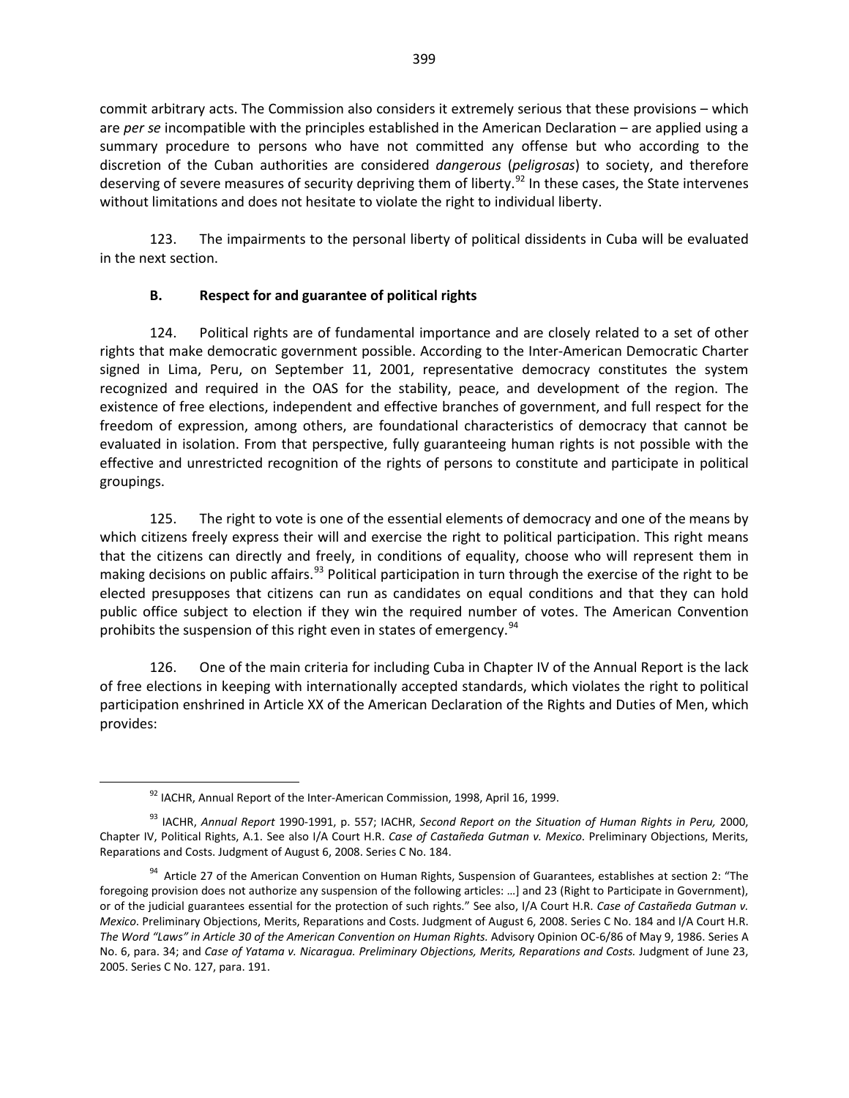commit arbitrary acts. The Commission also considers it extremely serious that these provisions – which are *per se* incompatible with the principles established in the American Declaration – are applied using a summary procedure to persons who have not committed any offense but who according to the discretion of the Cuban authorities are considered *dangerous* (*peligrosas*) to society, and therefore deserving of severe measures of security depriving them of liberty.<sup>[92](#page-7-0)</sup> In these cases, the State intervenes without limitations and does not hesitate to violate the right to individual liberty.

123. The impairments to the personal liberty of political dissidents in Cuba will be evaluated in the next section.

# **B. Respect for and guarantee of political rights**

124. Political rights are of fundamental importance and are closely related to a set of other rights that make democratic government possible. According to the Inter-American Democratic Charter signed in Lima, Peru, on September 11, 2001, representative democracy constitutes the system recognized and required in the OAS for the stability, peace, and development of the region. The existence of free elections, independent and effective branches of government, and full respect for the freedom of expression, among others, are foundational characteristics of democracy that cannot be evaluated in isolation. From that perspective, fully guaranteeing human rights is not possible with the effective and unrestricted recognition of the rights of persons to constitute and participate in political groupings.

125. The right to vote is one of the essential elements of democracy and one of the means by which citizens freely express their will and exercise the right to political participation. This right means that the citizens can directly and freely, in conditions of equality, choose who will represent them in making decisions on public affairs.<sup>[93](#page-7-1)</sup> Political participation in turn through the exercise of the right to be elected presupposes that citizens can run as candidates on equal conditions and that they can hold public office subject to election if they win the required number of votes. The American Convention prohibits the suspension of this right even in states of emergency.<sup>[94](#page-7-2)</sup>

126. One of the main criteria for including Cuba in Chapter IV of the Annual Report is the lack of free elections in keeping with internationally accepted standards, which violates the right to political participation enshrined in Article XX of the American Declaration of the Rights and Duties of Men, which provides:

<sup>92</sup> IACHR, Annual Report of the Inter-American Commission, 1998, April 16, 1999.

<span id="page-7-1"></span><span id="page-7-0"></span><sup>93</sup> IACHR, *Annual Report* 1990-1991, p. 557; IACHR, *Second Report on the Situation of Human Rights in Peru,* 2000, Chapter IV, Political Rights, A.1. See also I/A Court H.R. *Case of Castañeda Gutman v. Mexico*. Preliminary Objections, Merits, Reparations and Costs. Judgment of August 6, 2008. Series C No. 184.

<span id="page-7-2"></span><sup>&</sup>lt;sup>94</sup> Article 27 of the American Convention on Human Rights, Suspension of Guarantees, establishes at section 2: "The foregoing provision does not authorize any suspension of the following articles: …] and 23 (Right to Participate in Government), or of the judicial guarantees essential for the protection of such rights." See also, I/A Court H.R. *Case of Castañeda Gutman v. Mexico*. Preliminary Objections, Merits, Reparations and Costs. Judgment of August 6, 2008. Series C No. 184 and I/A Court H.R. The Word "Laws" in Article 30 of the American Convention on Human Rights. Advisory Opinion OC-6/86 of May 9, 1986. Series A No. 6, para. 34; and *Case of Yatama v. Nicaragua. Preliminary Objections, Merits, Reparations and Costs. Judgment of June 23,* 2005. Series C No. 127, para. 191.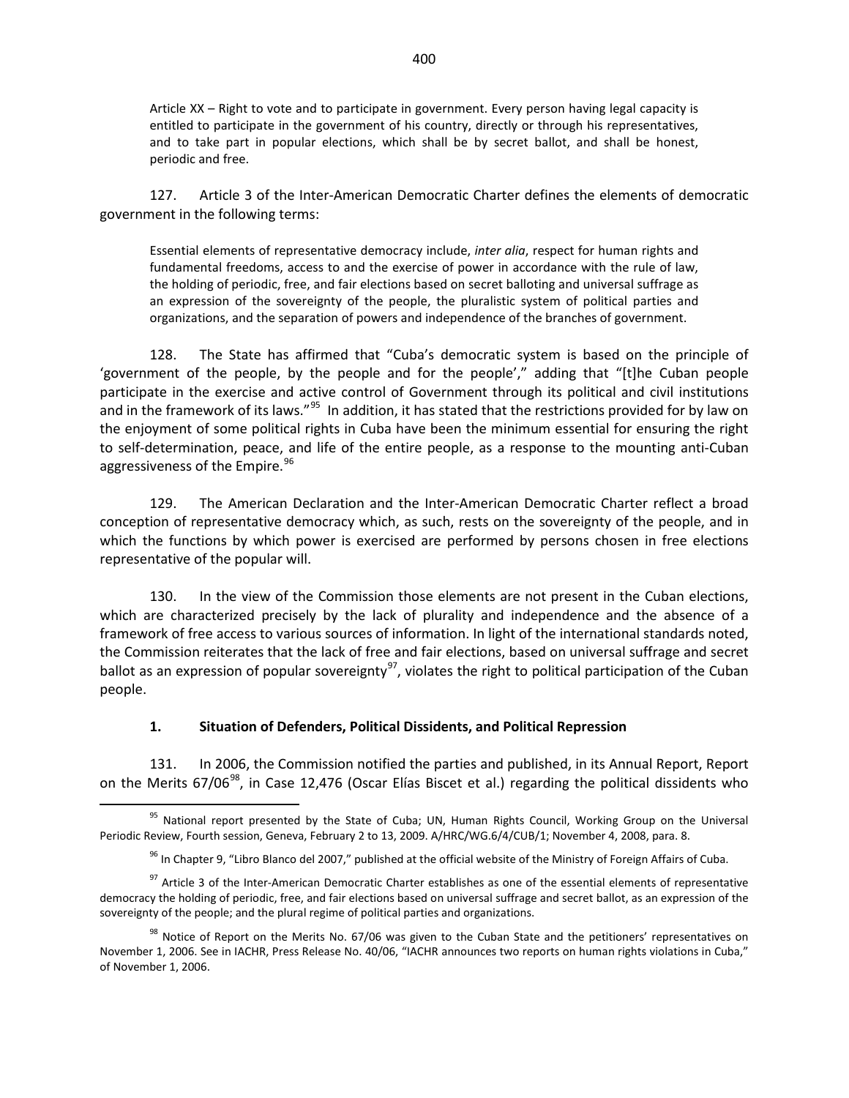Article XX – Right to vote and to participate in government. Every person having legal capacity is entitled to participate in the government of his country, directly or through his representatives, and to take part in popular elections, which shall be by secret ballot, and shall be honest, periodic and free.

127. Article 3 of the Inter-American Democratic Charter defines the elements of democratic government in the following terms:

Essential elements of representative democracy include, *inter alia*, respect for human rights and fundamental freedoms, access to and the exercise of power in accordance with the rule of law, the holding of periodic, free, and fair elections based on secret balloting and universal suffrage as an expression of the sovereignty of the people, the pluralistic system of political parties and organizations, and the separation of powers and independence of the branches of government.

128. The State has affirmed that "Cuba's democratic system is based on the principle of 'government of the people, by the people and for the people'," adding that "[t]he Cuban people participate in the exercise and active control of Government through its political and civil institutions and in the framework of its laws."<sup>[95](#page-8-0)</sup> In addition, it has stated that the restrictions provided for by law on the enjoyment of some political rights in Cuba have been the minimum essential for ensuring the right to self-determination, peace, and life of the entire people, as a response to the mounting anti-Cuban aggressiveness of the Empire.<sup>[96](#page-8-1)</sup>

129. The American Declaration and the Inter-American Democratic Charter reflect a broad conception of representative democracy which, as such, rests on the sovereignty of the people, and in which the functions by which power is exercised are performed by persons chosen in free elections representative of the popular will.

130. In the view of the Commission those elements are not present in the Cuban elections, which are characterized precisely by the lack of plurality and independence and the absence of a framework of free access to various sources of information. In light of the international standards noted, the Commission reiterates that the lack of free and fair elections, based on universal suffrage and secret ballot as an expression of popular sovereignty<sup>97</sup>, violates the right to political participation of the Cuban people.

#### **1. Situation of Defenders, Political Dissidents, and Political Repression**

131. In 2006, the Commission notified the parties and published, in its Annual Report, Report on the Merits 67/06<sup>[98](#page-8-3)</sup>, in Case 12,476 (Oscar Elías Biscet et al.) regarding the political dissidents who

<span id="page-8-0"></span><sup>&</sup>lt;sup>95</sup> National report presented by the State of Cuba; UN, Human Rights Council, Working Group on the Universal Periodic Review, Fourth session, Geneva, February 2 to 13, 2009. A/HRC/WG.6/4/CUB/1; November 4, 2008, para. 8.

 $96$  In Chapter 9, "Libro Blanco del 2007," published at the official website of the Ministry of Foreign Affairs of Cuba.

<span id="page-8-2"></span><span id="page-8-1"></span><sup>&</sup>lt;sup>97</sup> Article 3 of the Inter-American Democratic Charter establishes as one of the essential elements of representative democracy the holding of periodic, free, and fair elections based on universal suffrage and secret ballot, as an expression of the sovereignty of the people; and the plural regime of political parties and organizations.

<span id="page-8-3"></span> $98$  Notice of Report on the Merits No. 67/06 was given to the Cuban State and the petitioners' representatives on November 1, 2006. See in IACHR, Press Release No. 40/06, "IACHR announces two reports on human rights violations in Cuba," of November 1, 2006.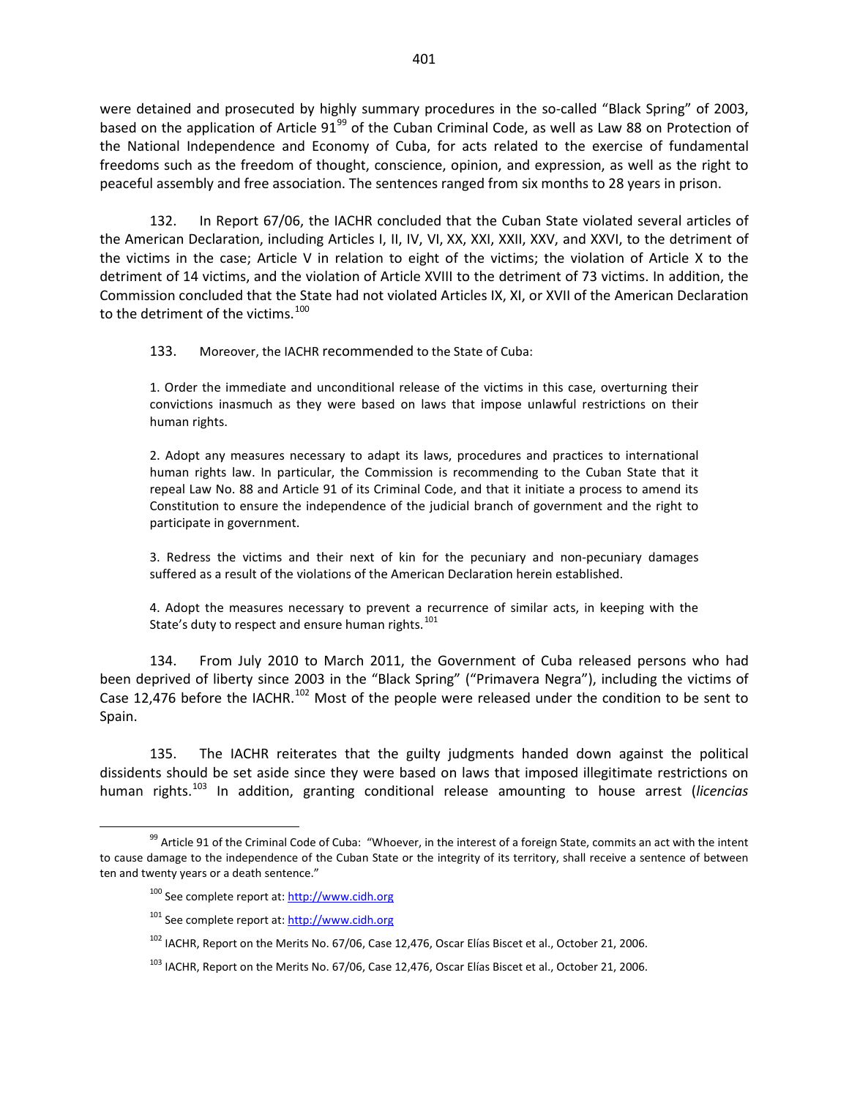were detained and prosecuted by highly summary procedures in the so-called "Black Spring" of 2003, based on the application of Article  $91<sup>99</sup>$  $91<sup>99</sup>$  $91<sup>99</sup>$  of the Cuban Criminal Code, as well as Law 88 on Protection of the National Independence and Economy of Cuba, for acts related to the exercise of fundamental freedoms such as the freedom of thought, conscience, opinion, and expression, as well as the right to peaceful assembly and free association. The sentences ranged from six months to 28 years in prison.

132. In Report 67/06, the IACHR concluded that the Cuban State violated several articles of the American Declaration, including Articles I, II, IV, VI, XX, XXI, XXII, XXV, and XXVI, to the detriment of the victims in the case; Article V in relation to eight of the victims; the violation of Article X to the detriment of 14 victims, and the violation of Article XVIII to the detriment of 73 victims. In addition, the Commission concluded that the State had not violated Articles IX, XI, or XVII of the American Declaration to the detriment of the victims.<sup>[100](#page-9-1)</sup>

133. Moreover, the IACHR recommended to the State of Cuba:

1. Order the immediate and unconditional release of the victims in this case, overturning their convictions inasmuch as they were based on laws that impose unlawful restrictions on their human rights.

2. Adopt any measures necessary to adapt its laws, procedures and practices to international human rights law. In particular, the Commission is recommending to the Cuban State that it repeal Law No. 88 and Article 91 of its Criminal Code, and that it initiate a process to amend its Constitution to ensure the independence of the judicial branch of government and the right to participate in government.

3. Redress the victims and their next of kin for the pecuniary and non-pecuniary damages suffered as a result of the violations of the American Declaration herein established.

4. Adopt the measures necessary to prevent a recurrence of similar acts, in keeping with the State's duty to respect and ensure human rights. $101$ 

134. From July 2010 to March 2011, the Government of Cuba released persons who had been deprived of liberty since 2003 in the "Black Spring" ("Primavera Negra"), including the victims of Case 12,476 before the IACHR.<sup>[102](#page-9-3)</sup> Most of the people were released under the condition to be sent to Spain.

135. The IACHR reiterates that the guilty judgments handed down against the political dissidents should be set aside since they were based on laws that imposed illegitimate restrictions on human rights. [103](#page-9-4) In addition, granting conditional release amounting to house arrest (*licencias* 

<span id="page-9-3"></span><span id="page-9-2"></span><span id="page-9-1"></span><span id="page-9-0"></span> $99$  Article 91 of the Criminal Code of Cuba: "Whoever, in the interest of a foreign State, commits an act with the intent to cause damage to the independence of the Cuban State or the integrity of its territory, shall receive a sentence of between ten and twenty years or a death sentence."

<sup>&</sup>lt;sup>100</sup> See complete report at: [http://www.cidh.org](http://www.cidh.org/)

<sup>&</sup>lt;sup>101</sup> See complete report at: [http://www.cidh.org](http://www.cidh.org/)

 $102$  IACHR, Report on the Merits No. 67/06, Case 12,476, Oscar Elías Biscet et al., October 21, 2006.

<span id="page-9-4"></span> $103$  IACHR, Report on the Merits No. 67/06, Case 12,476, Oscar Elías Biscet et al., October 21, 2006.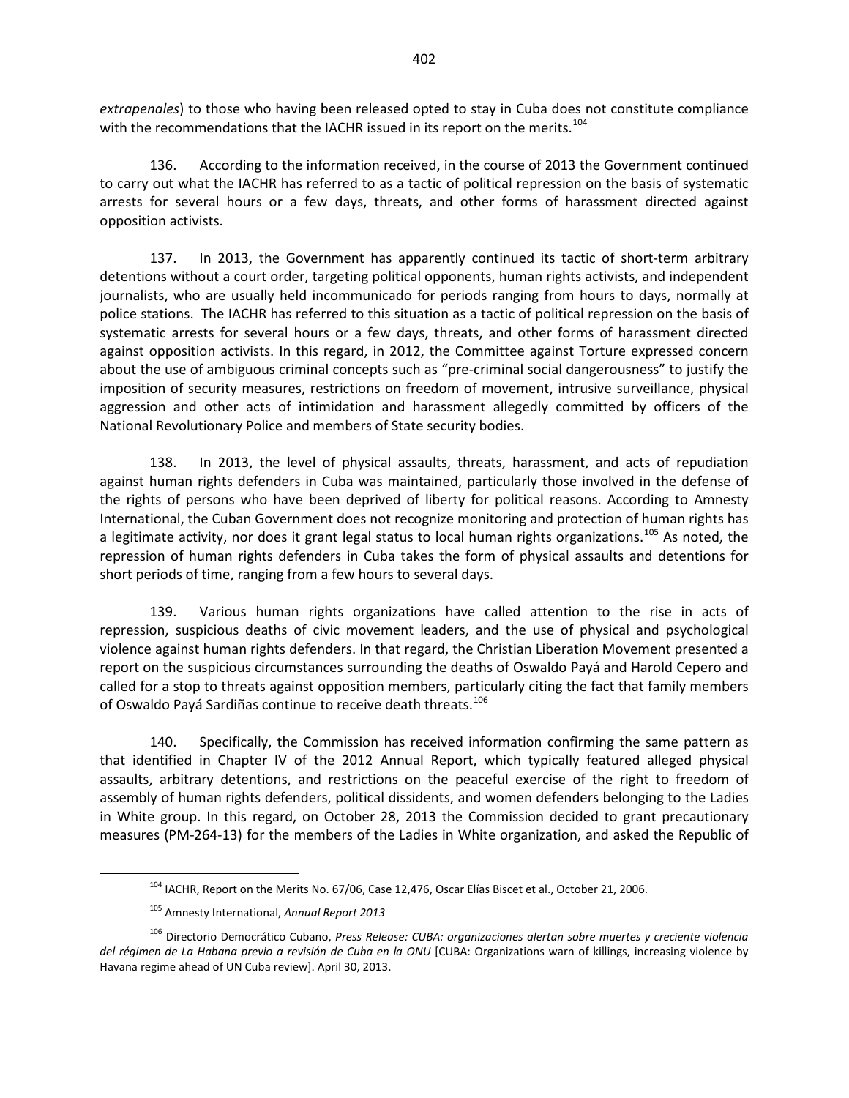*extrapenales*) to those who having been released opted to stay in Cuba does not constitute compliance with the recommendations that the IACHR issued in its report on the merits.<sup>[104](#page-10-0)</sup>

136. According to the information received, in the course of 2013 the Government continued to carry out what the IACHR has referred to as a tactic of political repression on the basis of systematic arrests for several hours or a few days, threats, and other forms of harassment directed against opposition activists.

137. In 2013, the Government has apparently continued its tactic of short-term arbitrary detentions without a court order, targeting political opponents, human rights activists, and independent journalists, who are usually held incommunicado for periods ranging from hours to days, normally at police stations. The IACHR has referred to this situation as a tactic of political repression on the basis of systematic arrests for several hours or a few days, threats, and other forms of harassment directed against opposition activists. In this regard, in 2012, the Committee against Torture expressed concern about the use of ambiguous criminal concepts such as "pre-criminal social dangerousness" to justify the imposition of security measures, restrictions on freedom of movement, intrusive surveillance, physical aggression and other acts of intimidation and harassment allegedly committed by officers of the National Revolutionary Police and members of State security bodies.

138. In 2013, the level of physical assaults, threats, harassment, and acts of repudiation against human rights defenders in Cuba was maintained, particularly those involved in the defense of the rights of persons who have been deprived of liberty for political reasons. According to Amnesty International, the Cuban Government does not recognize monitoring and protection of human rights has a legitimate activity, nor does it grant legal status to local human rights organizations.<sup>[105](#page-10-1)</sup> As noted, the repression of human rights defenders in Cuba takes the form of physical assaults and detentions for short periods of time, ranging from a few hours to several days.

139. Various human rights organizations have called attention to the rise in acts of repression, suspicious deaths of civic movement leaders, and the use of physical and psychological violence against human rights defenders. In that regard, the Christian Liberation Movement presented a report on the suspicious circumstances surrounding the deaths of Oswaldo Payá and Harold Cepero and called for a stop to threats against opposition members, particularly citing the fact that family members of Oswaldo Payá Sardiñas continue to receive death threats.<sup>[106](#page-10-2)</sup>

140. Specifically, the Commission has received information confirming the same pattern as that identified in Chapter IV of the 2012 Annual Report, which typically featured alleged physical assaults, arbitrary detentions, and restrictions on the peaceful exercise of the right to freedom of assembly of human rights defenders, political dissidents, and women defenders belonging to the Ladies in White group. In this regard, on October 28, 2013 the Commission decided to grant precautionary measures (PM-264-13) for the members of the Ladies in White organization, and asked the Republic of

 $104$  IACHR, Report on the Merits No. 67/06, Case 12,476, Oscar Elías Biscet et al., October 21, 2006.

<sup>105</sup> Amnesty International, *Annual Report 2013*

<span id="page-10-2"></span><span id="page-10-1"></span><span id="page-10-0"></span><sup>106</sup> Directorio Democrático Cubano, *Press Release: CUBA: organizaciones alertan sobre muertes y creciente violencia del régimen de La Habana previo a revisión de Cuba en la ONU* [CUBA: Organizations warn of killings, increasing violence by Havana regime ahead of UN Cuba review]. April 30, 2013.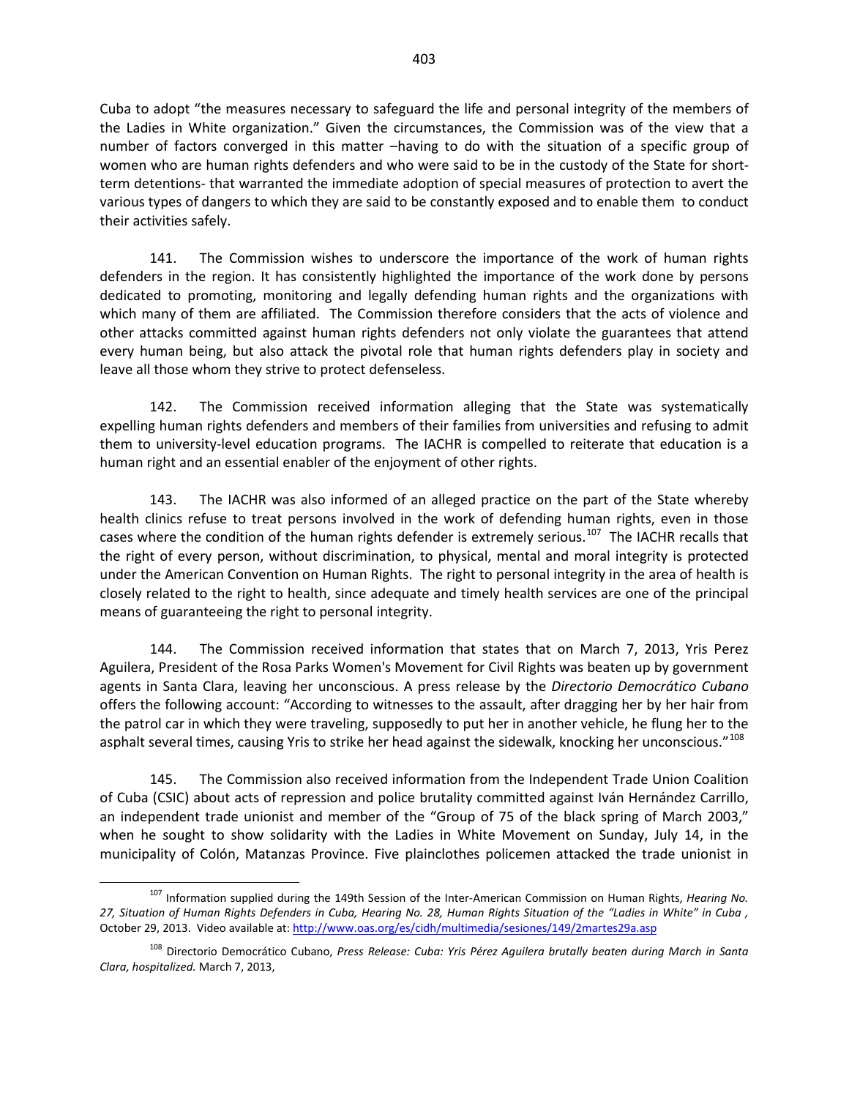Cuba to adopt "the measures necessary to safeguard the life and personal integrity of the members of the Ladies in White organization." Given the circumstances, the Commission was of the view that a number of factors converged in this matter –having to do with the situation of a specific group of women who are human rights defenders and who were said to be in the custody of the State for shortterm detentions- that warranted the immediate adoption of special measures of protection to avert the various types of dangers to which they are said to be constantly exposed and to enable them to conduct their activities safely.

141. The Commission wishes to underscore the importance of the work of human rights defenders in the region. It has consistently highlighted the importance of the work done by persons dedicated to promoting, monitoring and legally defending human rights and the organizations with which many of them are affiliated. The Commission therefore considers that the acts of violence and other attacks committed against human rights defenders not only violate the guarantees that attend every human being, but also attack the pivotal role that human rights defenders play in society and leave all those whom they strive to protect defenseless.

142. The Commission received information alleging that the State was systematically expelling human rights defenders and members of their families from universities and refusing to admit them to university-level education programs. The IACHR is compelled to reiterate that education is a human right and an essential enabler of the enjoyment of other rights.

143. The IACHR was also informed of an alleged practice on the part of the State whereby health clinics refuse to treat persons involved in the work of defending human rights, even in those cases where the condition of the human rights defender is extremely serious.<sup>[107](#page-11-0)</sup> The IACHR recalls that the right of every person, without discrimination, to physical, mental and moral integrity is protected under the American Convention on Human Rights. The right to personal integrity in the area of health is closely related to the right to health, since adequate and timely health services are one of the principal means of guaranteeing the right to personal integrity.

144. The Commission received information that states that on March 7, 2013, Yris Perez Aguilera, President of the Rosa Parks Women's Movement for Civil Rights was beaten up by government agents in Santa Clara, leaving her unconscious. A press release by the *Directorio Democrático Cubano* offers the following account: "According to witnesses to the assault, after dragging her by her hair from the patrol car in which they were traveling, supposedly to put her in another vehicle, he flung her to the asphalt several times, causing Yris to strike her head against the sidewalk, knocking her unconscious."<sup>[108](#page-11-1)</sup>

145. The Commission also received information from the Independent Trade Union Coalition of Cuba (CSIC) about acts of repression and police brutality committed against Iván Hernández Carrillo, an independent trade unionist and member of the "Group of 75 of the black spring of March 2003," when he sought to show solidarity with the Ladies in White Movement on Sunday, July 14, in the municipality of Colón, Matanzas Province. Five plainclothes policemen attacked the trade unionist in

<span id="page-11-0"></span><sup>107</sup> Information supplied during the 149th Session of the Inter-American Commission on Human Rights, *Hearing No. 27, Situation of Human Rights Defenders in Cuba, Hearing No. 28, Human Rights Situation of the "Ladies in White" in Cuba ,*  October 29, 2013. Video available at[: http://www.oas.org/es/cidh/multimedia/sesiones/149/2martes29a.asp](http://www.oas.org/es/cidh/multimedia/sesiones/149/2martes29a.asp)

<span id="page-11-1"></span><sup>108</sup> Directorio Democrático Cubano, *Press Release: Cuba: Yris Pérez Aguilera brutally beaten during March in Santa Clara, hospitalized.* March 7, 2013,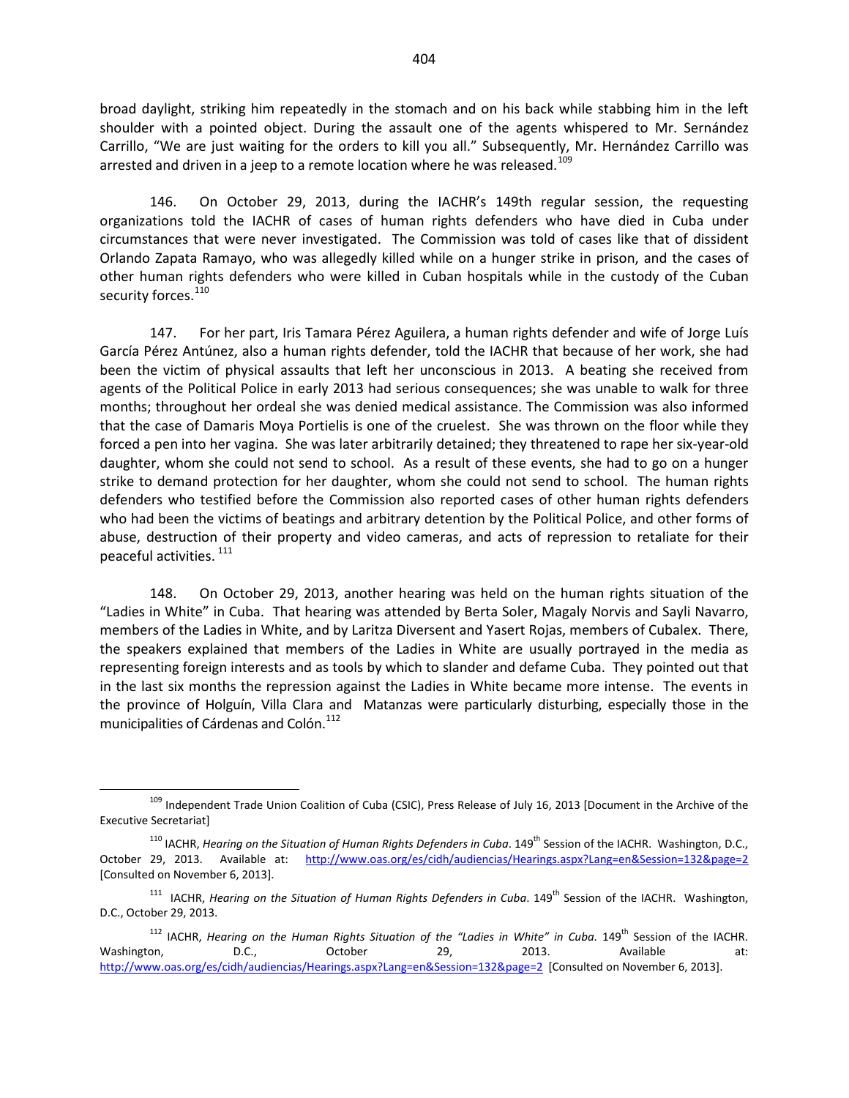broad daylight, striking him repeatedly in the stomach and on his back while stabbing him in the left shoulder with a pointed object. During the assault one of the agents whispered to Mr. Sernández Carrillo, "We are just waiting for the orders to kill you all." Subsequently, Mr. Hernández Carrillo was arrested and driven in a jeep to a remote location where he was released.<sup>[109](#page-12-0)</sup>

146. On October 29, 2013, during the IACHR's 149th regular session, the requesting organizations told the IACHR of cases of human rights defenders who have died in Cuba under circumstances that were never investigated. The Commission was told of cases like that of dissident Orlando Zapata Ramayo, who was allegedly killed while on a hunger strike in prison, and the cases of other human rights defenders who were killed in Cuban hospitals while in the custody of the Cuban security forces.<sup>110</sup>

147. For her part, Iris Tamara Pérez Aguilera, a human rights defender and wife of Jorge Luís García Pérez Antúnez, also a human rights defender, told the IACHR that because of her work, she had been the victim of physical assaults that left her unconscious in 2013. A beating she received from agents of the Political Police in early 2013 had serious consequences; she was unable to walk for three months; throughout her ordeal she was denied medical assistance. The Commission was also informed that the case of Damaris Moya Portielis is one of the cruelest. She was thrown on the floor while they forced a pen into her vagina. She was later arbitrarily detained; they threatened to rape her six-year-old daughter, whom she could not send to school. As a result of these events, she had to go on a hunger strike to demand protection for her daughter, whom she could not send to school. The human rights defenders who testified before the Commission also reported cases of other human rights defenders who had been the victims of beatings and arbitrary detention by the Political Police, and other forms of abuse, destruction of their property and video cameras, and acts of repression to retaliate for their peaceful activities. 111

148. On October 29, 2013, another hearing was held on the human rights situation of the "Ladies in White" in Cuba. That hearing was attended by Berta Soler, Magaly Norvis and Sayli Navarro, members of the Ladies in White, and by Laritza Diversent and Yasert Rojas, members of Cubalex. There, the speakers explained that members of the Ladies in White are usually portrayed in the media as representing foreign interests and as tools by which to slander and defame Cuba. They pointed out that in the last six months the repression against the Ladies in White became more intense. The events in the province of Holguín, Villa Clara and Matanzas were particularly disturbing, especially those in the municipalities of Cárdenas and Colón.<sup>[112](#page-12-3)</sup>

<span id="page-12-0"></span><sup>&</sup>lt;sup>109</sup> Independent Trade Union Coalition of Cuba (CSIC), Press Release of July 16, 2013 [Document in the Archive of the Executive Secretariat]

<span id="page-12-1"></span><sup>&</sup>lt;sup>110</sup> IACHR, *Hearing on the Situation of Human Rights Defenders in Cuba*. 149<sup>th</sup> Session of the IACHR. Washington, D.C., October 29, 2013. Available at: <http://www.oas.org/es/cidh/audiencias/Hearings.aspx?Lang=en&Session=132&page=2> [Consulted on November 6, 2013].

<span id="page-12-2"></span><sup>&</sup>lt;sup>111</sup> IACHR, *Hearing on the Situation of Human Rights Defenders in Cuba*. 149<sup>th</sup> Session of the IACHR. Washington, D.C., October 29, 2013.

<span id="page-12-3"></span><sup>&</sup>lt;sup>112</sup> IACHR, *Hearing on the Human Rights Situation of the "Ladies in White" in Cuba.* 149<sup>th</sup> Session of the IACHR. Washington, CD.C., Cortober 29, 2013. Available at: <http://www.oas.org/es/cidh/audiencias/Hearings.aspx?Lang=en&Session=132&page=2>[Consulted on November 6, 2013].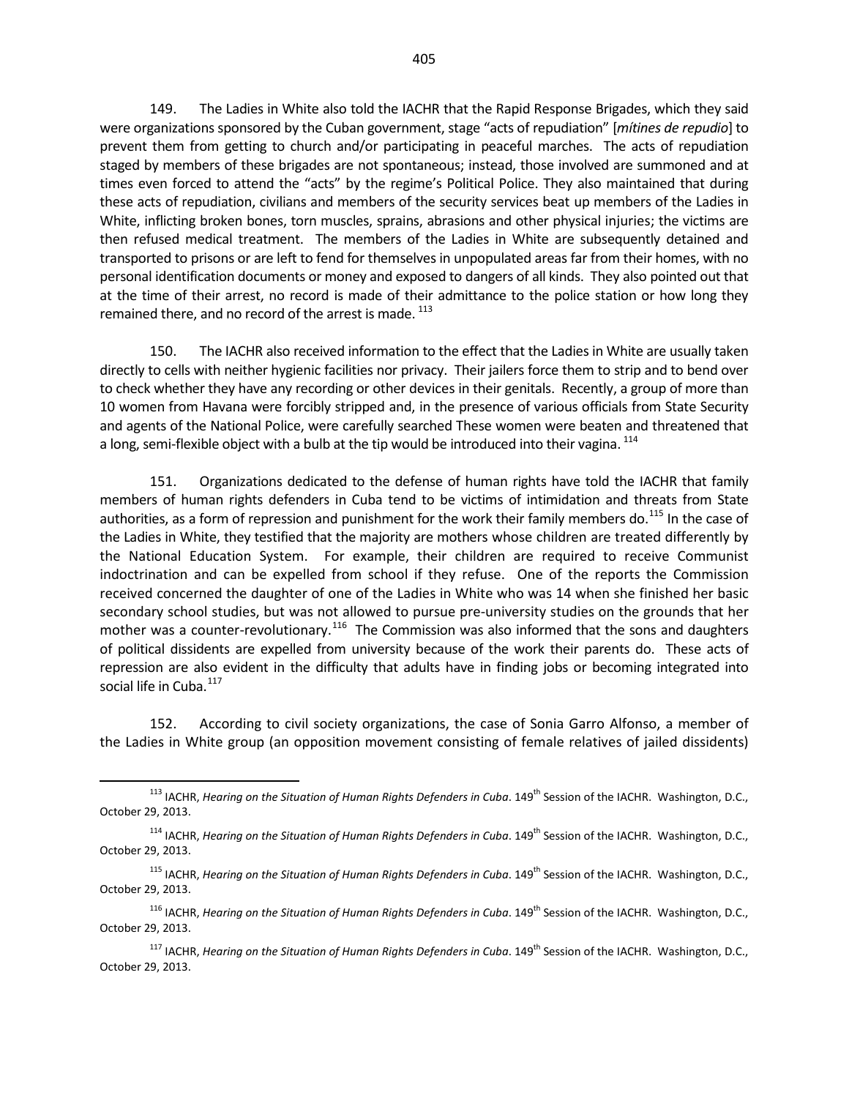149. The Ladies in White also told the IACHR that the Rapid Response Brigades, which they said were organizations sponsored by the Cuban government, stage "acts of repudiation" [*mítines de repudio*] to prevent them from getting to church and/or participating in peaceful marches. The acts of repudiation staged by members of these brigades are not spontaneous; instead, those involved are summoned and at times even forced to attend the "acts" by the regime's Political Police. They also maintained that during these acts of repudiation, civilians and members of the security services beat up members of the Ladies in White, inflicting broken bones, torn muscles, sprains, abrasions and other physical injuries; the victims are then refused medical treatment. The members of the Ladies in White are subsequently detained and transported to prisons or are left to fend for themselves in unpopulated areas far from their homes, with no personal identification documents or money and exposed to dangers of all kinds. They also pointed out that at the time of their arrest, no record is made of their admittance to the police station or how long they remained there, and no record of the arrest is made.<sup>[113](#page-13-0)</sup>

150. The IACHR also received information to the effect that the Ladies in White are usually taken directly to cells with neither hygienic facilities nor privacy. Their jailers force them to strip and to bend over to check whether they have any recording or other devices in their genitals. Recently, a group of more than 10 women from Havana were forcibly stripped and, in the presence of various officials from State Security and agents of the National Police, were carefully searched These women were beaten and threatened that a long, semi-flexible object with a bulb at the tip would be introduced into their vagina. <sup>[114](#page-13-1)</sup>

151. Organizations dedicated to the defense of human rights have told the IACHR that family members of human rights defenders in Cuba tend to be victims of intimidation and threats from State authorities, as a form of repression and punishment for the work their family members do.<sup>[115](#page-13-2)</sup> In the case of the Ladies in White, they testified that the majority are mothers whose children are treated differently by the National Education System. For example, their children are required to receive Communist indoctrination and can be expelled from school if they refuse. One of the reports the Commission received concerned the daughter of one of the Ladies in White who was 14 when she finished her basic secondary school studies, but was not allowed to pursue pre-university studies on the grounds that her mother was a counter-revolutionary.<sup>[116](#page-13-3)</sup> The Commission was also informed that the sons and daughters of political dissidents are expelled from university because of the work their parents do. These acts of repression are also evident in the difficulty that adults have in finding jobs or becoming integrated into social life in Cuba.<sup>[117](#page-13-4)</sup>

152. According to civil society organizations, the case of Sonia Garro Alfonso, a member of the Ladies in White group (an opposition movement consisting of female relatives of jailed dissidents)

<span id="page-13-0"></span><sup>&</sup>lt;sup>113</sup> IACHR, *Hearing on the Situation of Human Rights Defenders in Cuba*. 149<sup>th</sup> Session of the IACHR. Washington, D.C., October 29, 2013.

<span id="page-13-1"></span><sup>&</sup>lt;sup>114</sup> IACHR, *Hearing on the Situation of Human Rights Defenders in Cuba*. 149<sup>th</sup> Session of the IACHR. Washington, D.C., October 29, 2013.

<span id="page-13-2"></span><sup>&</sup>lt;sup>115</sup> IACHR, *Hearing on the Situation of Human Rights Defenders in Cuba*. 149<sup>th</sup> Session of the IACHR. Washington, D.C., October 29, 2013.

<span id="page-13-3"></span><sup>&</sup>lt;sup>116</sup> IACHR, *Hearing on the Situation of Human Rights Defenders in Cuba*. 149<sup>th</sup> Session of the IACHR. Washington, D.C., October 29, 2013.

<span id="page-13-4"></span><sup>&</sup>lt;sup>117</sup> IACHR, *Hearing on the Situation of Human Rights Defenders in Cuba*. 149<sup>th</sup> Session of the IACHR. Washington, D.C., October 29, 2013.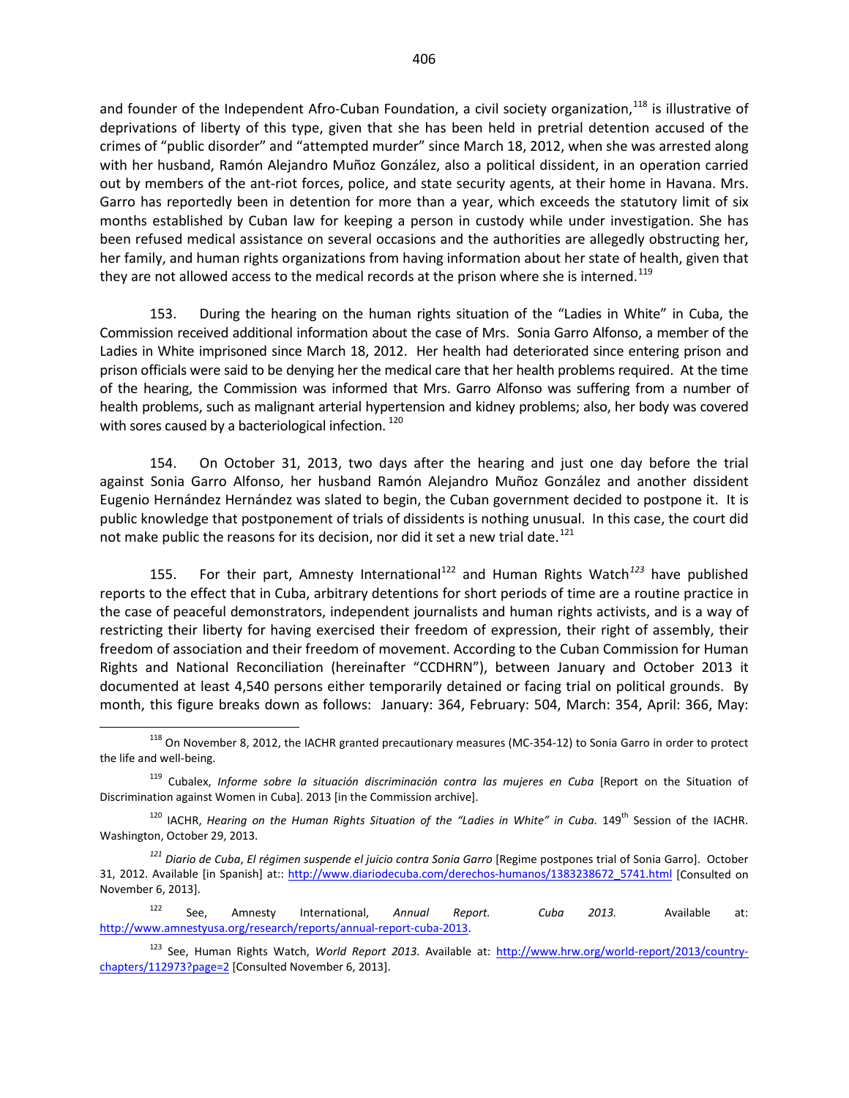and founder of the Independent Afro-Cuban Foundation, a civil society organization,<sup>[118](#page-14-0)</sup> is illustrative of deprivations of liberty of this type, given that she has been held in pretrial detention accused of the crimes of "public disorder" and "attempted murder" since March 18, 2012, when she was arrested along with her husband, Ramón Alejandro Muñoz González, also a political dissident, in an operation carried out by members of the ant-riot forces, police, and state security agents, at their home in Havana. Mrs. Garro has reportedly been in detention for more than a year, which exceeds the statutory limit of six months established by Cuban law for keeping a person in custody while under investigation. She has been refused medical assistance on several occasions and the authorities are allegedly obstructing her, her family, and human rights organizations from having information about her state of health, given that they are not allowed access to the medical records at the prison where she is interned.<sup>[119](#page-14-1)</sup>

153. During the hearing on the human rights situation of the "Ladies in White" in Cuba, the Commission received additional information about the case of Mrs. Sonia Garro Alfonso, a member of the Ladies in White imprisoned since March 18, 2012. Her health had deteriorated since entering prison and prison officials were said to be denying her the medical care that her health problems required. At the time of the hearing, the Commission was informed that Mrs. Garro Alfonso was suffering from a number of health problems, such as malignant arterial hypertension and kidney problems; also, her body was covered with sores caused by a bacteriological infection.<sup>120</sup>

154. On October 31, 2013, two days after the hearing and just one day before the trial against Sonia Garro Alfonso, her husband Ramón Alejandro Muñoz González and another dissident Eugenio Hernández Hernández was slated to begin, the Cuban government decided to postpone it. It is public knowledge that postponement of trials of dissidents is nothing unusual. In this case, the court did not make public the reasons for its decision, nor did it set a new trial date.<sup>[121](#page-14-3)</sup>

155. For their part, Amnesty International<sup>[122](#page-14-4)</sup> and Human Rights Watch<sup>[123](#page-14-5)</sup> have published reports to the effect that in Cuba, arbitrary detentions for short periods of time are a routine practice in the case of peaceful demonstrators, independent journalists and human rights activists, and is a way of restricting their liberty for having exercised their freedom of expression, their right of assembly, their freedom of association and their freedom of movement. According to the Cuban Commission for Human Rights and National Reconciliation (hereinafter "CCDHRN"), between January and October 2013 it documented at least 4,540 persons either temporarily detained or facing trial on political grounds. By month, this figure breaks down as follows: January: 364, February: 504, March: 354, April: 366, May:

<span id="page-14-0"></span><sup>&</sup>lt;sup>118</sup> On November 8, 2012, the IACHR granted precautionary measures (MC-354-12) to Sonia Garro in order to protect the life and well-being.

<span id="page-14-1"></span><sup>119</sup> Cubalex, *Informe sobre la situación discriminación contra las mujeres en Cuba* [Report on the Situation of Discrimination against Women in Cuba]. 2013 [in the Commission archive].

<span id="page-14-2"></span><sup>&</sup>lt;sup>120</sup> IACHR, *Hearing on the Human Rights Situation of the "Ladies in White" in Cuba.* 149<sup>th</sup> Session of the IACHR. Washington, October 29, 2013.

<span id="page-14-3"></span>*<sup>121</sup> Diario de Cuba*, *El régimen suspende el juicio contra Sonia Garro* [Regime postpones trial of Sonia Garro]. October 31, 2012. Available [in Spanish] at:: [http://www.diariodecuba.com/derechos-humanos/1383238672\\_5741.html](http://www.diariodecuba.com/derechos-humanos/1383238672_5741.html) [Consulted on November 6, 2013].

<span id="page-14-4"></span><sup>122</sup> See, Amnesty International, *Annual Report. Cuba 2013.* Available at: [http://www.amnestyusa.org/research/reports/annual-report-cuba-2013.](http://www.amnestyusa.org/research/reports/annual-report-cuba-2013) 

<span id="page-14-5"></span><sup>123</sup> See, Human Rights Watch, *World Report 2013.* Available at: [http://www.hrw.org/world-report/2013/country](http://www.hrw.org/world-report/2013/country-chapters/112973?page=2)[chapters/112973?page=2](http://www.hrw.org/world-report/2013/country-chapters/112973?page=2) [Consulted November 6, 2013].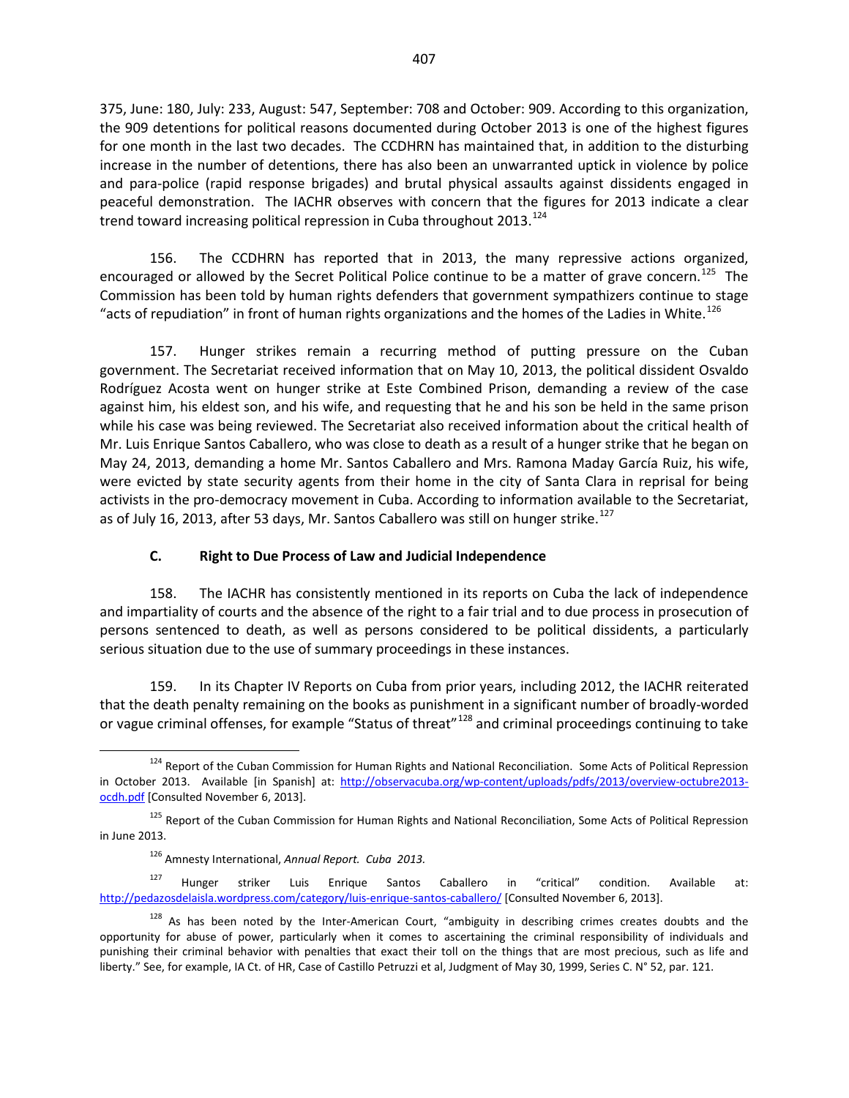375, June: 180, July: 233, August: 547, September: 708 and October: 909. According to this organization, the 909 detentions for political reasons documented during October 2013 is one of the highest figures for one month in the last two decades. The CCDHRN has maintained that, in addition to the disturbing increase in the number of detentions, there has also been an unwarranted uptick in violence by police and para-police (rapid response brigades) and brutal physical assaults against dissidents engaged in peaceful demonstration. The IACHR observes with concern that the figures for 2013 indicate a clear trend toward increasing political repression in Cuba throughout 2013.<sup>[124](#page-15-0)</sup>

156. The CCDHRN has reported that in 2013, the many repressive actions organized, encouraged or allowed by the Secret Political Police continue to be a matter of grave concern.<sup>[125](#page-15-1)</sup> The Commission has been told by human rights defenders that government sympathizers continue to stage "acts of repudiation" in front of human rights organizations and the homes of the Ladies in White.<sup>[126](#page-15-2)</sup>

157. Hunger strikes remain a recurring method of putting pressure on the Cuban government. The Secretariat received information that on May 10, 2013, the political dissident Osvaldo Rodríguez Acosta went on hunger strike at Este Combined Prison, demanding a review of the case against him, his eldest son, and his wife, and requesting that he and his son be held in the same prison while his case was being reviewed. The Secretariat also received information about the critical health of Mr. Luis Enrique Santos Caballero, who was close to death as a result of a hunger strike that he began on May 24, 2013, demanding a home Mr. Santos Caballero and Mrs. Ramona Maday García Ruiz, his wife, were evicted by state security agents from their home in the city of Santa Clara in reprisal for being activists in the pro-democracy movement in Cuba. According to information available to the Secretariat, as of July 16, 2013, after 53 days, Mr. Santos Caballero was still on hunger strike.<sup>[127](#page-15-3)</sup>

#### **C. Right to Due Process of Law and Judicial Independence**

158. The IACHR has consistently mentioned in its reports on Cuba the lack of independence and impartiality of courts and the absence of the right to a fair trial and to due process in prosecution of persons sentenced to death, as well as persons considered to be political dissidents, a particularly serious situation due to the use of summary proceedings in these instances.

159. In its Chapter IV Reports on Cuba from prior years, including 2012, the IACHR reiterated that the death penalty remaining on the books as punishment in a significant number of broadly-worded or vague criminal offenses, for example "Status of threat"<sup>[128](#page-15-4)</sup> and criminal proceedings continuing to take

<span id="page-15-0"></span><sup>&</sup>lt;sup>124</sup> Report of the Cuban Commission for Human Rights and National Reconciliation. Some Acts of Political Repression in October 2013. Available [in Spanish] at: [http://observacuba.org/wp-content/uploads/pdfs/2013/overview-octubre2013](http://observacuba.org/wp-content/uploads/pdfs/2013/overview-octubre2013-ocdh.pdf) [ocdh.pdf](http://observacuba.org/wp-content/uploads/pdfs/2013/overview-octubre2013-ocdh.pdf) [Consulted November 6, 2013].

<span id="page-15-1"></span><sup>&</sup>lt;sup>125</sup> Report of the Cuban Commission for Human Rights and National Reconciliation, Some Acts of Political Repression in June 2013.

<sup>126</sup> Amnesty International, *Annual Report. Cuba 2013.*

<span id="page-15-3"></span><span id="page-15-2"></span><sup>&</sup>lt;sup>127</sup> Hunger striker Luis Enrique Santos Caballero in "critical" condition. Available at: <http://pedazosdelaisla.wordpress.com/category/luis-enrique-santos-caballero/> [Consulted November 6, 2013].

<span id="page-15-4"></span><sup>128</sup> As has been noted by the Inter-American Court, "ambiguity in describing crimes creates doubts and the opportunity for abuse of power, particularly when it comes to ascertaining the criminal responsibility of individuals and punishing their criminal behavior with penalties that exact their toll on the things that are most precious, such as life and liberty." See, for example, IA Ct. of HR, Case of Castillo Petruzzi et al, Judgment of May 30, 1999, Series C. N° 52, par. 121.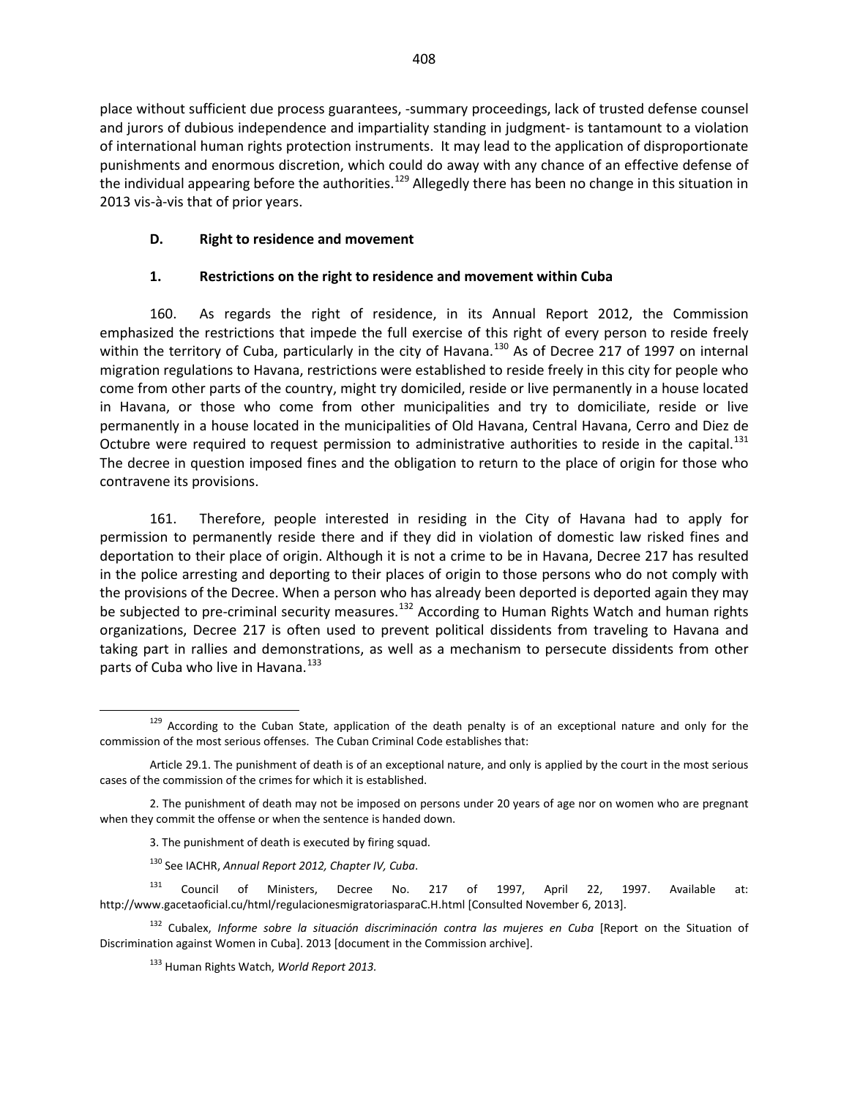place without sufficient due process guarantees, -summary proceedings, lack of trusted defense counsel and jurors of dubious independence and impartiality standing in judgment- is tantamount to a violation of international human rights protection instruments. It may lead to the application of disproportionate punishments and enormous discretion, which could do away with any chance of an effective defense of the individual appearing before the authorities.<sup>[129](#page-16-0)</sup> Allegedly there has been no change in this situation in 2013 vis-à-vis that of prior years.

#### **D. Right to residence and movement**

#### **1. Restrictions on the right to residence and movement within Cuba**

160. As regards the right of residence, in its Annual Report 2012, the Commission emphasized the restrictions that impede the full exercise of this right of every person to reside freely within the territory of Cuba, particularly in the city of Havana.<sup>[130](#page-16-1)</sup> As of Decree 217 of 1997 on internal migration regulations to Havana, restrictions were established to reside freely in this city for people who come from other parts of the country, might try domiciled, reside or live permanently in a house located in Havana, or those who come from other municipalities and try to domiciliate, reside or live permanently in a house located in the municipalities of Old Havana, Central Havana, Cerro and Diez de Octubre were required to request permission to administrative authorities to reside in the capital.<sup>[131](#page-16-2)</sup> The decree in question imposed fines and the obligation to return to the place of origin for those who contravene its provisions.

161. Therefore, people interested in residing in the City of Havana had to apply for permission to permanently reside there and if they did in violation of domestic law risked fines and deportation to their place of origin. Although it is not a crime to be in Havana, Decree 217 has resulted in the police arresting and deporting to their places of origin to those persons who do not comply with the provisions of the Decree. When a person who has already been deported is deported again they may be subjected to pre-criminal security measures.<sup>[132](#page-16-3)</sup> According to Human Rights Watch and human rights organizations, Decree 217 is often used to prevent political dissidents from traveling to Havana and taking part in rallies and demonstrations, as well as a mechanism to persecute dissidents from other parts of Cuba who live in Havana.<sup>[133](#page-16-4)</sup>

<span id="page-16-0"></span><sup>&</sup>lt;sup>129</sup> According to the Cuban State, application of the death penalty is of an exceptional nature and only for the commission of the most serious offenses. The Cuban Criminal Code establishes that:

Article 29.1. The punishment of death is of an exceptional nature, and only is applied by the court in the most serious cases of the commission of the crimes for which it is established.

<sup>2.</sup> The punishment of death may not be imposed on persons under 20 years of age nor on women who are pregnant when they commit the offense or when the sentence is handed down.

<sup>3.</sup> The punishment of death is executed by firing squad.

<sup>130</sup> See IACHR, *Annual Report 2012, Chapter IV, Cuba*.

<span id="page-16-2"></span><span id="page-16-1"></span><sup>&</sup>lt;sup>131</sup> Council of Ministers, Decree No. 217 of 1997, April 22, 1997. Available at: http://www.gacetaoficial.cu/html/regulacionesmigratoriasparaC.H.html [Consulted November 6, 2013].

<span id="page-16-4"></span><span id="page-16-3"></span><sup>&</sup>lt;sup>132</sup> Cubalex, *Informe sobre la situación discriminación contra las mujeres en Cuba* [Report on the Situation of Discrimination against Women in Cuba]. 2013 [document in the Commission archive].

<sup>133</sup> Human Rights Watch, *World Report 2013.*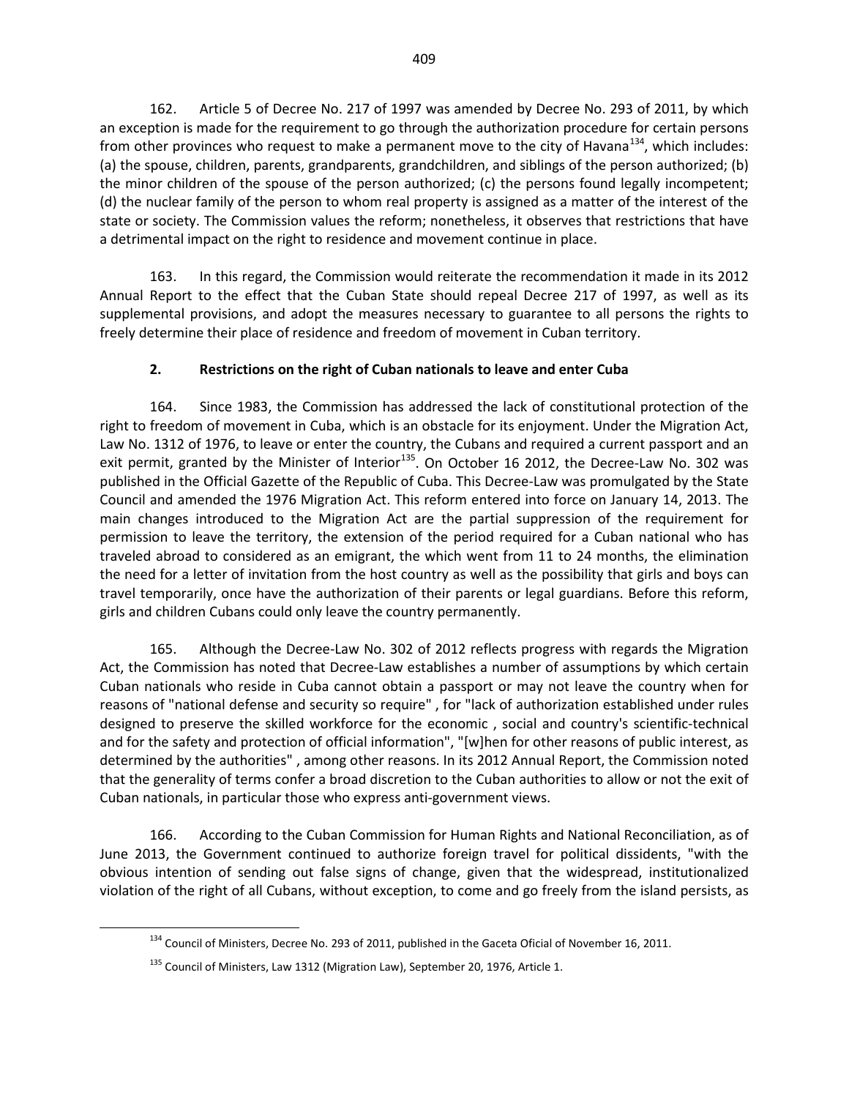162. Article 5 of Decree No. 217 of 1997 was amended by Decree No. 293 of 2011, by which an exception is made for the requirement to go through the authorization procedure for certain persons from other provinces who request to make a permanent move to the city of Havana<sup>134</sup>, which includes: (a) the spouse, children, parents, grandparents, grandchildren, and siblings of the person authorized; (b) the minor children of the spouse of the person authorized; (c) the persons found legally incompetent; (d) the nuclear family of the person to whom real property is assigned as a matter of the interest of the state or society. The Commission values the reform; nonetheless, it observes that restrictions that have a detrimental impact on the right to residence and movement continue in place.

163. In this regard, the Commission would reiterate the recommendation it made in its 2012 Annual Report to the effect that the Cuban State should repeal Decree 217 of 1997, as well as its supplemental provisions, and adopt the measures necessary to guarantee to all persons the rights to freely determine their place of residence and freedom of movement in Cuban territory.

# **2. Restrictions on the right of Cuban nationals to leave and enter Cuba**

164. Since 1983, the Commission has addressed the lack of constitutional protection of the right to freedom of movement in Cuba, which is an obstacle for its enjoyment. Under the Migration Act, Law No. 1312 of 1976, to leave or enter the country, the Cubans and required a current passport and an exit permit, granted by the Minister of Interior<sup>135</sup>. On October 16 2012, the Decree-Law No. 302 was published in the Official Gazette of the Republic of Cuba. This Decree-Law was promulgated by the State Council and amended the 1976 Migration Act. This reform entered into force on January 14, 2013. The main changes introduced to the Migration Act are the partial suppression of the requirement for permission to leave the territory, the extension of the period required for a Cuban national who has traveled abroad to considered as an emigrant, the which went from 11 to 24 months, the elimination the need for a letter of invitation from the host country as well as the possibility that girls and boys can travel temporarily, once have the authorization of their parents or legal guardians. Before this reform, girls and children Cubans could only leave the country permanently.

165. Although the Decree-Law No. 302 of 2012 reflects progress with regards the Migration Act, the Commission has noted that Decree-Law establishes a number of assumptions by which certain Cuban nationals who reside in Cuba cannot obtain a passport or may not leave the country when for reasons of "national defense and security so require" , for "lack of authorization established under rules designed to preserve the skilled workforce for the economic , social and country's scientific-technical and for the safety and protection of official information", "[w]hen for other reasons of public interest, as determined by the authorities" , among other reasons. In its 2012 Annual Report, the Commission noted that the generality of terms confer a broad discretion to the Cuban authorities to allow or not the exit of Cuban nationals, in particular those who express anti-government views.

<span id="page-17-0"></span>166. According to the Cuban Commission for Human Rights and National Reconciliation, as of June 2013, the Government continued to authorize foreign travel for political dissidents, "with the obvious intention of sending out false signs of change, given that the widespread, institutionalized violation of the right of all Cubans, without exception, to come and go freely from the island persists, as

<sup>&</sup>lt;sup>134</sup> Council of Ministers, Decree No. 293 of 2011, published in the Gaceta Oficial of November 16, 2011.

<span id="page-17-1"></span><sup>&</sup>lt;sup>135</sup> Council of Ministers, Law 1312 (Migration Law), September 20, 1976, Article 1.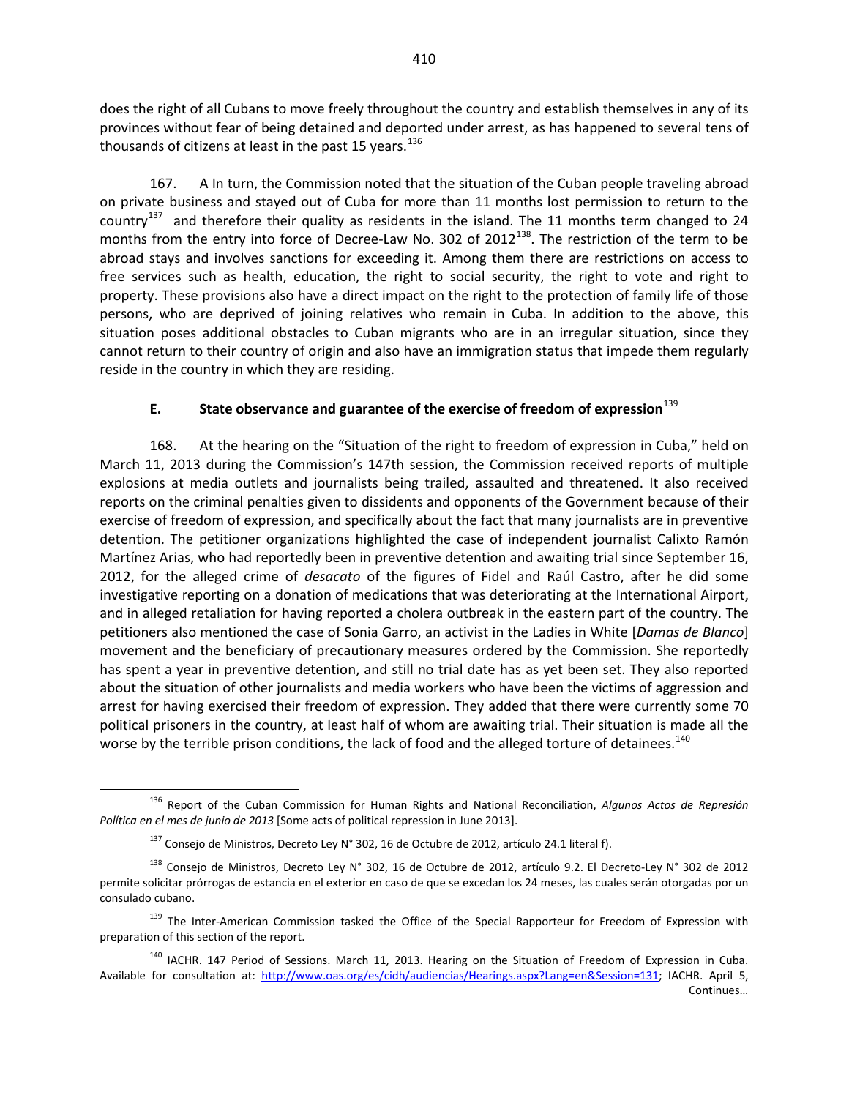does the right of all Cubans to move freely throughout the country and establish themselves in any of its provinces without fear of being detained and deported under arrest, as has happened to several tens of thousands of citizens at least in the past 15 years.<sup>[136](#page-18-0)</sup>

167. A In turn, the Commission noted that the situation of the Cuban people traveling abroad on private business and stayed out of Cuba for more than 11 months lost permission to return to the country<sup>[137](#page-18-1)</sup> and therefore their quality as residents in the island. The 11 months term changed to 24 months from the entry into force of Decree-Law No. 302 of 2012<sup>[138](#page-18-2)</sup>. The restriction of the term to be abroad stays and involves sanctions for exceeding it. Among them there are restrictions on access to free services such as health, education, the right to social security, the right to vote and right to property. These provisions also have a direct impact on the right to the protection of family life of those persons, who are deprived of joining relatives who remain in Cuba. In addition to the above, this situation poses additional obstacles to Cuban migrants who are in an irregular situation, since they cannot return to their country of origin and also have an immigration status that impede them regularly reside in the country in which they are residing.

### **E. State observance and guarantee of the exercise of freedom of expression**[139](#page-18-3)

168. At the hearing on the "Situation of the right to freedom of expression in Cuba," held on March 11, 2013 during the Commission's 147th session, the Commission received reports of multiple explosions at media outlets and journalists being trailed, assaulted and threatened. It also received reports on the criminal penalties given to dissidents and opponents of the Government because of their exercise of freedom of expression, and specifically about the fact that many journalists are in preventive detention. The petitioner organizations highlighted the case of independent journalist Calixto Ramón Martínez Arias, who had reportedly been in preventive detention and awaiting trial since September 16, 2012, for the alleged crime of *desacato* of the figures of Fidel and Raúl Castro, after he did some investigative reporting on a donation of medications that was deteriorating at the International Airport, and in alleged retaliation for having reported a cholera outbreak in the eastern part of the country. The petitioners also mentioned the case of Sonia Garro, an activist in the Ladies in White [*Damas de Blanco*] movement and the beneficiary of precautionary measures ordered by the Commission. She reportedly has spent a year in preventive detention, and still no trial date has as yet been set. They also reported about the situation of other journalists and media workers who have been the victims of aggression and arrest for having exercised their freedom of expression. They added that there were currently some 70 political prisoners in the country, at least half of whom are awaiting trial. Their situation is made all the worse by the terrible prison conditions, the lack of food and the alleged torture of detainees.<sup>[140](#page-18-4)</sup>

<span id="page-18-0"></span><sup>136</sup> Report of the Cuban Commission for Human Rights and National Reconciliation, *Algunos Actos de Represión Política en el mes de junio de 2013* [Some acts of political repression in June 2013].

 $^{137}$  Consejo de Ministros, Decreto Ley N° 302, 16 de Octubre de 2012, artículo 24.1 literal f).

<span id="page-18-2"></span><span id="page-18-1"></span><sup>&</sup>lt;sup>138</sup> Consejo de Ministros, Decreto Ley N° 302, 16 de Octubre de 2012, artículo 9.2. El Decreto-Ley N° 302 de 2012 permite solicitar prórrogas de estancia en el exterior en caso de que se excedan los 24 meses, las cuales serán otorgadas por un consulado cubano.

<span id="page-18-3"></span><sup>&</sup>lt;sup>139</sup> The Inter-American Commission tasked the Office of the Special Rapporteur for Freedom of Expression with preparation of this section of the report.

<span id="page-18-4"></span><sup>&</sup>lt;sup>140</sup> IACHR. 147 Period of Sessions. March 11, 2013. Hearing on the Situation of Freedom of Expression in Cuba. Available for consultation at: [http://www.oas.org/es/cidh/audiencias/Hearings.aspx?Lang=en&Session=131;](http://www.oas.org/es/cidh/audiencias/Hearings.aspx?Lang=en&Session=131) IACHR. April 5,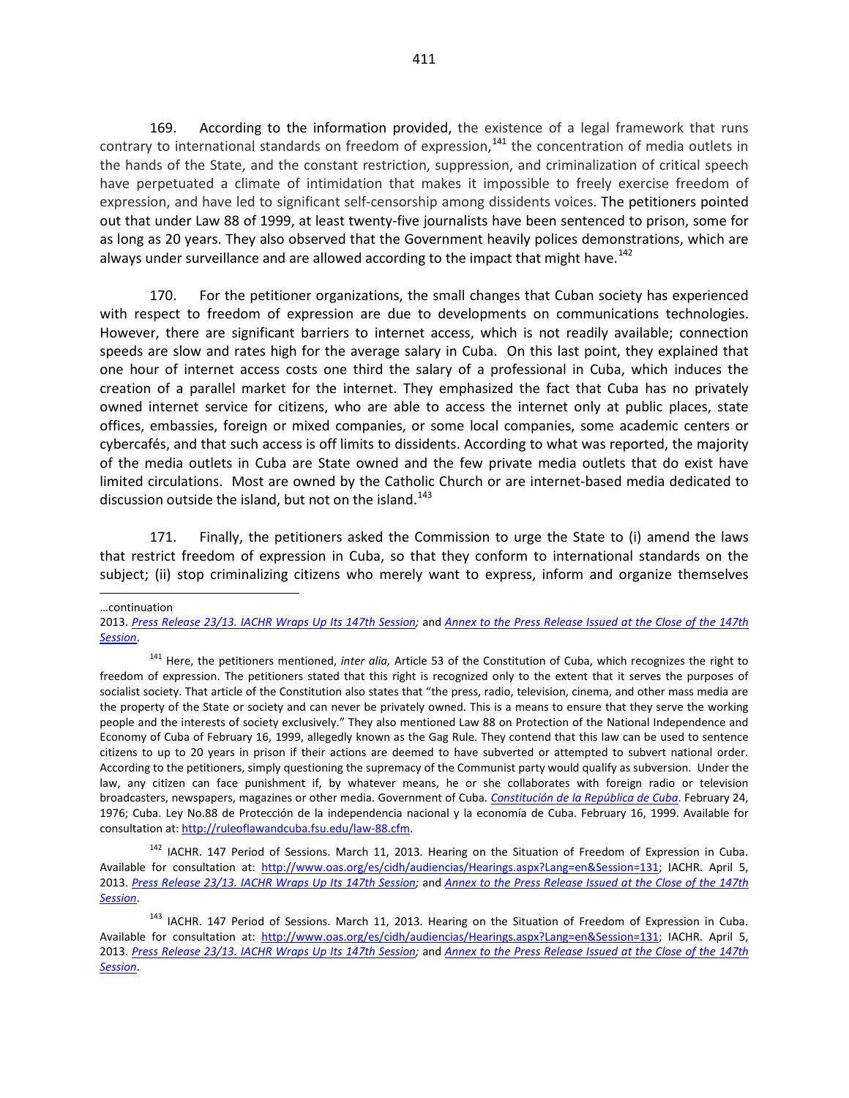169. According to the information provided, the existence of a legal framework that runs contrary to international standards on freedom of expression,<sup>[141](#page-19-0)</sup> the concentration of media outlets in the hands of the State, and the constant restriction, suppression, and criminalization of critical speech have perpetuated a climate of intimidation that makes it impossible to freely exercise freedom of expression, and have led to significant self-censorship among dissidents voices. The petitioners pointed out that under Law 88 of 1999, at least twenty-five journalists have been sentenced to prison, some for as long as 20 years. They also observed that the Government heavily polices demonstrations, which are always under surveillance and are allowed according to the impact that might have.<sup>[142](#page-19-1)</sup>

170. For the petitioner organizations, the small changes that Cuban society has experienced with respect to freedom of expression are due to developments on communications technologies. However, there are significant barriers to internet access, which is not readily available; connection speeds are slow and rates high for the average salary in Cuba. On this last point, they explained that one hour of internet access costs one third the salary of a professional in Cuba, which induces the creation of a parallel market for the internet. They emphasized the fact that Cuba has no privately owned internet service for citizens, who are able to access the internet only at public places, state offices, embassies, foreign or mixed companies, or some local companies, some academic centers or cybercafés, and that such access is off limits to dissidents. According to what was reported, the majority of the media outlets in Cuba are State owned and the few private media outlets that do exist have limited circulations. Most are owned by the Catholic Church or are internet-based media dedicated to discussion outside the island, but not on the island. $143$ 

171. Finally, the petitioners asked the Commission to urge the State to (i) amend the laws that restrict freedom of expression in Cuba, so that they conform to international standards on the subject; (ii) stop criminalizing citizens who merely want to express, inform and organize themselves

…continuation

 $\overline{a}$ 

<sup>2013.</sup> *[Press Release 23/13. IACHR Wraps Up Its 147th Session;](http://www.oas.org/en/iachr/media_center/PReleases/2013/023.asp)* and *[Annex to the Press Release Issued at the Close of the 147th](http://www.oas.org/en/iachr/media_center/PReleases/2013/023A.asp)  [Session](http://www.oas.org/en/iachr/media_center/PReleases/2013/023A.asp)*.

<span id="page-19-0"></span><sup>141</sup> Here, the petitioners mentioned, *inter alia,* Article 53 of the Constitution of Cuba, which recognizes the right to freedom of expression. The petitioners stated that this right is recognized only to the extent that it serves the purposes of socialist society. That article of the Constitution also states that "the press, radio, television, cinema, and other mass media are the property of the State or society and can never be privately owned. This is a means to ensure that they serve the working people and the interests of society exclusively." They also mentioned Law 88 on Protection of the National Independence and Economy of Cuba of February 16, 1999, allegedly known as the Gag Rule. They contend that this law can be used to sentence citizens to up to 20 years in prison if their actions are deemed to have subverted or attempted to subvert national order. According to the petitioners, simply questioning the supremacy of the Communist party would qualify as subversion. Under the law, any citizen can face punishment if, by whatever means, he or she collaborates with foreign radio or television broadcasters, newspapers, magazines or other media. Government of Cuba. *[Constitución de la República de Cuba](http://www.cuba.cu/gobierno/cuba.htm)*. February 24, 1976; Cuba. Ley No.88 de Protección de la independencia nacional y la economía de Cuba. February 16, 1999. Available for consultation at[: http://ruleoflawandcuba.fsu.edu/law-88.cfm.](http://ruleoflawandcuba.fsu.edu/law-88.cfm)

<span id="page-19-1"></span><sup>&</sup>lt;sup>142</sup> IACHR. 147 Period of Sessions. March 11, 2013. Hearing on the Situation of Freedom of Expression in Cuba. Available for consultation at: [http://www.oas.org/es/cidh/audiencias/Hearings.aspx?Lang=en&Session=131;](http://www.oas.org/es/cidh/audiencias/Hearings.aspx?Lang=en&Session=131) IACHR. April 5, 2013. *[Press Release 23/13. IACHR Wraps Up Its 147th Session;](http://www.oas.org/en/iachr/media_center/PReleases/2013/023.asp)* and *[Annex to the Press Release Issued at the Close of the 147th](http://www.oas.org/en/iachr/media_center/PReleases/2013/023A.asp)  [Session](http://www.oas.org/en/iachr/media_center/PReleases/2013/023A.asp)*.

<span id="page-19-2"></span><sup>&</sup>lt;sup>143</sup> IACHR. 147 Period of Sessions. March 11, 2013. Hearing on the Situation of Freedom of Expression in Cuba. Available for consultation at: [http://www.oas.org/es/cidh/audiencias/Hearings.aspx?Lang=en&Session=131;](http://www.oas.org/es/cidh/audiencias/Hearings.aspx?Lang=en&Session=131) IACHR. April 5, 2013. *[Press Release 23/13. IACHR Wraps Up Its 147th Session;](http://www.oas.org/en/iachr/media_center/PReleases/2013/023.asp)* and *[Annex to the Press Release Issued at the Close of the 147th](http://www.oas.org/en/iachr/media_center/PReleases/2013/023A.asp)  [Session](http://www.oas.org/en/iachr/media_center/PReleases/2013/023A.asp)*.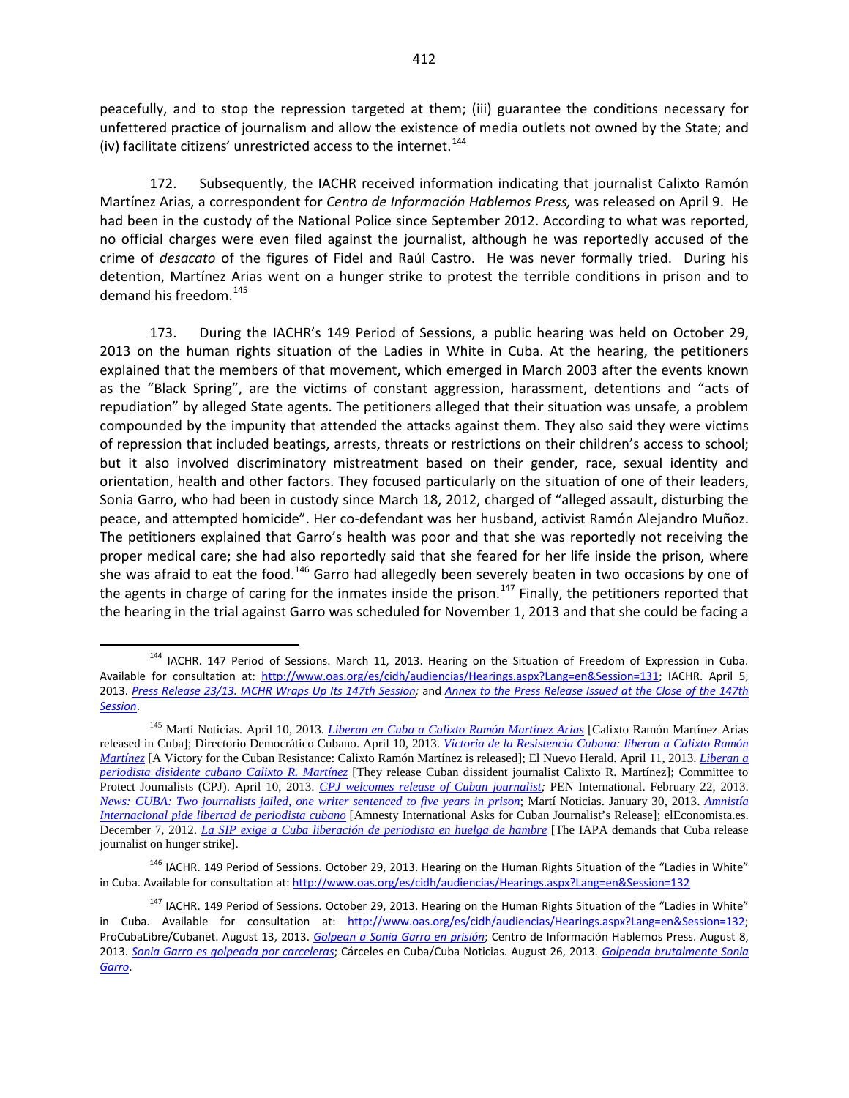peacefully, and to stop the repression targeted at them; (iii) guarantee the conditions necessary for unfettered practice of journalism and allow the existence of media outlets not owned by the State; and (iv) facilitate citizens' unrestricted access to the internet.<sup>[144](#page-20-0)</sup>

172. Subsequently, the IACHR received information indicating that journalist Calixto Ramón Martínez Arias, a correspondent for *Centro de Información Hablemos Press,* was released on April 9. He had been in the custody of the National Police since September 2012. According to what was reported, no official charges were even filed against the journalist, although he was reportedly accused of the crime of *desacato* of the figures of Fidel and Raúl Castro. He was never formally tried. During his detention, Martínez Arias went on a hunger strike to protest the terrible conditions in prison and to demand his freedom. $145$ 

173. During the IACHR's 149 Period of Sessions, a public hearing was held on October 29, 2013 on the human rights situation of the Ladies in White in Cuba. At the hearing, the petitioners explained that the members of that movement, which emerged in March 2003 after the events known as the "Black Spring", are the victims of constant aggression, harassment, detentions and "acts of repudiation" by alleged State agents. The petitioners alleged that their situation was unsafe, a problem compounded by the impunity that attended the attacks against them. They also said they were victims of repression that included beatings, arrests, threats or restrictions on their children's access to school; but it also involved discriminatory mistreatment based on their gender, race, sexual identity and orientation, health and other factors. They focused particularly on the situation of one of their leaders, Sonia Garro, who had been in custody since March 18, 2012, charged of "alleged assault, disturbing the peace, and attempted homicide". Her co-defendant was her husband, activist Ramón Alejandro Muñoz. The petitioners explained that Garro's health was poor and that she was reportedly not receiving the proper medical care; she had also reportedly said that she feared for her life inside the prison, where she was afraid to eat the food.<sup>[146](#page-20-2)</sup> Garro had allegedly been severely beaten in two occasions by one of the agents in charge of caring for the inmates inside the prison.<sup>[147](#page-20-3)</sup> Finally, the petitioners reported that the hearing in the trial against Garro was scheduled for November 1, 2013 and that she could be facing a

<span id="page-20-0"></span><sup>&</sup>lt;sup>144</sup> IACHR. 147 Period of Sessions. March 11, 2013. Hearing on the Situation of Freedom of Expression in Cuba. Available for consultation at: [http://www.oas.org/es/cidh/audiencias/Hearings.aspx?Lang=en&Session=131;](http://www.oas.org/es/cidh/audiencias/Hearings.aspx?Lang=en&Session=131) IACHR. April 5, 2013. *[Press Release 23/13. IACHR Wraps Up Its 147th Session;](http://www.oas.org/en/iachr/media_center/PReleases/2013/023.asp)* and *[Annex to the Press Release Issued at the Close of the 147th](http://www.oas.org/en/iachr/media_center/PReleases/2013/023A.asp)  [Session](http://www.oas.org/en/iachr/media_center/PReleases/2013/023A.asp)*.

<span id="page-20-1"></span><sup>145</sup> Martí Noticias. April 10, 2013. *Liberan [en Cuba a Calixto Ramón Martínez Arias](http://www.martinoticias.com/media/video/21362.html)* [Calixto Ramón Martínez Arias released in Cuba]; Directorio Democrático Cubano. April 10, 2013. *Victoria [de la Resistencia Cubana: liberan a Calixto Ramón](http://www.directorio.org/comunicadosdeprensa/note.php?note_id=3441)  [Martínez](http://www.directorio.org/comunicadosdeprensa/note.php?note_id=3441)* [A Victory for the Cuban Resistance: Calixto Ramón Martínez is released]; El Nuevo Herald. April 11, 2013. *[Liberan a](http://www.elnuevoherald.com/2013/04/11/1451039/liberan-a-periodista-disidente.html#storylink=cpy)  [periodista disidente cubano Calixto R. Martínez](http://www.elnuevoherald.com/2013/04/11/1451039/liberan-a-periodista-disidente.html#storylink=cpy)* [They release Cuban dissident journalist Calixto R. Martínez]; Committee to Protect Journalists (CPJ). April 10, 2013. *[CPJ welcomes release of Cuban journalist;](https://www.cpj.org/2013/04/cpj-welcomes-release-of-cuban-journalist.php)* PEN International. February 22, 2013. *News: CUBA: Two journalists [jailed, one writer sentenced to five years in prison](http://www.pen-international.org/newsitems/cuba-two-journalists-jailed-one-writer-sentenced-to-five-years-in-prison/)*; Martí Noticias. January 30, 2013. *[Amnistía](http://www.martinoticias.com/content/calixto-ramon-libertad-cuba/18999.html)  [Internacional pide libertad de periodista cubano](http://www.martinoticias.com/content/calixto-ramon-libertad-cuba/18999.html)* [Amnesty International Asks for Cuban Journalist's Release]; elEconomista.es. December 7, 2012. *[La SIP exige a Cuba liberación de periodista en huelga de hambre](http://ecodiario.eleconomista.es/internacional/noticias/4455593/12/12/La-SIP-exige-a-Cuba-liberacion-de-periodista-en-huelga-de-hambre.html)* [The IAPA demands that Cuba release journalist on hunger strike].

<span id="page-20-2"></span><sup>&</sup>lt;sup>146</sup> IACHR. 149 Period of Sessions. October 29, 2013. Hearing on the Human Rights Situation of the "Ladies in White" in Cuba. Available for consultation at: <http://www.oas.org/es/cidh/audiencias/Hearings.aspx?Lang=en&Session=132>

<span id="page-20-3"></span><sup>&</sup>lt;sup>147</sup> IACHR. 149 Period of Sessions. October 29, 2013. Hearing on the Human Rights Situation of the "Ladies in White" in Cuba. Available for consultation at: [http://www.oas.org/es/cidh/audiencias/Hearings.aspx?Lang=en&Session=132;](http://www.oas.org/es/cidh/audiencias/Hearings.aspx?Lang=en&Session=132) ProCubaLibre/Cubanet. August 13, 2013. *[Golpean a Sonia Garro en prisión](http://www.procubalibre.org/nota.asp?id=14302)*; Centro de Información Hablemos Press. August 8, 2013. *[Sonia Garro es golpeada por carceleras](http://www.cihpress.com/2013/08/sonia-garro-es-golpeada-por-carceleras.html)*; Cárceles en Cuba/Cuba Noticias. August 26, 2013. *[Golpeada brutalmente Sonia](http://carcelesencuba.blogspot.com/2013/08/golpeada-brutalmente-sonia-garro.html)  [Garro](http://carcelesencuba.blogspot.com/2013/08/golpeada-brutalmente-sonia-garro.html)*.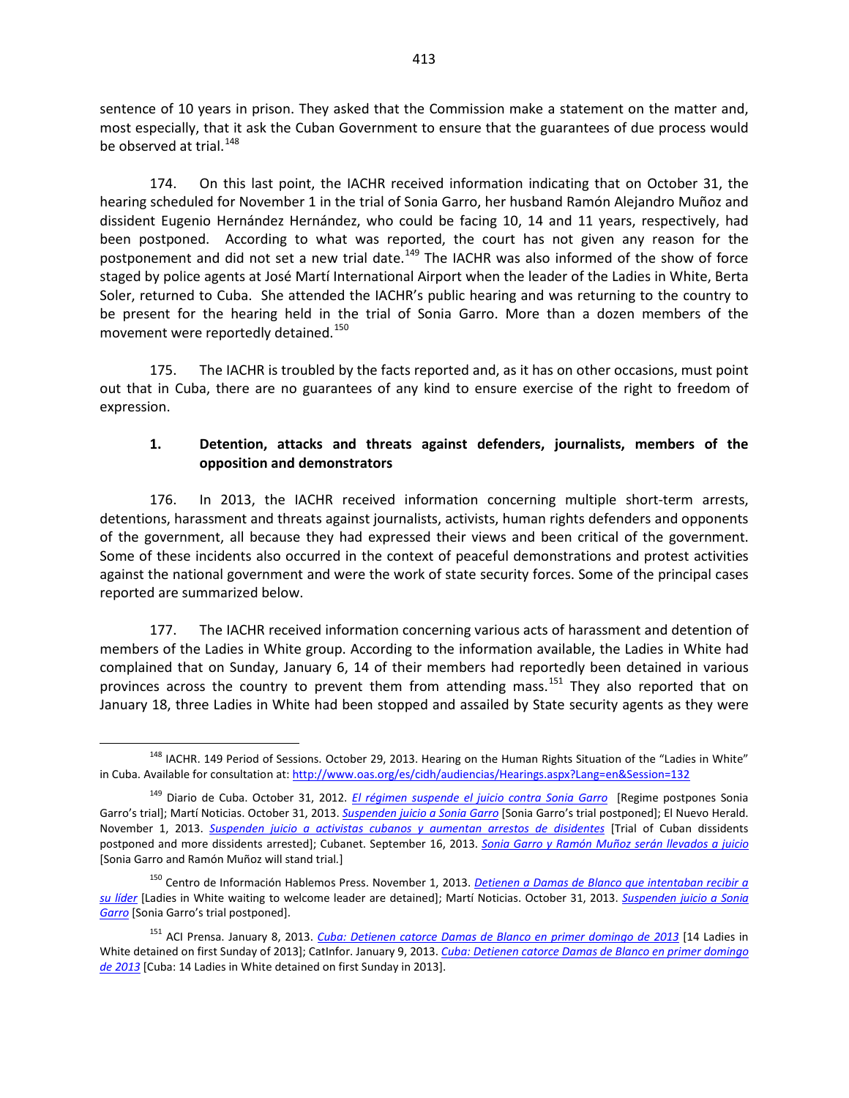sentence of 10 years in prison. They asked that the Commission make a statement on the matter and, most especially, that it ask the Cuban Government to ensure that the guarantees of due process would be observed at trial.<sup>[148](#page-21-0)</sup>

174. On this last point, the IACHR received information indicating that on October 31, the hearing scheduled for November 1 in the trial of Sonia Garro, her husband Ramón Alejandro Muñoz and dissident Eugenio Hernández Hernández, who could be facing 10, 14 and 11 years, respectively, had been postponed. According to what was reported, the court has not given any reason for the postponement and did not set a new trial date.<sup>[149](#page-21-1)</sup> The IACHR was also informed of the show of force staged by police agents at José Martí International Airport when the leader of the Ladies in White, Berta Soler, returned to Cuba. She attended the IACHR's public hearing and was returning to the country to be present for the hearing held in the trial of Sonia Garro. More than a dozen members of the movement were reportedly detained.<sup>[150](#page-21-2)</sup>

175. The IACHR is troubled by the facts reported and, as it has on other occasions, must point out that in Cuba, there are no guarantees of any kind to ensure exercise of the right to freedom of expression.

### **1. Detention, attacks and threats against defenders, journalists, members of the opposition and demonstrators**

176. In 2013, the IACHR received information concerning multiple short-term arrests, detentions, harassment and threats against journalists, activists, human rights defenders and opponents of the government, all because they had expressed their views and been critical of the government. Some of these incidents also occurred in the context of peaceful demonstrations and protest activities against the national government and were the work of state security forces. Some of the principal cases reported are summarized below.

177. The IACHR received information concerning various acts of harassment and detention of members of the Ladies in White group. According to the information available, the Ladies in White had complained that on Sunday, January 6, 14 of their members had reportedly been detained in various provinces across the country to prevent them from attending mass.<sup>[151](#page-21-3)</sup> They also reported that on January 18, three Ladies in White had been stopped and assailed by State security agents as they were

<span id="page-21-0"></span><sup>&</sup>lt;sup>148</sup> IACHR. 149 Period of Sessions. October 29, 2013. Hearing on the Human Rights Situation of the "Ladies in White" in Cuba. Available for consultation at: <http://www.oas.org/es/cidh/audiencias/Hearings.aspx?Lang=en&Session=132>

<span id="page-21-1"></span><sup>149</sup> Diario de Cuba. October 31, 2012. *[El régimen suspende el juicio contra Sonia Garro](http://www.diariodecuba.com/derechos-humanos/1383238672_5741.html)* [Regime postpones Sonia Garro's trial]; Martí Noticias. October 31, 2013. *[Suspenden juicio a Sonia Garro](http://www.martinoticias.com/content/cuba-damasdeblanco-berta-soler-sonia-garro/28812.html)* [Sonia Garro's trial postponed]; El Nuevo Herald. November 1, 2013. *[Suspenden juicio a activistas cubanos y aumentan arrestos de disidentes](http://www.elnuevoherald.com/2013/11/01/1605168/suspenden-juicio-a-activistas.html)* [Trial of Cuban dissidents postponed and more dissidents arrested]; Cubanet. September 16, 2013. *[Sonia Garro y Ramón Muñoz serán llevados a juicio](http://www.cubanet.org/noticias/sonia-garro-y-ramon-munoz-seran-llevados-a-juicio/)* [Sonia Garro and Ramón Muñoz will stand trial*.*]

<span id="page-21-2"></span><sup>150</sup> Centro de Información Hablemos Press. November 1, 2013. *[Detienen a Damas de Blanco que intentaban recibir a](http://www.cihpress.com/2013/11/detienen-damas-de-blanco-que-intentaban.html)  [su líder](http://www.cihpress.com/2013/11/detienen-damas-de-blanco-que-intentaban.html)* [Ladies in White waiting to welcome leader are detained]; Martí Noticias. October 31, 2013. *[Suspenden juicio a Sonia](http://www.martinoticias.com/content/cuba-damasdeblanco-berta-soler-sonia-garro/28812.html)  [Garro](http://www.martinoticias.com/content/cuba-damasdeblanco-berta-soler-sonia-garro/28812.html)* [Sonia Garro's trial postponed].

<span id="page-21-3"></span><sup>151</sup> ACI Prensa. January 8, 2013. *[Cuba: Detienen catorce Damas de Blanco en primer domingo de 2013](http://www.aciprensa.com/noticias/cuba-detienen-catorce-damas-de-blanco-en-primer-domingo-de-2013-77401/#.UfA2WtI3vwR)* [14 Ladies in White detained on first Sunday of 2013]; CatInfor. January 9, 2013. *[Cuba: Detienen catorce Damas de Blanco en primer domingo](http://catinfor.com/2013/01/09/cuba-detienen-catorce-damas-de-blanco-en-primer-domingo-de-2013/)  [de 2013](http://catinfor.com/2013/01/09/cuba-detienen-catorce-damas-de-blanco-en-primer-domingo-de-2013/)* [Cuba: 14 Ladies in White detained on first Sunday in 2013].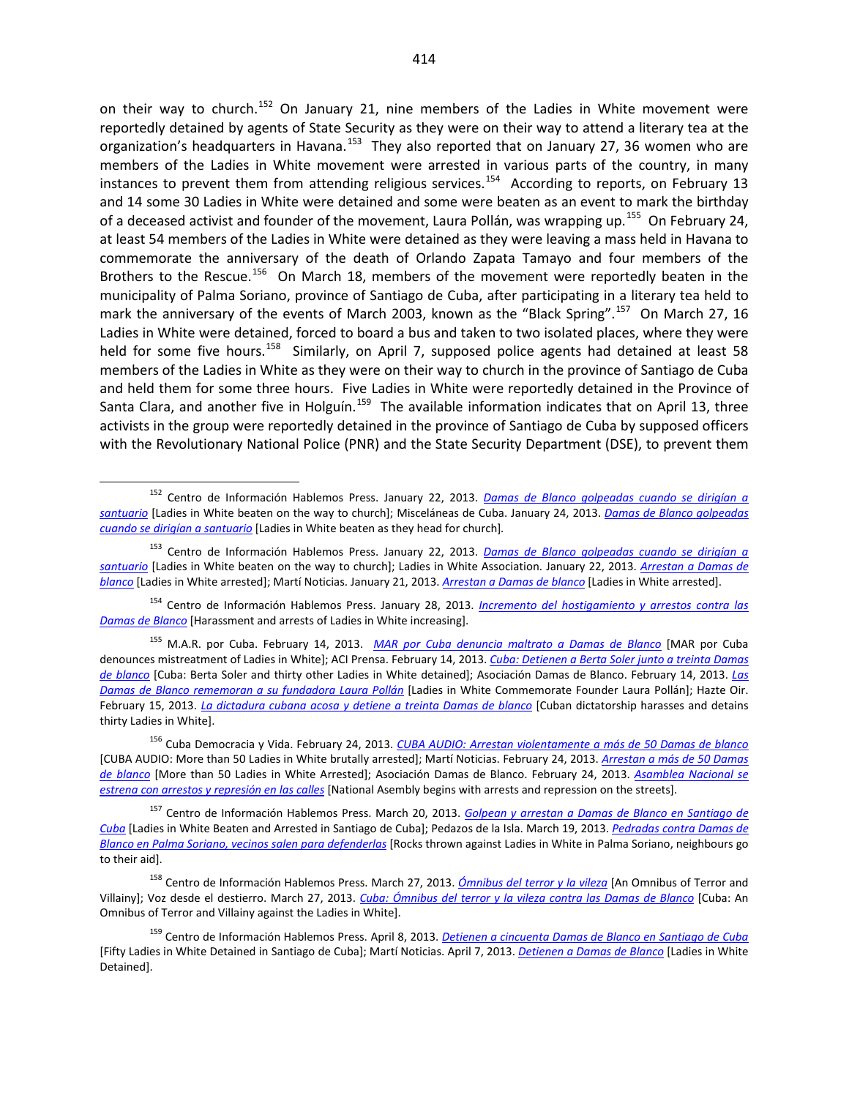on their way to church.<sup>[152](#page-22-0)</sup> On January 21, nine members of the Ladies in White movement were reportedly detained by agents of State Security as they were on their way to attend a literary tea at the organization's headquarters in Havana.<sup>[153](#page-22-1)</sup> They also reported that on January 27, 36 women who are members of the Ladies in White movement were arrested in various parts of the country, in many instances to prevent them from attending religious services.<sup>154</sup> According to reports, on February 13 and 14 some 30 Ladies in White were detained and some were beaten as an event to mark the birthday of a deceased activist and founder of the movement, Laura Pollán, was wrapping up.<sup>[155](#page-22-3)</sup> On February 24, at least 54 members of the Ladies in White were detained as they were leaving a mass held in Havana to commemorate the anniversary of the death of Orlando Zapata Tamayo and four members of the Brothers to the Rescue.<sup>[156](#page-22-4)</sup> On March 18, members of the movement were reportedly beaten in the municipality of Palma Soriano, province of Santiago de Cuba, after participating in a literary tea held to mark the anniversary of the events of March 2003, known as the "Black Spring".<sup>157</sup> On March 27, 16 Ladies in White were detained, forced to board a bus and taken to two isolated places, where they were held for some five hours.<sup>[158](#page-22-6)</sup> Similarly, on April 7, supposed police agents had detained at least 58 members of the Ladies in White as they were on their way to church in the province of Santiago de Cuba and held them for some three hours. Five Ladies in White were reportedly detained in the Province of Santa Clara, and another five in Holguín.<sup>159</sup> The available information indicates that on April 13, three activists in the group were reportedly detained in the province of Santiago de Cuba by supposed officers with the Revolutionary National Police (PNR) and the State Security Department (DSE), to prevent them

<span id="page-22-0"></span><sup>152</sup> Centro de Información Hablemos Press. January 22, 2013. *[Damas de Blanco golpeadas cuando se dirigían a](http://www.cihpress.com/2013/01/damas-de-blanco-golpeadas-cuando-se.html)  [santuario](http://www.cihpress.com/2013/01/damas-de-blanco-golpeadas-cuando-se.html)* [Ladies in White beaten on the way to church]; Misceláneas de Cuba. January 24, 2013. *[Damas de Blanco golpeadas](http://www.miscelaneasdecuba.net/web/Article/Index/51813ac63a682e0f88c52d4c#.UmwzMyj9_KY)  [cuando se dirigían a santuario](http://www.miscelaneasdecuba.net/web/Article/Index/51813ac63a682e0f88c52d4c#.UmwzMyj9_KY)* [Ladies in White beaten as they head for church]*.*

<span id="page-22-1"></span><sup>153</sup> Centro de Información Hablemos Press. January 22, 2013. *[Damas de Blanco golpeadas cuando se dirigían a](http://www.cihpress.com/2013/01/damas-de-blanco-golpeadas-cuando-se.html)  [santuario](http://www.cihpress.com/2013/01/damas-de-blanco-golpeadas-cuando-se.html)* [Ladies in White beaten on the way to church]; Ladies in White Association. January 22, 2013. *[Arrestan a Damas de](http://www.damasdeblanco.org/index.php?option=com_content&view=article&id=1528:arrestan-a-damas-de-blanco&catid=1:archivo-noticias&Itemid=5)  [blanco](http://www.damasdeblanco.org/index.php?option=com_content&view=article&id=1528:arrestan-a-damas-de-blanco&catid=1:archivo-noticias&Itemid=5)* [Ladies in White arrested]; Martí Noticias. January 21, 2013. *[Arrestan a Damas de blanco](http://www.martinoticias.com/content/cuba-damas-de-blanco-centro-habana-seguridad-del-estado/18695.html)* [Ladies in White arrested].

<span id="page-22-2"></span><sup>154</sup> Centro de Información Hablemos Press. January 28, 2013. *[Incremento del hostigamiento y arrestos contra las](http://www.cihpress.com/2013/01/incremento-del-hostigamiento-y-arrestos.html)  [Damas de Blanco](http://www.cihpress.com/2013/01/incremento-del-hostigamiento-y-arrestos.html)* [Harassment and arrests of Ladies in White increasing].

<span id="page-22-3"></span><sup>155</sup> M.A.R. por Cuba. February 14, 2013. *[MAR por Cuba denuncia maltrato a Damas de Blanco](http://www.marporcuba.org/?p=3126)* [MAR por Cuba denounces mistreatment of Ladies in White]; ACI Prensa. February 14, 2013. *[Cuba: Detienen a Berta Soler junto a treinta Damas](http://www.aciprensa.com/noticias/cuba-detienen-a-berta-soler-junto-a-treinta-damas-de-blanco-65614/#.Ue_9uNI3vwQ)  [de blanco](http://www.aciprensa.com/noticias/cuba-detienen-a-berta-soler-junto-a-treinta-damas-de-blanco-65614/#.Ue_9uNI3vwQ)* [Cuba: Berta Soler and thirty other Ladies in White detained]; Asociación Damas de Blanco. February 14, 2013. *[Las](http://www.damasdeblanco.org/index.php?option=com_content&view=article&id=1545:las-damas-de-blanco-rememoran-a-su-fundadora-laura-pollan&catid=1:archivo-noticias&Itemid=5)  [Damas de Blanco rememoran a su fundadora Laura Pollán](http://www.damasdeblanco.org/index.php?option=com_content&view=article&id=1545:las-damas-de-blanco-rememoran-a-su-fundadora-laura-pollan&catid=1:archivo-noticias&Itemid=5)* [Ladies in White Commemorate Founder Laura Pollán]; Hazte Oir. February 15, 2013. *[La dictadura cubana acosa y detiene a treinta Damas de blanco](http://www.hazteoir.org/noticia/50807-dictadura-cubana-acosa-y-detiene-treinta-damas-blanco)* [Cuban dictatorship harasses and detains thirty Ladies in White].

<span id="page-22-4"></span><sup>156</sup> Cuba Democracia y Vida. February 24, 2013. *CUBA AUDIO: [Arrestan violentamente a más de 50 Damas de blanco](http://cubademocraciayvida.org/web/article.asp?artID=20338)* [CUBA AUDIO: More than 50 Ladies in White brutally arrested]; Martí Noticias. February 24, 2013. *[Arrestan a más de 50 Damas](http://www.martinoticias.com/content/damas-de-blanco-cuba-violemcia-arrestos/19814.html)  [de blanco](http://www.martinoticias.com/content/damas-de-blanco-cuba-violemcia-arrestos/19814.html)* [More than 50 Ladies in White Arrested]; Asociación Damas de Blanco. February 24, 2013. *[Asamblea Nacional se](http://www.damasdeblanco.org/index.php?option=com_content&view=article&id=1558:asamblea-nacional-se-estrena-con-arrestos-y-represion-en-las-calles&catid=1:archivo-noticias&Itemid=5)  [estrena con arrestos y represión en las calles](http://www.damasdeblanco.org/index.php?option=com_content&view=article&id=1558:asamblea-nacional-se-estrena-con-arrestos-y-represion-en-las-calles&catid=1:archivo-noticias&Itemid=5)* [National Asembly begins with arrests and repression on the streets].

<span id="page-22-5"></span><sup>157</sup> Centro de Información Hablemos Press. March 20, 2013. *[Golpean y arrestan a Damas de Blanco en Santiago de](http://www.cihpress.com/2013/03/golpean-y-arrestan-damas-de-blanco-en.html)  [Cuba](http://www.cihpress.com/2013/03/golpean-y-arrestan-damas-de-blanco-en.html)* [Ladies in White Beaten and Arrested in Santiago de Cuba]; Pedazos de la Isla. March 19, 2013. *[Pedradas contra Damas de](http://pedazosdelaisla.wordpress.com/2013/03/19/pedradas-contra-damas-de-blanco-en-palma-soriano-vecinos-salen-para-defenderlas/)  [Blanco en Palma Soriano, vecinos salen para defenderlas](http://pedazosdelaisla.wordpress.com/2013/03/19/pedradas-contra-damas-de-blanco-en-palma-soriano-vecinos-salen-para-defenderlas/)* [Rocks thrown against Ladies in White in Palma Soriano, neighbours go to their aid].

<span id="page-22-6"></span><sup>158</sup> Centro de Información Hablemos Press. March 27, 2013. *[Ómnibus del terror y la vileza](http://www.cihpress.com/2013/03/omnibus-del-terror-y-la-vileza.html)* [An Omnibus of Terror and Villainy]; Voz desde el destierro. March 27, 2013. *[Cuba: Ómnibus del terror y la vileza contra las Damas de Blanco](http://vozdesdeeldestierro.juancarlosherreraacosta.over-blog.es/article-cuba-omnibus-del-terror-y-la-vileza-contra-las-damas-de-blanco-116586046.html)* [Cuba: An Omnibus of Terror and Villainy against the Ladies in White].

<span id="page-22-7"></span><sup>159</sup> Centro de Información Hablemos Press. April 8, 2013. *[Detienen a cincuenta Damas de Blanco en Santiago de Cuba](http://www.cihpress.com/2013/04/detienen-cincuenta-damas-de-blanco-en.html)* [Fifty Ladies in White Detained in Santiago de Cuba]; Martí Noticias. April 7, 2013. *[Detienen a Damas de Blanco](http://www.martinoticias.com/content/detienen-damas-de-blanco-cobre/21239.html)* [Ladies in White Detained].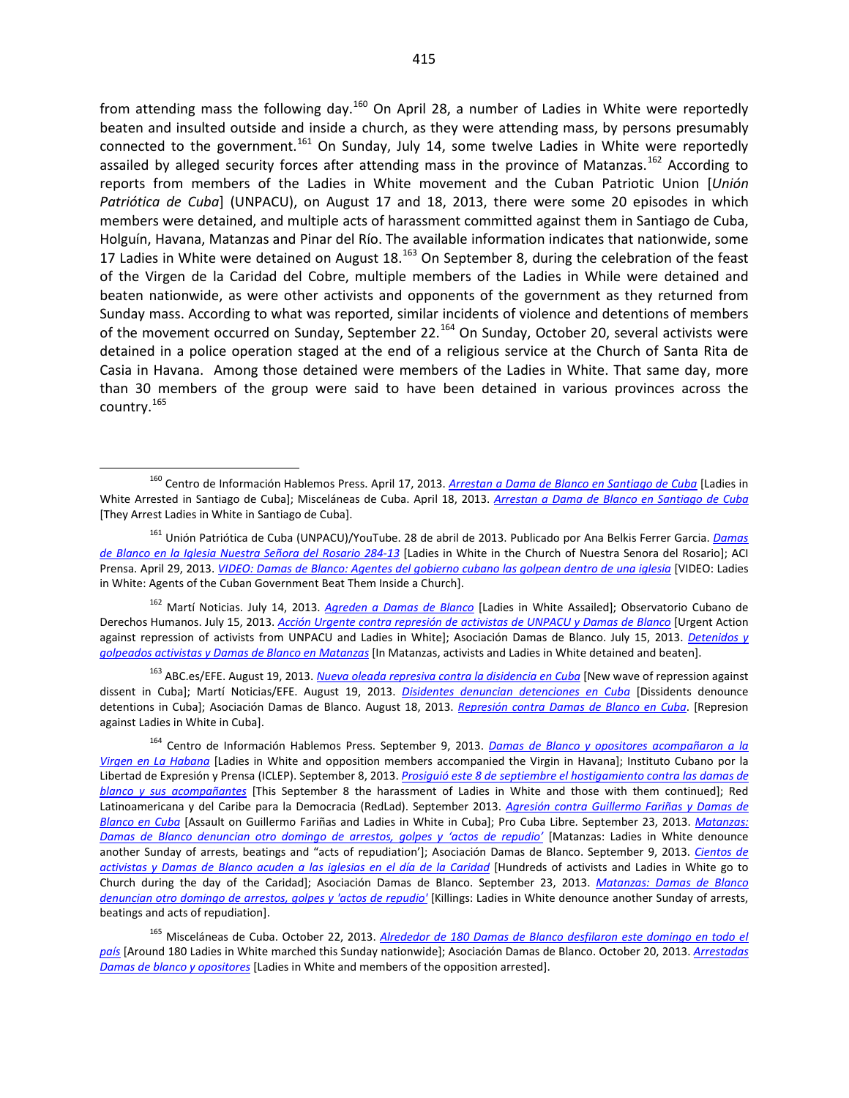from attending mass the following day.<sup>[160](#page-23-0)</sup> On April 28, a number of Ladies in White were reportedly beaten and insulted outside and inside a church, as they were attending mass, by persons presumably connected to the government.<sup>[161](#page-23-1)</sup> On Sunday, July 14, some twelve Ladies in White were reportedly assailed by alleged security forces after attending mass in the province of Matanzas.<sup>[162](#page-23-2)</sup> According to reports from members of the Ladies in White movement and the Cuban Patriotic Union [*Unión Patriótica de Cuba*] (UNPACU), on August 17 and 18, 2013, there were some 20 episodes in which members were detained, and multiple acts of harassment committed against them in Santiago de Cuba, Holguín, Havana, Matanzas and Pinar del Río. The available information indicates that nationwide, some 17 Ladies in White were detained on August  $18.^{163}$  $18.^{163}$  $18.^{163}$  On September 8, during the celebration of the feast of the Virgen de la Caridad del Cobre, multiple members of the Ladies in While were detained and beaten nationwide, as were other activists and opponents of the government as they returned from Sunday mass. According to what was reported, similar incidents of violence and detentions of members of the movement occurred on Sunday, September 22.<sup>[164](#page-23-4)</sup> On Sunday, October 20, several activists were detained in a police operation staged at the end of a religious service at the Church of Santa Rita de Casia in Havana. Among those detained were members of the Ladies in White. That same day, more than 30 members of the group were said to have been detained in various provinces across the country.[165](#page-23-5)

<span id="page-23-2"></span><sup>162</sup> Martí Noticias. July 14, 2013. *[Agreden a Damas de Blanco](http://www.martinoticias.com/content/damas-golpeadas-colon-matanzas-/24380.html)* [Ladies in White Assailed]; Observatorio Cubano de Derechos Humanos. July 15, 2013. *[Acción Urgente contra represión de activistas de UNPACU y Damas de Blanco](http://observacuba.org/accion-urgente-contra-represion-de-activistas-de-unpacu-y-damas-de-blanco/)* [Urgent Action against repression of activists from UNPACU and Ladies in White]; Asociación Damas de Blanco. July 15, 2013. *[Detenidos y](http://www.damasdeblanco.org/index.php?option=com_content&view=article&id=1665:detenidos-y-golpeados-activistas-y-damas-de-blanco-en-matanzas&catid=1:archivo-noticias&Itemid=5)  [golpeados activistas y Damas de Blanco en Matanzas](http://www.damasdeblanco.org/index.php?option=com_content&view=article&id=1665:detenidos-y-golpeados-activistas-y-damas-de-blanco-en-matanzas&catid=1:archivo-noticias&Itemid=5)* [In Matanzas, activists and Ladies in White detained and beaten].

<span id="page-23-3"></span><sup>163</sup> ABC.es/EFE. August 19, 2013. *[Nueva oleada represiva contra la disidencia en Cuba](http://www.abc.es/internacional/20130819/abci-disidentes-cubanos-denuncian-nueva-201308191837.html)* [New wave of repression against dissent in Cuba]; Martí Noticias/EFE. August 19, 2013. *[Disidentes denuncian detenciones en Cuba](http://www.martinoticias.com/content/cuba-detenciones-disidentes-damas-de-blanco/26525.html)* [Dissidents denounce detentions in Cuba]; Asociación Damas de Blanco. August 18, 2013. *[Represión contra Damas de Blanco en Cuba](http://www.damasdeblanco.org/index.php?option=com_content&view=article&id=1686:represion-contra-damas-de-blanco-en-cuba&catid=1:archivo-noticias&Itemid=5)*. [Represion against Ladies in White in Cuba].

<span id="page-23-0"></span><sup>160</sup> Centro de Información Hablemos Press. April 17, 2013. *[Arrestan a Dama de Blanco en Santiago de Cuba](http://www.cihpress.com/2013/04/arrestan-dama-de-blanco-en-santiago-de.html)* [Ladies in White Arrested in Santiago de Cuba]; Misceláneas de Cuba. April 18, 2013. *[Arrestan a Dama de Blanco en Santiago de Cuba](http://www.miscelaneasdecuba.net/web/Article/Index/51813c4b3a682e0f88c5303e#.UfAiW9I3vwQ)* [They Arrest Ladies in White in Santiago de Cuba].

<span id="page-23-1"></span><sup>161</sup> Unión Patriótica de Cuba (UNPACU)/YouTube. 28 de abril de 2013. Publicado por Ana Belkis Ferrer Garcia. *[Damas](http://www.youtube.com/watch?v=3QxY1XrRHQI#t=20)  [de Blanco en la Iglesia Nuestra Señora del Rosario 284-13](http://www.youtube.com/watch?v=3QxY1XrRHQI#t=20)* [Ladies in White in the Church of Nuestra Senora del Rosario]; ACI Prensa. April 29, 2013. *[VIDEO: Damas de Blanco: Agentes del gobierno cubano las golpean dentro de una iglesia](http://www.aciprensa.com/noticias/damas-de-blanco-agentes-del-gobierno-cubano-las-golpean-dentro-de-una-iglesia-98305/#.UfA4ztI3vwR)* [VIDEO: Ladies in White: Agents of the Cuban Government Beat Them Inside a Church].

<span id="page-23-4"></span><sup>164</sup> Centro de Información Hablemos Press. September 9, 2013. *[Damas de Blanco y opositores acompañaron a la](http://www.cihpress.com/2013/09/damas-de-blanco-y-opositores.html)  [Virgen en La Habana](http://www.cihpress.com/2013/09/damas-de-blanco-y-opositores.html)* [Ladies in White and opposition members accompanied the Virgin in Havana]; Instituto Cubano por la Libertad de Expresión y Prensa (ICLEP). September 8, 2013. *[Prosiguió este 8 de septiembre el hostigamiento contra las damas de](http://iclep.org/prosiguio-este-8-de-septiembre-el-hostigamiento-contra-las-damas-de-blanco-y-sus-acompanantes/)  [blanco y sus acompañantes](http://iclep.org/prosiguio-este-8-de-septiembre-el-hostigamiento-contra-las-damas-de-blanco-y-sus-acompanantes/)* [This September 8 the harassment of Ladies in White and those with them continued]; Red Latinoamericana y del Caribe para la Democracia (RedLad). September 2013. *[Agresión contra Guillermo Fariñas y Damas de](http://www.redlad.org/node/191)  [Blanco en Cuba](http://www.redlad.org/node/191)* [Assault on Guillermo Fariñas and Ladies in White in Cuba]; Pro Cuba Libre. September 23, 2013. *[Matanzas:](http://www.procubalibre.org/nota.asp?id=14371)  [Damas de Blanco denuncian otro domingo de arrestos, golpes y 'actos de repudio'](http://www.procubalibre.org/nota.asp?id=14371)* [Matanzas: Ladies in White denounce another Sunday of arrests, beatings and "acts of repudiation']; Asociación Damas de Blanco. September 9, 2013. *[Cientos de](http://www.damasdeblanco.org/index.php?option=com_content&view=article&id=1700:cientos-de-activistas-y-damas-de-blanco-acuden-a-las-iglesias-en-el-dia-de-la-caridad&catid=1:archivo-noticias&Itemid=5)  [activistas y Damas de Blanco acuden a las iglesias en el día](http://www.damasdeblanco.org/index.php?option=com_content&view=article&id=1700:cientos-de-activistas-y-damas-de-blanco-acuden-a-las-iglesias-en-el-dia-de-la-caridad&catid=1:archivo-noticias&Itemid=5) de la Caridad* [Hundreds of activists and Ladies in White go to Church during the day of the Caridad]; Asociación Damas de Blanco. September 23, 2013. *[Matanzas: Damas de Blanco](http://www.damasdeblanco.org/index.php?option=com_content&view=article&id=1707:matanzas-damas-de-blanco-denuncian-otro-domingo-de-arrestos-golpes-y-actos-de-repudio&catid=1:archivo-noticias&Itemid=5)  [denuncian otro domingo de arrestos, golpes y 'actos de repudio'](http://www.damasdeblanco.org/index.php?option=com_content&view=article&id=1707:matanzas-damas-de-blanco-denuncian-otro-domingo-de-arrestos-golpes-y-actos-de-repudio&catid=1:archivo-noticias&Itemid=5)* [Killings: Ladies in White denounce another Sunday of arrests, beatings and acts of repudiation].

<span id="page-23-5"></span><sup>165</sup> Misceláneas de Cuba. October 22, 2013. *[Alrededor de 180 Damas de Blanco desfilaron este domingo en](http://www.miscelaneasdecuba.net/web/Article/Index/526629393a682e0f08af18c4) todo el [país](http://www.miscelaneasdecuba.net/web/Article/Index/526629393a682e0f08af18c4)* [Around 180 Ladies in White marched this Sunday nationwide]; Asociación Damas de Blanco. October 20, 2013. *[Arrestadas](http://www.damasdeblanco.org/index.php?option=com_content&view=article&id=1726:arrestadas-damas-de-blanco-y-opositores&catid=1:archivo-noticias&Itemid=5)  [Damas de blanco y opositores](http://www.damasdeblanco.org/index.php?option=com_content&view=article&id=1726:arrestadas-damas-de-blanco-y-opositores&catid=1:archivo-noticias&Itemid=5)* [Ladies in White and members of the opposition arrested].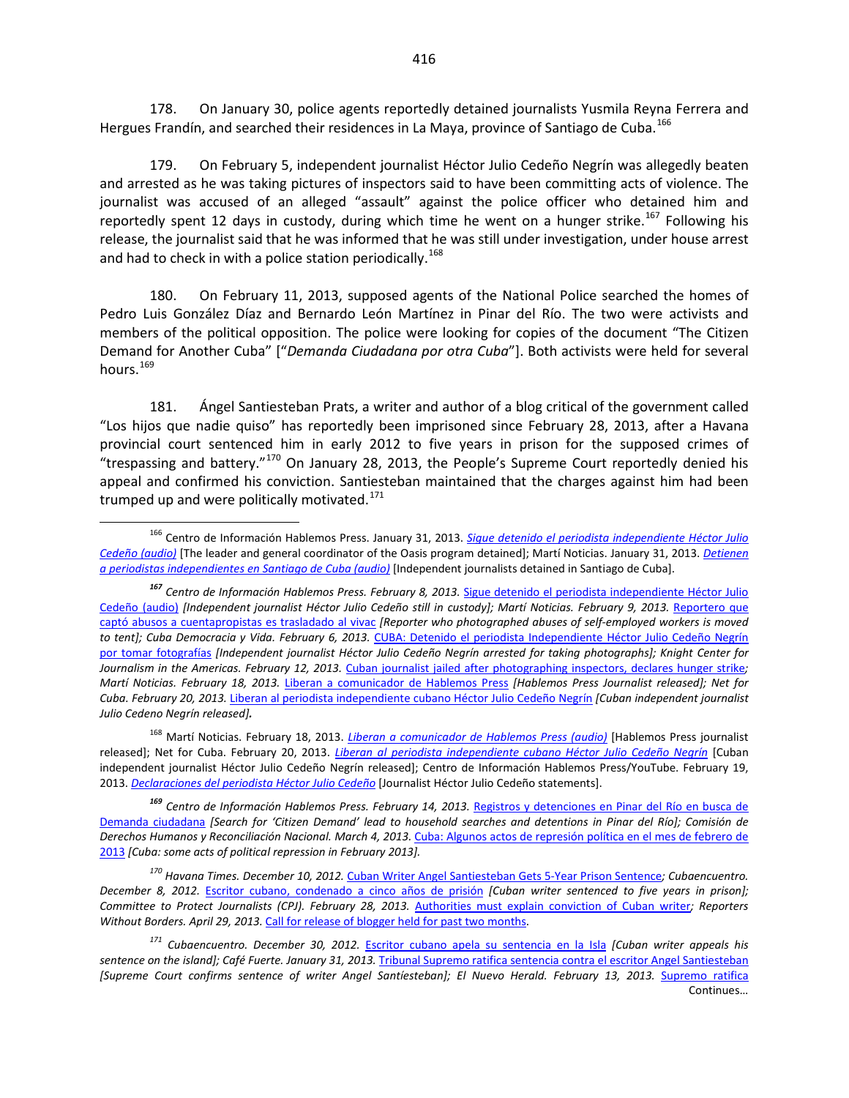178. On January 30, police agents reportedly detained journalists Yusmila Reyna Ferrera and Hergues Frandín, and searched their residences in La Maya, province of Santiago de Cuba.<sup>[166](#page-24-0)</sup>

179. On February 5, independent journalist Héctor Julio Cedeño Negrín was allegedly beaten and arrested as he was taking pictures of inspectors said to have been committing acts of violence. The journalist was accused of an alleged "assault" against the police officer who detained him and reportedly spent 12 days in custody, during which time he went on a hunger strike.<sup>[167](#page-24-1)</sup> Following his release, the journalist said that he was informed that he was still under investigation, under house arrest and had to check in with a police station periodically.<sup>[168](#page-24-2)</sup>

180. On February 11, 2013, supposed agents of the National Police searched the homes of Pedro Luis González Díaz and Bernardo León Martínez in Pinar del Río. The two were activists and members of the political opposition. The police were looking for copies of the document "The Citizen Demand for Another Cuba" ["*Demanda Ciudadana por otra Cuba*"]. Both activists were held for several hours.<sup>[169](#page-24-3)</sup>

181. Ángel Santiesteban Prats, a writer and author of a blog critical of the government called "Los hijos que nadie quiso" has reportedly been imprisoned since February 28, 2013, after a Havana provincial court sentenced him in early 2012 to five years in prison for the supposed crimes of "trespassing and battery." $170$  On January 28, 2013, the People's Supreme Court reportedly denied his appeal and confirmed his conviction. Santiesteban maintained that the charges against him had been trumped up and were politically motivated. $171$ 

<span id="page-24-3"></span>*<sup>169</sup> Centro de Información Hablemos Press. February 14, 2013.* [Registros y detenciones en Pinar del Río en busca de](http://www.cihpress.com/2013/02/registros-y-detenciones-en-pinar-del.html?utm_source=feedburner&utm_medium=email&utm_campaign=Feed%3A+Cihpress+%28CIHPRESS%29)  [Demanda ciudadana](http://www.cihpress.com/2013/02/registros-y-detenciones-en-pinar-del.html?utm_source=feedburner&utm_medium=email&utm_campaign=Feed%3A+Cihpress+%28CIHPRESS%29) *[Search for 'Citizen Demand' lead to household searches and detentions in Pinar del Río]; Comisión de*  Derechos Humanos y Reconciliación Nacional. March 4, 2013. [Cuba: Algunos actos de represión](http://www.fidh.org/IMG/pdf/informe_ccdhrn_febrero_2013.pdf) política en el mes de febrero de [2013](http://www.fidh.org/IMG/pdf/informe_ccdhrn_febrero_2013.pdf) *[Cuba: some acts of political repression in February 2013].*

<span id="page-24-0"></span><sup>166</sup> Centro de Información Hablemos Press. January 31, 2013. *[Sigue detenido el periodista independiente Héctor Julio](http://www.cihpress.com/2013/02/sigue-detenido-el-periodista.html)  [Cedeño \(audio\)](http://www.cihpress.com/2013/02/sigue-detenido-el-periodista.html)* [The leader and general coordinator of the Oasis program detained]; Martí Noticias. January 31, 2013. *[Detienen](http://www.martinoticias.com/content/detenidos-saniago-de-cuba-hergues-frandin-yusmila/19056.html)  [a periodistas independientes en Santiago de Cuba](http://www.martinoticias.com/content/detenidos-saniago-de-cuba-hergues-frandin-yusmila/19056.html) (audio)* [Independent journalists detained in Santiago de Cuba].

<span id="page-24-1"></span>*<sup>167</sup> Centro de Información Hablemos Press. February 8, 2013.* [Sigue detenido el periodista independiente Héctor Julio](http://www.cihpress.com/2013/02/sigue-detenido-el-periodista.html)  [Cedeño](http://www.cihpress.com/2013/02/sigue-detenido-el-periodista.html) (audio) *[Independent journalist Héctor Julio Cedeño still in custody]; Martí Noticias. February 9, 2013.* [Reportero que](http://www.martinoticias.com/content/cuentapropistas-cuba-hector-julio-cedeno-/19358.html)  [captó abusos a cuentapropistas es trasladado al vivac](http://www.martinoticias.com/content/cuentapropistas-cuba-hector-julio-cedeno-/19358.html) *[Reporter who photographed abuses of self-employed workers is moved to tent]; Cuba Democracia y Vida. February 6, 2013.* [CUBA: Detenido el periodista Independiente Héctor Julio Cedeño Negrín](http://www.cubademocraciayvida.org/web/article.asp?artID=20113)  [por tomar fotografías](http://www.cubademocraciayvida.org/web/article.asp?artID=20113) *[Independent journalist Héctor Julio Cedeño Negrín arrested for taking photographs]; Knight Center for Journalism in the Americas. February 12, 2013.* [Cuban journalist jailed after photographing inspectors, declares hunger strike](https://knightcenter.utexas.edu/blog/00-12927-cuban-journalist-jailed-after-photographing-inspectors-declares-hunger-strike)*; Martí Noticias. February 18, 2013.* [Liberan a comunicador de Hablemos Press](http://www.martinoticias.com/content/liberan-comunicador-hector-julio-hablemos-press/19635.html) *[Hablemos Press Journalist released]; Net for Cuba. February 20, 2013.* [Liberan al periodista independiente cubano Héctor Julio Cedeño Negrín](http://netforcuba.org/liberan-al-periodista-independiente-cubano-hector-julio-cedeno-negrin/) *[Cuban independent journalist Julio Cedeno Negrín released].*

<span id="page-24-2"></span><sup>168</sup> Martí Noticias. February 18, 2013. *[Liberan a comunicador de Hablemos Press](http://www.martinoticias.com/content/liberan-comunicador-hector-julio-hablemos-press/19635.html) (audio)* [Hablemos Press journalist released]; Net for Cuba. February 20, 2013. *[Liberan al periodista independiente cubano Héctor Julio Cedeño Negrín](http://netforcuba.org/liberan-al-periodista-independiente-cubano-hector-julio-cedeno-negrin/)* [Cuban independent journalist Héctor Julio Cedeño Negrín released]; Centro de Información Hablemos Press/YouTube. February 19, 2013. *[Declaraciones del periodista Héctor Julio Cedeño](http://www.youtube.com/watch?v=MBrvB7yy_lE)* [Journalist Héctor Julio Cedeño statements].

<span id="page-24-4"></span>*<sup>170</sup> Havana Times. December 10, 2012.* [Cuban Writer Angel Santiesteban Gets 5-Year Prison Sentence](http://www.havanatimes.org/?p=83399#sthash.X9ppHn2d.dpuf)*; Cubaencuentro. December 8, 2012.* [Escritor cubano, condenado a cinco años de prisión](http://www.cubaencuentro.com/cuba/noticias/escritor-cubano-condenado-a-cinco-anos-de-prision-282080) *[Cuban writer sentenced to five years in prison]; Committee to Protect Journalists (CPJ). February 28, 2013. [Authorities must explain conviction of Cuban writer](https://www.cpj.org/2013/02/authorities-must-explain-conviction-of-cuban-write-1.php#more); Reporters Without Borders. April 29, 2013.* [Call for release of blogger held for past two months.](http://en.rsf.org/cuba-call-for-release-of-blogger-held-29-04-2013,44451.html)

<span id="page-24-5"></span>*<sup>171</sup> Cubaencuentro. December 30, 2012.* [Escritor cubano apela su sentencia en la Isla](http://www.cubaencuentro.com/cultura/noticias/escritor-cubano-apela-su-sentencia-en-la-isla-282463) *[Cuban writer appeals his*  sentence on the island]; Café Fuerte. January 31, 2013. [Tribunal Supremo ratifica sentencia contra el escritor Angel Santiesteban](http://cafefuerte.com/cuba/noticias-de-cuba/sociedad/2540-tribunal-supremo-ratifica-sentencia-contra-el-escritor-angel-santiesteban) *[Supreme Court confirms sentence of writer Angel Santíesteban]; El Nuevo Herald. February 13, 2013.* [Supremo ratifica](http://www.elnuevoherald.com/2013/02/13/1405970/rechazan-sentencia-contra-escritor.html#storylink=cpy)  Continues…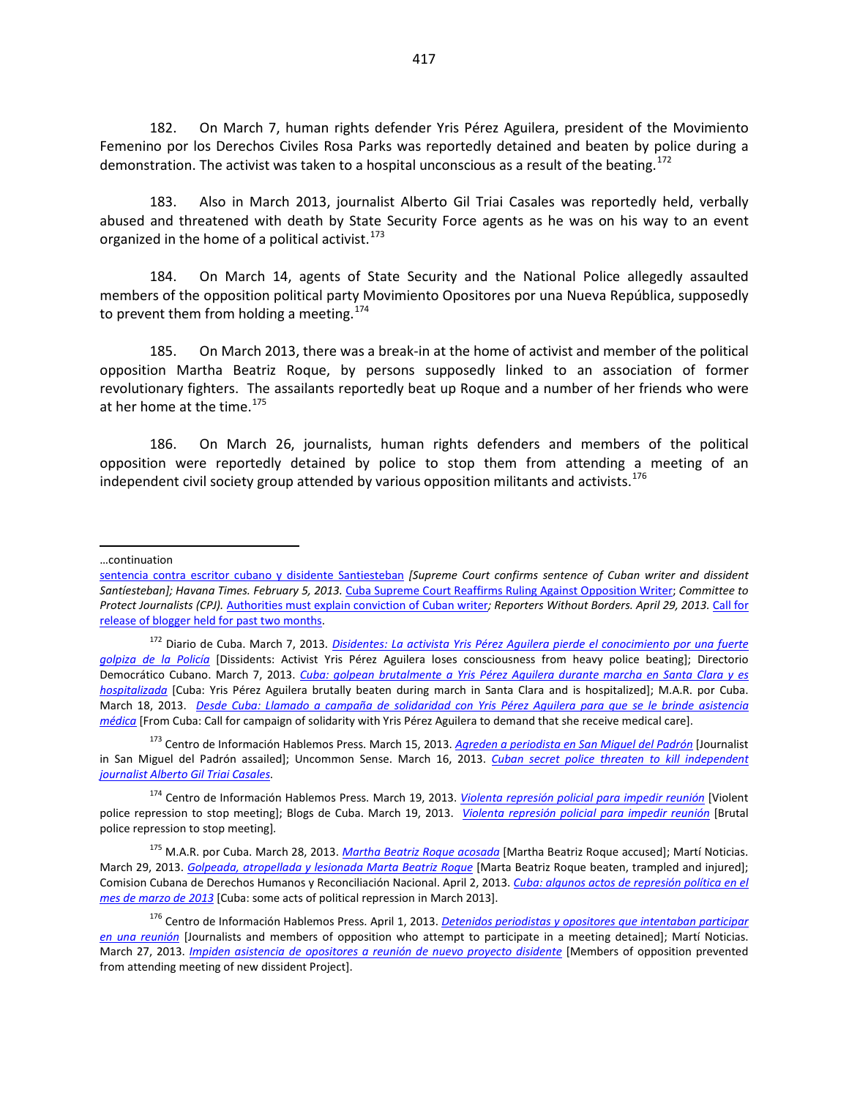182. On March 7, human rights defender Yris Pérez Aguilera, president of the Movimiento Femenino por los Derechos Civiles Rosa Parks was reportedly detained and beaten by police during a demonstration. The activist was taken to a hospital unconscious as a result of the beating.<sup>[172](#page-25-0)</sup>

183. Also in March 2013, journalist Alberto Gil Triai Casales was reportedly held, verbally abused and threatened with death by State Security Force agents as he was on his way to an event organized in the home of a political activist.  $173$ 

184. On March 14, agents of State Security and the National Police allegedly assaulted members of the opposition political party Movimiento Opositores por una Nueva República, supposedly to prevent them from holding a meeting.<sup>[174](#page-25-2)</sup>

185. On March 2013, there was a break-in at the home of activist and member of the political opposition Martha Beatriz Roque, by persons supposedly linked to an association of former revolutionary fighters. The assailants reportedly beat up Roque and a number of her friends who were at her home at the time.<sup>[175](#page-25-3)</sup>

186. On March 26, journalists, human rights defenders and members of the political opposition were reportedly detained by police to stop them from attending a meeting of an independent civil society group attended by various opposition militants and activists.<sup>[176](#page-25-4)</sup>

 $\overline{a}$ 

<span id="page-25-1"></span><sup>173</sup> Centro de Información Hablemos Press. March 15, 2013. *[Agreden a periodista en San Miguel del Padrón](http://www.cihpress.com/2013/03/agreden-periodista-en-san-miguel-del.html?utm_source=feedburner&utm_medium=email&utm_campaign=Feed%3A+Cihpress+%28CIHPRESS%29)* [Journalist in San Miguel del Padrón assailed]; Uncommon Sense. March 16, 2013. *[Cuban secret police threaten to kill independent](http://marcmasferrer.typepad.com/uncommon_sense/2013/03/cuban-secret-police-threaten-to-kill-independent-journalist-alberto-gil-triai-casales.html)  [journalist Alberto Gil Triai Casales](http://marcmasferrer.typepad.com/uncommon_sense/2013/03/cuban-secret-police-threaten-to-kill-independent-journalist-alberto-gil-triai-casales.html)*.

<sup>…</sup>continuation

[sentencia contra escritor cubano y disidente Santiesteban](http://www.elnuevoherald.com/2013/02/13/1405970/rechazan-sentencia-contra-escritor.html#storylink=cpy) *[Supreme Court confirms sentence of Cuban writer and dissident Santíesteban]; Havana Times. February 5, 2013.* [Cuba Supreme Court Reaffirms Ruling Against Opposition Writer;](http://www.havanatimes.org/?p=87150#sthash.LgiSr4PS.dpuf) *Committee to Protect Journalists (CPJ).* [Authorities must explain conviction of Cuban writer](https://www.cpj.org/2013/02/authorities-must-explain-conviction-of-cuban-write-1.php#more)*; Reporters Without Borders. April 29, 2013.* [Call for](http://en.rsf.org/cuba-call-for-release-of-blogger-held-29-04-2013,44451.html)  [release of blogger held for past two months.](http://en.rsf.org/cuba-call-for-release-of-blogger-held-29-04-2013,44451.html)

<span id="page-25-0"></span><sup>172</sup> Diario de Cuba. March 7, 2013. *[Disidentes: La activista Yris Pérez Aguilera pierde el conocimiento por una fuerte](http://www.diariodecuba.com/derechos-humanos/1362677768_925.html)  [golpiza de la Policía](http://www.diariodecuba.com/derechos-humanos/1362677768_925.html)* [Dissidents: Activist Yris Pérez Aguilera loses consciousness from heavy police beating]; Directorio Democrático Cubano. March 7, 2013. *[Cuba: golpean brutalmente a Yris Pérez Aguilera durante marcha en Santa Clara y es](http://www.directorio.org/comunicadosdeprensa/note.php?note_id=3427)  [hospitalizada](http://www.directorio.org/comunicadosdeprensa/note.php?note_id=3427)* [Cuba: Yris Pérez Aguilera brutally beaten during march in Santa Clara and is hospitalized]; M.A.R. por Cuba. March 18, 2013. *[Desde Cuba: Llamado a campaña de solidaridad con Yris Pérez Aguilera para que se le brinde asistencia](http://www.marporcuba.org/?p=3198)  [médica](http://www.marporcuba.org/?p=3198)* [From Cuba: Call for campaign of solidarity with Yris Pérez Aguilera to demand that she receive medical care].

<span id="page-25-2"></span><sup>174</sup> Centro de Información Hablemos Press. March 19, 2013. *[Violenta represión policial para impedir reunión](http://www.cihpress.com/2013/03/violenta-represion-policial-para.html)* [Violent police repression to stop meeting]; Blogs de Cuba. March 19, 2013. *[Violenta represión policial para impedir reunión](http://blogsdecuba.impela.net/2013/03/violenta-represion-policial-para-impedir-reunion/)* [Brutal police repression to stop meeting]*.*

<span id="page-25-3"></span><sup>175</sup> M.A.R. por Cuba. March 28, 2013. *[Martha Beatriz Roque acosada](http://www.marporcuba.org/?p=3255)* [Martha Beatriz Roque accused]; Martí Noticias. March 29, 2013. *[Golpeada, atropellada y lesionada Marta Beatriz Roque](http://www.martinoticias.com/content/article/20971.html)* [Marta Beatriz Roque beaten, trampled and injured]; Comision Cubana de Derechos Humanos y Reconciliación Nacional. April 2, 2013. *[Cuba: algunos actos de represión política en el](http://www.cubaencuentro.com/var/cubaencuentro.com/storage/original/application/daaa1808a32d3011f65224b8ea4a71da.pdf)  [mes de marzo de 2013](http://www.cubaencuentro.com/var/cubaencuentro.com/storage/original/application/daaa1808a32d3011f65224b8ea4a71da.pdf)* [Cuba: some acts of political repression in March 2013].

<span id="page-25-4"></span><sup>176</sup> Centro de Información Hablemos Press. April 1, 2013. *[Detenidos periodistas y opositores que intentaban participar](http://www.cihpress.com/2013/04/detenidos-periodistas-y-opositores-que.html)  [en una reunión](http://www.cihpress.com/2013/04/detenidos-periodistas-y-opositores-que.html)* [Journalists and members of opposition who attempt to participate in a meeting detained]; Martí Noticias. March 27, 2013. *[Impiden asistencia de opositores a reunión de nuevo proyecto disidente](http://www.martinoticias.com/audio/Audio/9148.html)* [Members of opposition prevented from attending meeting of new dissident Project].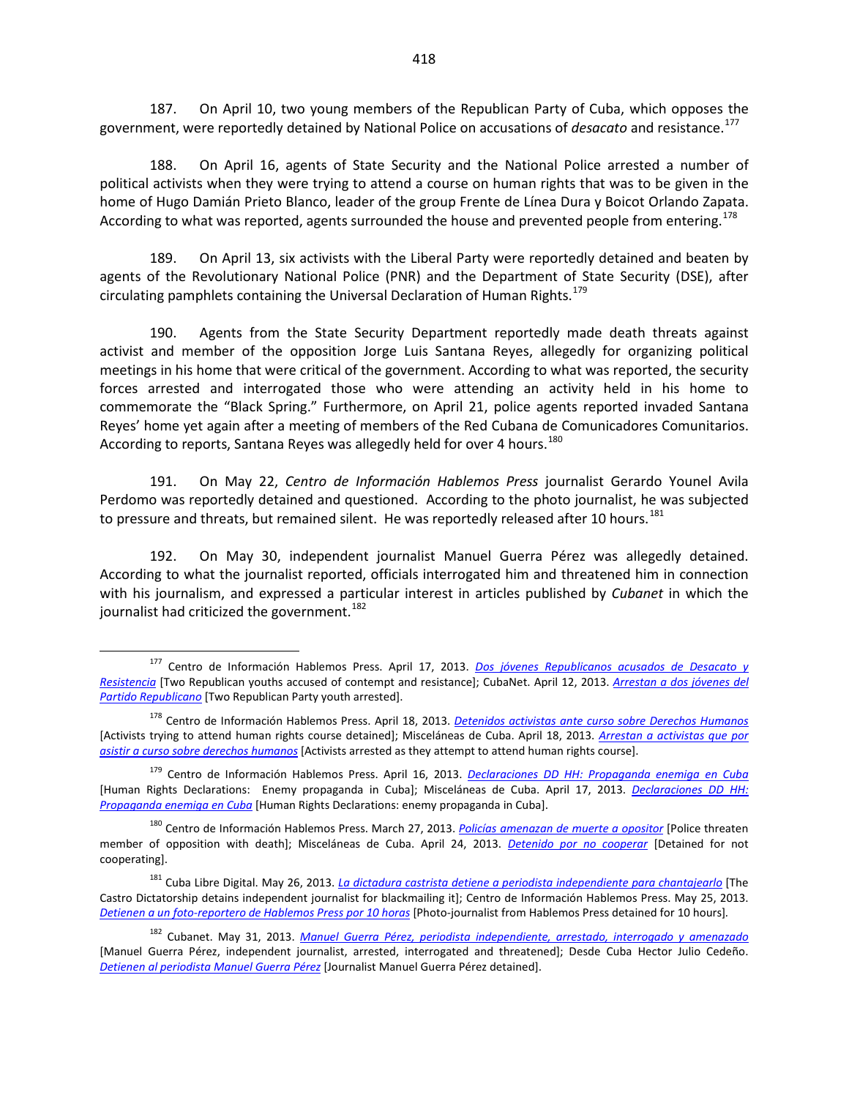187. On April 10, two young members of the Republican Party of Cuba, which opposes the government, were reportedly detained by National Police on accusations of *desacato* and resistance.[177](#page-26-0)

188. On April 16, agents of State Security and the National Police arrested a number of political activists when they were trying to attend a course on human rights that was to be given in the home of Hugo Damián Prieto Blanco, leader of the group Frente de Línea Dura y Boicot Orlando Zapata. According to what was reported, agents surrounded the house and prevented people from entering.<sup>[178](#page-26-1)</sup>

189. On April 13, six activists with the Liberal Party were reportedly detained and beaten by agents of the Revolutionary National Police (PNR) and the Department of State Security (DSE), after circulating pamphlets containing the Universal Declaration of Human Rights.<sup>[179](#page-26-2)</sup>

190. Agents from the State Security Department reportedly made death threats against activist and member of the opposition Jorge Luis Santana Reyes, allegedly for organizing political meetings in his home that were critical of the government. According to what was reported, the security forces arrested and interrogated those who were attending an activity held in his home to commemorate the "Black Spring." Furthermore, on April 21, police agents reported invaded Santana Reyes' home yet again after a meeting of members of the Red Cubana de Comunicadores Comunitarios. According to reports, Santana Reyes was allegedly held for over 4 hours.<sup>[180](#page-26-3)</sup>

191. On May 22, *Centro de Información Hablemos Press* journalist Gerardo Younel Avila Perdomo was reportedly detained and questioned. According to the photo journalist, he was subjected to pressure and threats, but remained silent. He was reportedly released after 10 hours.<sup>[181](#page-26-4)</sup>

192. On May 30, independent journalist Manuel Guerra Pérez was allegedly detained. According to what the journalist reported, officials interrogated him and threatened him in connection with his journalism, and expressed a particular interest in articles published by *Cubanet* in which the journalist had criticized the government.<sup>[182](#page-26-5)</sup>

<span id="page-26-0"></span><sup>177</sup> Centro de Información Hablemos Press. April 17, 2013. *[Dos jóvenes Republicanos acusados de Desacato y](http://www.cihpress.com/2013/04/dos-jovenes-republicanos-acusados-de.html)  [Resistencia](http://www.cihpress.com/2013/04/dos-jovenes-republicanos-acusados-de.html)* [Two Republican youths accused of contempt and resistance]; CubaNet. April 12, 2013. *[Arrestan a dos jóvenes del](http://www.cubanet.org/noticias/arrestan-a-dos-jovenes-del-partido-republicano/)  [Partido Republicano](http://www.cubanet.org/noticias/arrestan-a-dos-jovenes-del-partido-republicano/)* [Two Republican Party youth arrested].

<span id="page-26-1"></span><sup>178</sup> Centro de Información Hablemos Press. April 18, 2013. *[Detenidos activistas ante curso sobre Derechos Humanos](http://www.cihpress.com/2013/04/detenidos-activistas-ante-curso-sobre.html)* [Activists trying to attend human rights course detained]; Misceláneas de Cuba. April 18, 2013. *[Arrestan a activistas que por](http://www.miscelaneasdecuba.net/web/Article/Index/51813c553a682e0f88c53050#.UdR0r9I3vwQ)  [asistir a curso sobre derechos humanos](http://www.miscelaneasdecuba.net/web/Article/Index/51813c553a682e0f88c53050#.UdR0r9I3vwQ)* [Activists arrested as they attempt to attend human rights course].

<span id="page-26-2"></span><sup>179</sup> Centro de Información Hablemos Press. April 16, 2013. *[Declaraciones DD HH: Propaganda enemiga en Cuba](http://www.cihpress.com/2013/04/declaraciones-dd-hh-propaganda-enemiga.html)* [Human Rights Declarations: Enemy propaganda in Cuba]; Misceláneas de Cuba. April 17, 2013. *[Declaraciones DD HH:](http://miscelaneasdecuba.net/web/Article/Index/51813c463a682e0f88c53035)  [Propaganda enemiga en Cuba](http://miscelaneasdecuba.net/web/Article/Index/51813c463a682e0f88c53035)* [Human Rights Declarations: enemy propaganda in Cuba].

<span id="page-26-3"></span><sup>180</sup> Centro de Información Hablemos Press. March 27, 2013. *[Policías amenazan de muerte a opositor](http://www.cihpress.com/2013/03/policias-amenazan-de-muerte-opositor.html)* [Police threaten member of opposition with death]; Misceláneas de Cuba. April 24, 2013. *[Detenido por no cooperar](http://www.miscelaneasdecuba.net/web/Article/Index/51813c793a682e0f88c53093#.Um2xRij9_KY)* [Detained for not cooperating].

<span id="page-26-4"></span><sup>181</sup> Cuba Libre Digital. May 26, 2013. *[La dictadura castrista detiene a periodista independiente para chantajearlo](http://www.cubalibredigital.com/index.php?option=com_content&view=article&id=14523:la-dictadura-detiene-a-periodista-independiente-para-chantajearlo&catid=1:principal&Itemid=21)* [The Castro Dictatorship detains independent journalist for blackmailing it]; Centro de Información Hablemos Press. May 25, 2013. *[Detienen a un foto-reportero de Hablemos Press por 10 horas](http://www.cihpress.com/2013/05/detienen-un-foto-reportero-de-hablemos.html?utm_source=feedburner&utm_medium=email&utm_campaign=Feed%3A+Cihpress+%28CIHPRESS%29)* [Photo-journalist from Hablemos Press detained for 10 hours]*.*

<span id="page-26-5"></span><sup>182</sup> Cubanet. May 31, 2013. *[Manuel Guerra Pérez, periodista independiente, arrestado, interrogado y amenazado](http://www.cubanet.org/noticias/manuel-guerra-perez-periodista-independiente-arrestado-interrogado-y-amenazado/)* [Manuel Guerra Pérez, independent journalist, arrested, interrogated and threatened]; Desde Cuba Hector Julio Cedeño. *[Detienen al periodista Manuel Guerra Pérez](http://hector-julio-cedeno.blogspot.com/2013/06/detienen-al-periodista-manuel-guerra.html)* [Journalist Manuel Guerra Pérez detained].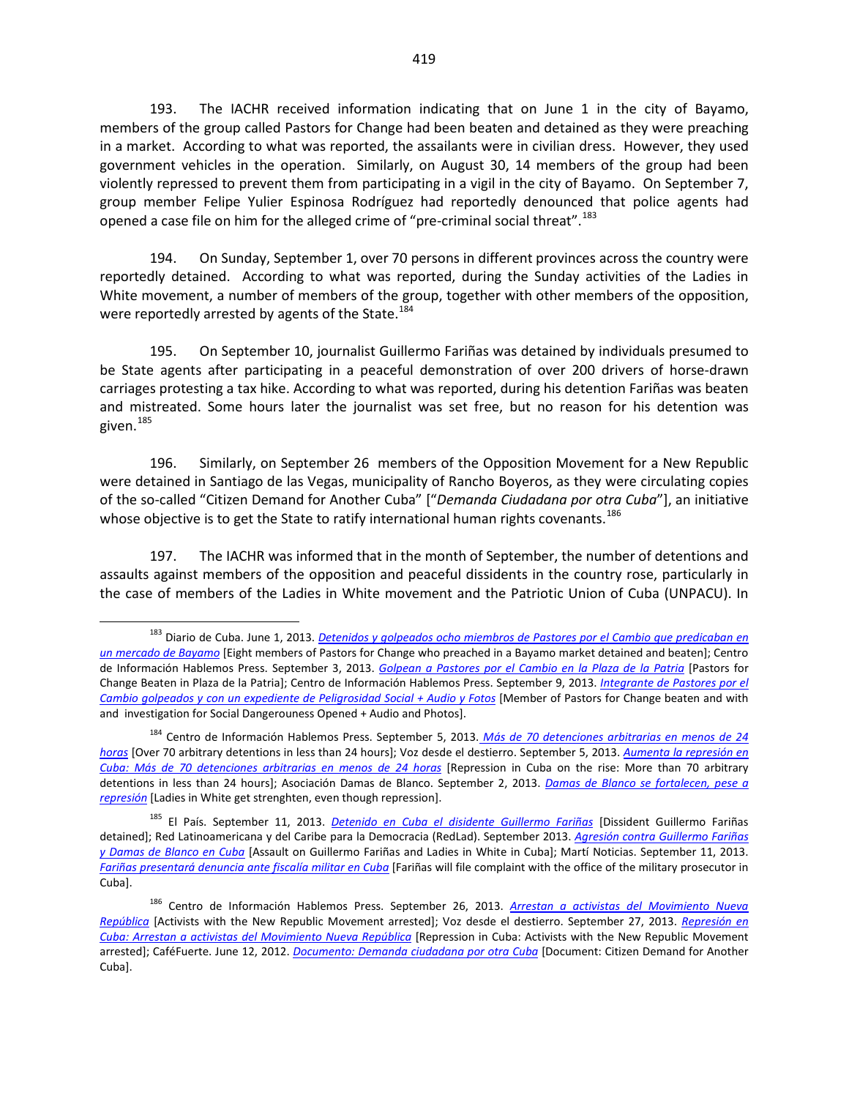193. The IACHR received information indicating that on June 1 in the city of Bayamo, members of the group called Pastors for Change had been beaten and detained as they were preaching in a market. According to what was reported, the assailants were in civilian dress. However, they used government vehicles in the operation. Similarly, on August 30, 14 members of the group had been violently repressed to prevent them from participating in a vigil in the city of Bayamo. On September 7, group member Felipe Yulier Espinosa Rodríguez had reportedly denounced that police agents had opened a case file on him for the alleged crime of "pre-criminal social threat".<sup>[183](#page-27-0)</sup>

194. On Sunday, September 1, over 70 persons in different provinces across the country were reportedly detained. According to what was reported, during the Sunday activities of the Ladies in White movement, a number of members of the group, together with other members of the opposition, were reportedly arrested by agents of the State.<sup>[184](#page-27-1)</sup>

195. On September 10, journalist Guillermo Fariñas was detained by individuals presumed to be State agents after participating in a peaceful demonstration of over 200 drivers of horse-drawn carriages protesting a tax hike. According to what was reported, during his detention Fariñas was beaten and mistreated. Some hours later the journalist was set free, but no reason for his detention was given.<sup>[185](#page-27-2)</sup>

196. Similarly, on September 26 members of the Opposition Movement for a New Republic were detained in Santiago de las Vegas, municipality of Rancho Boyeros, as they were circulating copies of the so-called "Citizen Demand for Another Cuba" ["*Demanda Ciudadana por otra Cuba*"], an initiative whose objective is to get the State to ratify international human rights covenants.<sup>[186](#page-27-3)</sup>

197. The IACHR was informed that in the month of September, the number of detentions and assaults against members of the opposition and peaceful dissidents in the country rose, particularly in the case of members of the Ladies in White movement and the Patriotic Union of Cuba (UNPACU). In

<span id="page-27-0"></span><sup>183</sup> Diario de Cuba. June 1, 2013. *[Detenidos y golpeados ocho miembros de Pastores por el Cambio que predicaban en](http://www.diariodecuba.com/derechos-humanos/1370125437_3546.html)  [un mercado de Bayamo](http://www.diariodecuba.com/derechos-humanos/1370125437_3546.html)* [Eight members of Pastors for Change who preached in a Bayamo market detained and beaten]; Centro de Información Hablemos Press. September 3, 2013. *[Golpean a Pastores por el Cambio en la Plaza de la Patria](http://www.cihpress.com/2013/09/golpean-pastores-por-el-cambio-en-la.html)* [Pastors for Change Beaten in Plaza de la Patria]; Centro de Información Hablemos Press. September 9, 2013. *[Integrante de Pastores por el](http://www.cihpress.com/2013/09/integrante-de-pastores-por-el-cambio.html?utm_source=feedburner&utm_medium=email&utm_campaign=Feed%3A+Cihpress+%28CIHPRESS%29)  [Cambio golpeados y con un expediente de Peligrosidad Social + Audio y Fotos](http://www.cihpress.com/2013/09/integrante-de-pastores-por-el-cambio.html?utm_source=feedburner&utm_medium=email&utm_campaign=Feed%3A+Cihpress+%28CIHPRESS%29)* [Member of Pastors for Change beaten and with and investigation for Social Dangerouness Opened + Audio and Photos].

<span id="page-27-1"></span><sup>184</sup> Centro de Información Hablemos Press. September 5, 2013. *[Más de 70 detenciones arbitrarias en menos de 24](http://www.cihpress.com/2013/09/mas-de-70-detenciones-arbitrarias-en.html?utm_source=feedburner&utm_medium=email&utm_campaign=Feed%3A+Cihpress+%28CIHPRESS%29)  [horas](http://www.cihpress.com/2013/09/mas-de-70-detenciones-arbitrarias-en.html?utm_source=feedburner&utm_medium=email&utm_campaign=Feed%3A+Cihpress+%28CIHPRESS%29)* [Over 70 arbitrary detentions in less than 24 hours]; Voz desde el destierro. September 5, 2013. *[Aumenta la represión en](http://vozdesdeeldestierro.juancarlosherreraacosta.over-blog.es/article-aumenta-la-represion-en-cuba-mas-de-70-detenciones-arbitrarias-en-menos-de-24-horas-119896555.html)  [Cuba: Más de 70 detenciones arbitrarias en menos de 24 horas](http://vozdesdeeldestierro.juancarlosherreraacosta.over-blog.es/article-aumenta-la-represion-en-cuba-mas-de-70-detenciones-arbitrarias-en-menos-de-24-horas-119896555.html)* [Repression in Cuba on the rise: More than 70 arbitrary detentions in less than 24 hours]; Asociación Damas de Blanco. September 2, 2013. *[Damas de Blanco se fortalecen, pese a](http://www.damasdeblanco.org/index.php?option=com_content&view=article&id=1695:damas-de-blanco-se-fortalecen-pese-a-represion&catid=1:archivo-noticias&Itemid=5)  [represión](http://www.damasdeblanco.org/index.php?option=com_content&view=article&id=1695:damas-de-blanco-se-fortalecen-pese-a-represion&catid=1:archivo-noticias&Itemid=5)* [Ladies in White get strenghten, even though repression].

<span id="page-27-2"></span><sup>185</sup> El País. September 11, 2013. *[Detenido en Cuba el disidente Guillermo Fariñas](http://internacional.elpais.com/internacional/2013/09/11/actualidad/1378863588_331324.html)* [Dissident Guillermo Fariñas detained]; Red Latinoamericana y del Caribe para la Democracia (RedLad). September 2013. *[Agresión contra Guillermo Fariñas](http://www.redlad.org/node/191)  [y Damas de Blanco en Cuba](http://www.redlad.org/node/191)* [Assault on Guillermo Fariñas and Ladies in White in Cuba]; Martí Noticias. September 11, 2013. *[Fariñas presentará denuncia ante fiscalía militar en Cuba](http://www.martinoticias.com/content/farinas-cuba-fiscalia-militar-denunica/27376.html)* [Fariñas will file complaint with the office of the military prosecutor in Cuba].

<span id="page-27-3"></span><sup>186</sup> Centro de Información Hablemos Press. September 26, 2013. *[Arrestan a activistas del](http://www.cihpress.com/2013/09/arrestan-activistas-del-movimiento.html?utm_source=feedburner&utm_medium=email&utm_campaign=Feed%3A+Cihpress+%28CIHPRESS%29) Movimiento Nueva [República](http://www.cihpress.com/2013/09/arrestan-activistas-del-movimiento.html?utm_source=feedburner&utm_medium=email&utm_campaign=Feed%3A+Cihpress+%28CIHPRESS%29)* [Activists with the New Republic Movement arrested]; Voz desde el destierro. September 27, 2013. *[Represión en](http://vozdesdeeldestierro.juancarlosherreraacosta.over-blog.es/article-represion-en-cuba-arrestan-a-activistas-del-movimiento-nueva-republica-120287832.html)  [Cuba: Arrestan a activistas del Movimiento Nueva República](http://vozdesdeeldestierro.juancarlosherreraacosta.over-blog.es/article-represion-en-cuba-arrestan-a-activistas-del-movimiento-nueva-republica-120287832.html)* [Repression in Cuba: Activists with the New Republic Movement arrested]; CaféFuerte. June 12, 2012. *[Documento: Demanda ciudadana por otra Cuba](http://cafefuerte.com/documentos/1938-documento-demanda-ciudadana-por-otra-cuba/)* [Document: Citizen Demand for Another Cuba].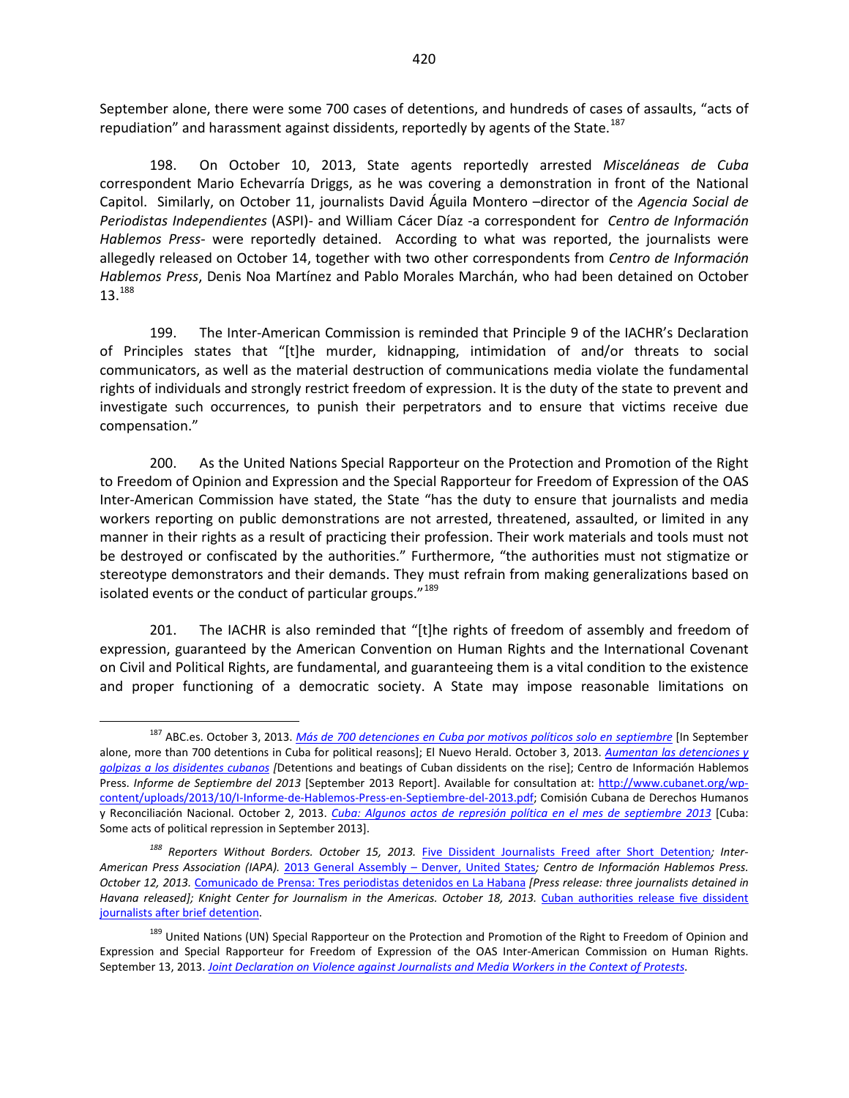September alone, there were some 700 cases of detentions, and hundreds of cases of assaults, "acts of repudiation" and harassment against dissidents, reportedly by agents of the State.<sup>[187](#page-28-0)</sup>

198. On October 10, 2013, State agents reportedly arrested *Misceláneas de Cuba*  correspondent Mario Echevarría Driggs, as he was covering a demonstration in front of the National Capitol. Similarly, on October 11, journalists David Águila Montero –director of the *Agencia Social de Periodistas Independientes* (ASPI)- and William Cácer Díaz -a correspondent for *Centro de Información Hablemos Press*- were reportedly detained. According to what was reported, the journalists were allegedly released on October 14, together with two other correspondents from *Centro de Información Hablemos Press*, Denis Noa Martínez and Pablo Morales Marchán, who had been detained on October 13.[188](#page-28-1)

199. The Inter-American Commission is reminded that Principle 9 of the IACHR's Declaration of Principles states that "[t]he murder, kidnapping, intimidation of and/or threats to social communicators, as well as the material destruction of communications media violate the fundamental rights of individuals and strongly restrict freedom of expression. It is the duty of the state to prevent and investigate such occurrences, to punish their perpetrators and to ensure that victims receive due compensation."

200. As the United Nations Special Rapporteur on the Protection and Promotion of the Right to Freedom of Opinion and Expression and the Special Rapporteur for Freedom of Expression of the OAS Inter-American Commission have stated, the State "has the duty to ensure that journalists and media workers reporting on public demonstrations are not arrested, threatened, assaulted, or limited in any manner in their rights as a result of practicing their profession. Their work materials and tools must not be destroyed or confiscated by the authorities." Furthermore, "the authorities must not stigmatize or stereotype demonstrators and their demands. They must refrain from making generalizations based on isolated events or the conduct of particular groups."<sup>[189](#page-28-2)</sup>

201. The IACHR is also reminded that "[t]he rights of freedom of assembly and freedom of expression, guaranteed by the American Convention on Human Rights and the International Covenant on Civil and Political Rights, are fundamental, and guaranteeing them is a vital condition to the existence and proper functioning of a democratic society. A State may impose reasonable limitations on

<span id="page-28-0"></span><sup>187</sup> ABC.es. October 3, 2013. *[Más de 700 detenciones en Cuba por motivos políticos solo en septiembre](http://www.abc.es/internacional/20131003/abci-detenciones-cuba-motivos-politicos-201310021727.html)* [In September alone, more than 700 detentions in Cuba for political reasons]; El Nuevo Herald. October 3, 2013. *[Aumentan las detenciones y](http://www.elnuevoherald.com/2013/10/03/1581056/aumentan-las-detenciones-y-golpizas.html)  [golpizas a los disidentes cubanos](http://www.elnuevoherald.com/2013/10/03/1581056/aumentan-las-detenciones-y-golpizas.html) [*Detentions and beatings of Cuban dissidents on the rise]; Centro de Información Hablemos Press. *Informe de Septiembre del 2013* [September 2013 Report]. Available for consultation at: [http://www.cubanet.org/wp](http://www.cubanet.org/wp-content/uploads/2013/10/I-Informe-de-Hablemos-Press-en-Septiembre-del-2013.pdf)[content/uploads/2013/10/I-Informe-de-Hablemos-Press-en-Septiembre-del-2013.pdf;](http://www.cubanet.org/wp-content/uploads/2013/10/I-Informe-de-Hablemos-Press-en-Septiembre-del-2013.pdf) Comisión Cubana de Derechos Humanos y Reconciliación Nacional. October 2, 2013. *[Cuba: Algunos actos de represión política en el mes de septiembre](http://observacuba.org/wp-content/uploads/pdfs/2013/ccdhrn-sept2013.pdf) 2013* [Cuba: Some acts of political repression in September 2013].

<span id="page-28-1"></span>*<sup>188</sup> Reporters Without Borders. October 15, 2013.* [Five Dissident Journalists Freed after Short Detention](http://en.rsf.org/cuba-three-dissident-journalists-14-10-2013,45325.html)*; Inter-American Press Association (IAPA).* [2013 General Assembly –](http://www.sipiapa.org/en/asamblea/cuba-194/) Denver, United States*; Centro de Información Hablemos Press. October 12, 2013.* [Comunicado de Prensa: Tres periodistas detenidos en La Habana](http://www.cihpress.com/2013/10/comunicado-de-prensa-tres-periodistas.html?utm_source=feedburner&utm_medium=email&utm_campaign=Feed%3A+Cihpress+%28CIHPRESS%29) *[Press release: three journalists detained in*  Havana released]; Knight Center for Journalism in the Americas. October 18, 2013. Cuban authorities release five dissident [journalists after brief detention.](https://knightcenter.utexas.edu/blog/00-14599-three-dissident-journalists-cuba-arrested-days-after-government-promises-renew-its-jou)

<span id="page-28-2"></span><sup>&</sup>lt;sup>189</sup> United Nations (UN) Special Rapporteur on the Protection and Promotion of the Right to Freedom of Opinion and Expression and Special Rapporteur for Freedom of Expression of the OAS Inter-American Commission on Human Rights. September 13, 2013. *[Joint Declaration on Violence against Journalists and Media Workers in the Context of Protests](http://www.oas.org/en/iachr/expression/showarticle.asp?artID=931&lID=1)*.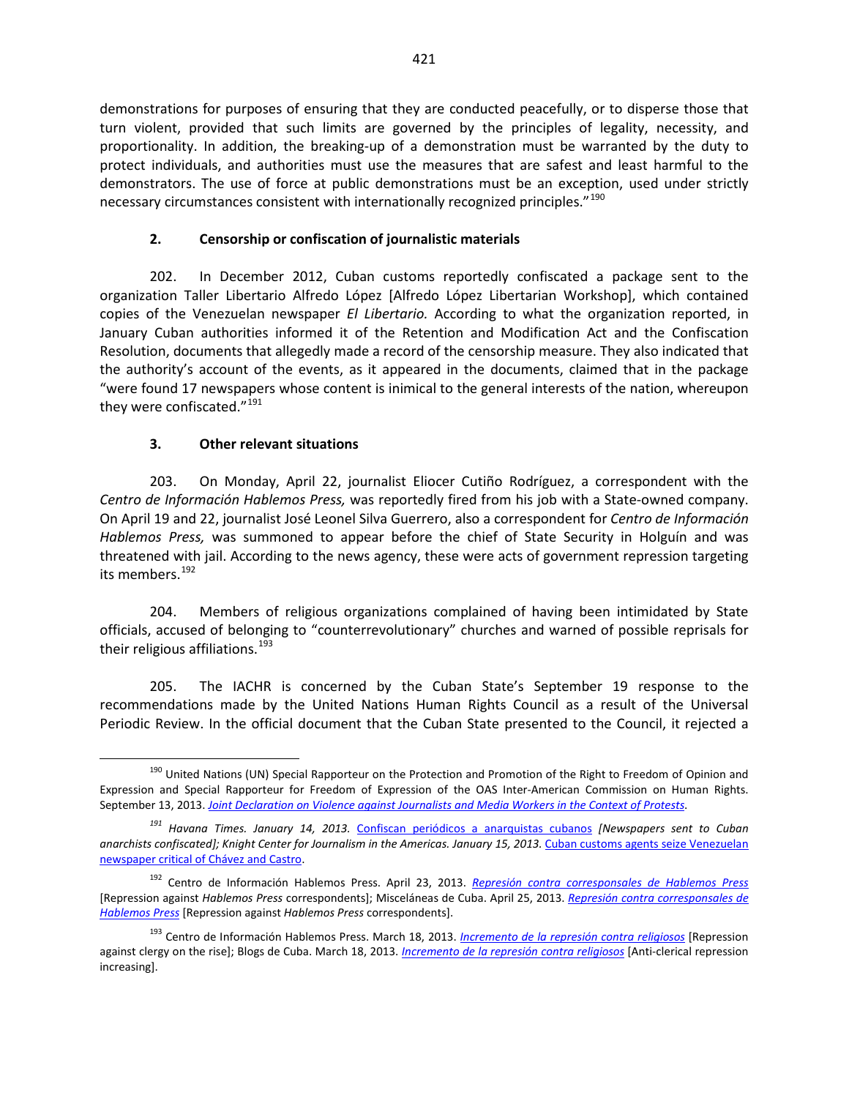demonstrations for purposes of ensuring that they are conducted peacefully, or to disperse those that turn violent, provided that such limits are governed by the principles of legality, necessity, and proportionality. In addition, the breaking-up of a demonstration must be warranted by the duty to protect individuals, and authorities must use the measures that are safest and least harmful to the demonstrators. The use of force at public demonstrations must be an exception, used under strictly necessary circumstances consistent with internationally recognized principles."<sup>[190](#page-29-0)</sup>

### **2. Censorship or confiscation of journalistic materials**

202. In December 2012, Cuban customs reportedly confiscated a package sent to the organization Taller Libertario Alfredo López [Alfredo López Libertarian Workshop], which contained copies of the Venezuelan newspaper *El Libertario.* According to what the organization reported, in January Cuban authorities informed it of the Retention and Modification Act and the Confiscation Resolution, documents that allegedly made a record of the censorship measure. They also indicated that the authority's account of the events, as it appeared in the documents, claimed that in the package "were found 17 newspapers whose content is inimical to the general interests of the nation, whereupon they were confiscated."<sup>[191](#page-29-1)</sup>

### **3. Other relevant situations**

203. On Monday, April 22, journalist Eliocer Cutiño Rodríguez, a correspondent with the *Centro de Información Hablemos Press,* was reportedly fired from his job with a State-owned company. On April 19 and 22, journalist José Leonel Silva Guerrero, also a correspondent for *Centro de Información Hablemos Press,* was summoned to appear before the chief of State Security in Holguín and was threatened with jail. According to the news agency, these were acts of government repression targeting its members.<sup>[192](#page-29-2)</sup>

204. Members of religious organizations complained of having been intimidated by State officials, accused of belonging to "counterrevolutionary" churches and warned of possible reprisals for their religious affiliations.<sup>[193](#page-29-3)</sup>

205. The IACHR is concerned by the Cuban State's September 19 response to the recommendations made by the United Nations Human Rights Council as a result of the Universal Periodic Review. In the official document that the Cuban State presented to the Council, it rejected a

<span id="page-29-0"></span><sup>&</sup>lt;sup>190</sup> United Nations (UN) Special Rapporteur on the Protection and Promotion of the Right to Freedom of Opinion and Expression and Special Rapporteur for Freedom of Expression of the OAS Inter-American Commission on Human Rights. September 13, 2013. *[Joint Declaration on Violence against Journalists and Media Workers in the Context of Protests](http://www.oas.org/en/iachr/expression/showarticle.asp?artID=931&lID=1)*.

<span id="page-29-1"></span>*<sup>191</sup> Havana Times. January 14, 2013.* [Confiscan periódicos a anarquistas cubanos](http://www.havanatimes.org/sp/?p=78092) *[Newspapers sent to Cuban*  anarchists confiscated]; Knight Center for Journalism in the Americas. January 15, 2013. Cuban customs agents seize Venezuelan [newspaper critical of Chávez and Castro.](https://knightcenter.utexas.edu/blog/00-12575-cuban-customs-agents-seize-venezuelan-newspaper-critical-chavez-and-castro)

<span id="page-29-2"></span><sup>192</sup> Centro de Información Hablemos Press. April 23, 2013. *[Represión contra corresponsales de Hablemos Press](http://www.cihpress.com/2013/04/represion-contra-corresponsales-de.html)* [Repression against *Hablemos Press* correspondents]; Misceláneas de Cuba. April 25, 2013. *[Represión contra corresponsales de](http://www.miscelaneasdecuba.net/web/Article/Index/51813c8c3a682e0f88c530b9)  [Hablemos Press](http://www.miscelaneasdecuba.net/web/Article/Index/51813c8c3a682e0f88c530b9)* [Repression against *Hablemos Press* correspondents].

<span id="page-29-3"></span><sup>193</sup> Centro de Información Hablemos Press. March 18, 2013. *[Incremento de la represión contra religiosos](http://www.cihpress.com/2013/03/incremento-de-la-represion-contra.html)* [Repression against clergy on the rise]; Blogs de Cuba. March 18, 2013. *[Incremento de la represión contra religiosos](http://blogsdecuba.impela.net/2013/03/incremento-de-la-represion-contra-religiosos/)* [Anti-clerical repression increasing].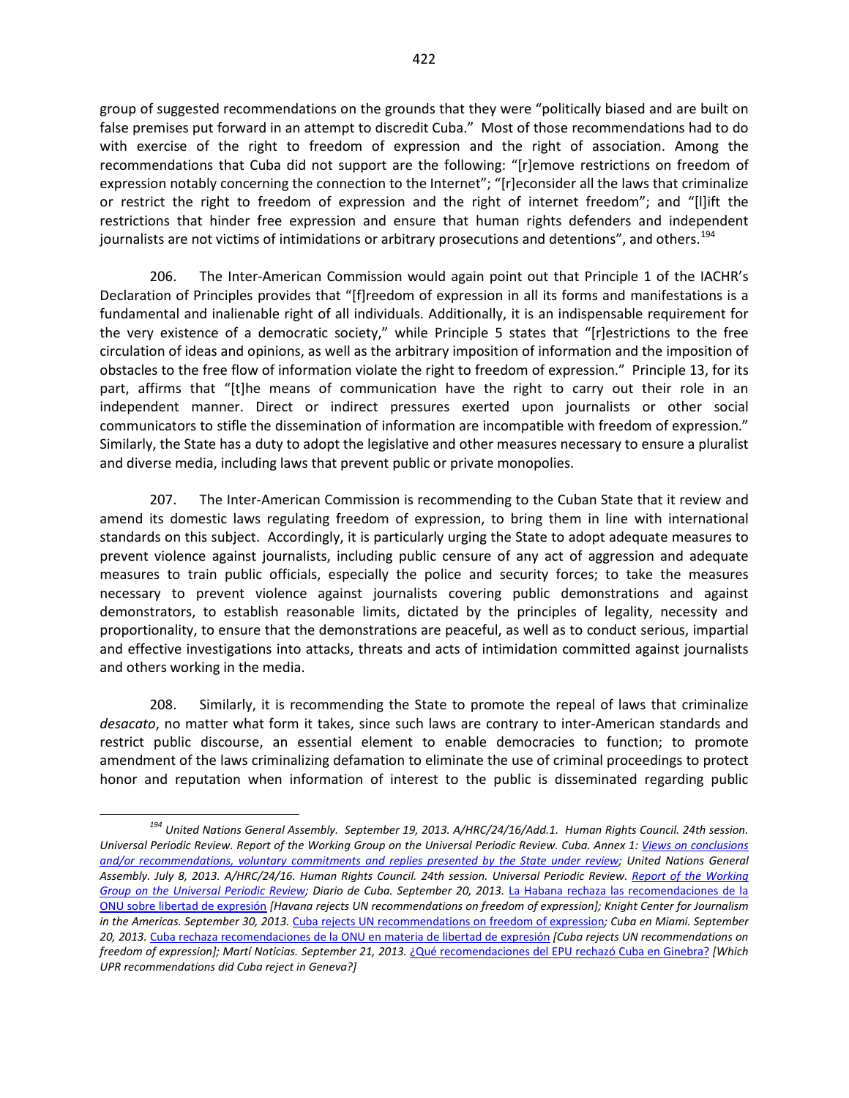group of suggested recommendations on the grounds that they were "politically biased and are built on false premises put forward in an attempt to discredit Cuba." Most of those recommendations had to do with exercise of the right to freedom of expression and the right of association. Among the recommendations that Cuba did not support are the following: "[r]emove restrictions on freedom of expression notably concerning the connection to the Internet"; "[r]econsider all the laws that criminalize or restrict the right to freedom of expression and the right of internet freedom"; and "[l]ift the restrictions that hinder free expression and ensure that human rights defenders and independent journalists are not victims of intimidations or arbitrary prosecutions and detentions", and others.<sup>[194](#page-30-0)</sup>

206. The Inter-American Commission would again point out that Principle 1 of the IACHR's Declaration of Principles provides that "[f]reedom of expression in all its forms and manifestations is a fundamental and inalienable right of all individuals. Additionally, it is an indispensable requirement for the very existence of a democratic society," while Principle 5 states that "[r]estrictions to the free circulation of ideas and opinions, as well as the arbitrary imposition of information and the imposition of obstacles to the free flow of information violate the right to freedom of expression." Principle 13, for its part, affirms that "[t]he means of communication have the right to carry out their role in an independent manner. Direct or indirect pressures exerted upon journalists or other social communicators to stifle the dissemination of information are incompatible with freedom of expression." Similarly, the State has a duty to adopt the legislative and other measures necessary to ensure a pluralist and diverse media, including laws that prevent public or private monopolies.

207. The Inter-American Commission is recommending to the Cuban State that it review and amend its domestic laws regulating freedom of expression, to bring them in line with international standards on this subject. Accordingly, it is particularly urging the State to adopt adequate measures to prevent violence against journalists, including public censure of any act of aggression and adequate measures to train public officials, especially the police and security forces; to take the measures necessary to prevent violence against journalists covering public demonstrations and against demonstrators, to establish reasonable limits, dictated by the principles of legality, necessity and proportionality, to ensure that the demonstrations are peaceful, as well as to conduct serious, impartial and effective investigations into attacks, threats and acts of intimidation committed against journalists and others working in the media.

208. Similarly, it is recommending the State to promote the repeal of laws that criminalize *desacato*, no matter what form it takes, since such laws are contrary to inter-American standards and restrict public discourse, an essential element to enable democracies to function; to promote amendment of the laws criminalizing defamation to eliminate the use of criminal proceedings to protect honor and reputation when information of interest to the public is disseminated regarding public

<span id="page-30-0"></span>*<sup>194</sup> United Nations General Assembly. September 19, 2013. A/HRC/24/16/Add.1. Human Rights Council. 24th session. Universal Periodic Review. Report of the Working Group on the Universal Periodic Review. Cuba. Annex 1: [Views on conclusions](http://www.ohchr.org/EN/HRBodies/UPR/Pages/CUSession16.aspx)  [and/or recommendations, voluntary commitments and replies presented by the State under review;](http://www.ohchr.org/EN/HRBodies/UPR/Pages/CUSession16.aspx) United Nations General Assembly. July 8, 2013. A/HRC/24/16. Human Rights Council. 24th session. Universal Periodic Review. [Report of the Working](http://daccess-dds-ny.un.org/doc/UNDOC/GEN/G13/155/27/PDF/G1315527.pdf?OpenElement)  [Group on the Universal Periodic Review;](http://daccess-dds-ny.un.org/doc/UNDOC/GEN/G13/155/27/PDF/G1315527.pdf?OpenElement) Diario de Cuba. September 20, 2013.* [La Habana rechaza las recomendaciones de la](http://www.diariodecuba.com/derechos-humanos/1379695814_5176.html)  [ONU sobre libertad de expresión](http://www.diariodecuba.com/derechos-humanos/1379695814_5176.html) *[Havana rejects UN recommendations on freedom of expression]; Knight Center for Journalism in the Americas. September 30, 2013.* [Cuba rejects UN recommendations on freedom of expression](https://knightcenter.utexas.edu/blog/00-14496-cuba-rejects-un-recommendations-freedom-expression)*; Cuba en Miami. September 20, 2013.* [Cuba rechaza recomendaciones de la ONU en materia de libertad de expresión](http://www.cubaenmiami.com/cuba-rechaza-recomendaciones-de-la-onu-en-materia-de-libertad-de-expresion/) *[Cuba rejects UN recommendations on freedom of expression]; Martí Noticias. September 21, 2013.* [¿Qué recomendaciones del EPU rechazó Cuba en Ginebra?](http://www.martinoticias.com/content/cuba-ginebra-derechos-humanos-epu-onu/27703.html) *[Which UPR recommendations did Cuba reject in Geneva?]*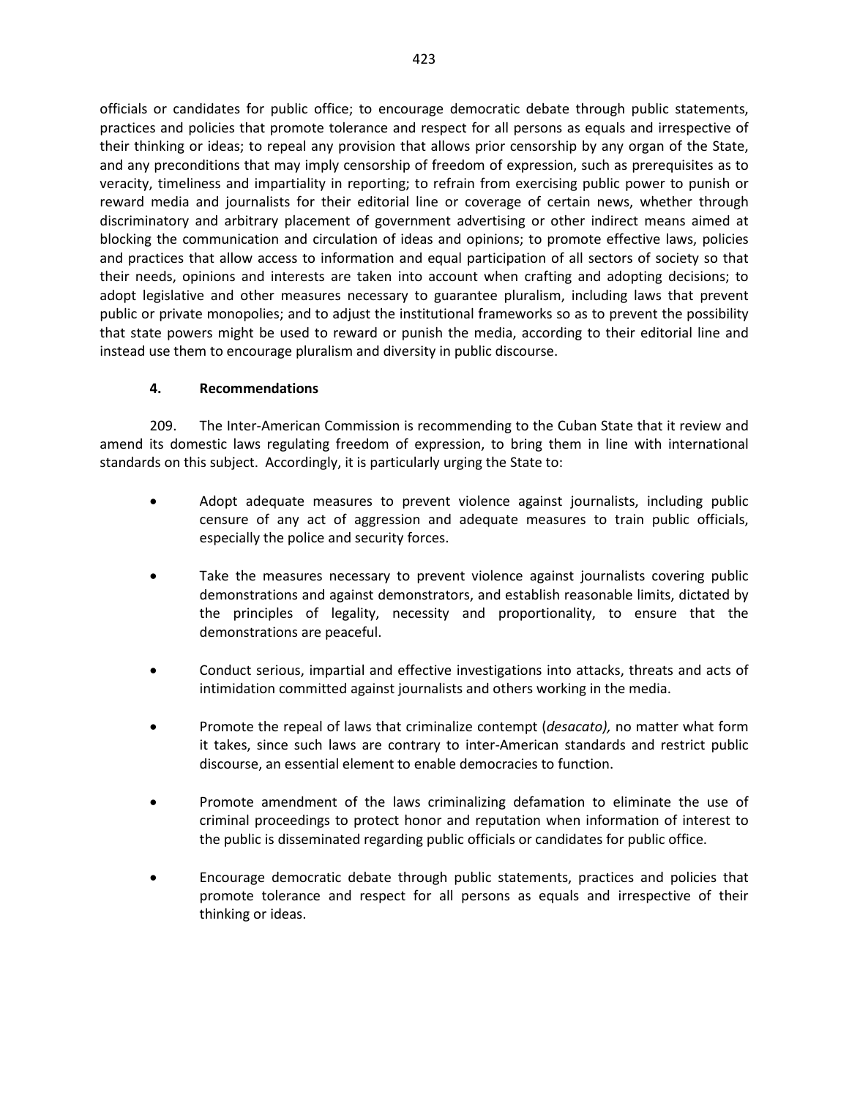officials or candidates for public office; to encourage democratic debate through public statements, practices and policies that promote tolerance and respect for all persons as equals and irrespective of their thinking or ideas; to repeal any provision that allows prior censorship by any organ of the State, and any preconditions that may imply censorship of freedom of expression, such as prerequisites as to veracity, timeliness and impartiality in reporting; to refrain from exercising public power to punish or reward media and journalists for their editorial line or coverage of certain news, whether through discriminatory and arbitrary placement of government advertising or other indirect means aimed at blocking the communication and circulation of ideas and opinions; to promote effective laws, policies and practices that allow access to information and equal participation of all sectors of society so that their needs, opinions and interests are taken into account when crafting and adopting decisions; to adopt legislative and other measures necessary to guarantee pluralism, including laws that prevent public or private monopolies; and to adjust the institutional frameworks so as to prevent the possibility that state powers might be used to reward or punish the media, according to their editorial line and instead use them to encourage pluralism and diversity in public discourse.

### **4. Recommendations**

209. The Inter-American Commission is recommending to the Cuban State that it review and amend its domestic laws regulating freedom of expression, to bring them in line with international standards on this subject. Accordingly, it is particularly urging the State to:

- Adopt adequate measures to prevent violence against journalists, including public censure of any act of aggression and adequate measures to train public officials, especially the police and security forces.
- Take the measures necessary to prevent violence against journalists covering public demonstrations and against demonstrators, and establish reasonable limits, dictated by the principles of legality, necessity and proportionality, to ensure that the demonstrations are peaceful.
- Conduct serious, impartial and effective investigations into attacks, threats and acts of intimidation committed against journalists and others working in the media.
- Promote the repeal of laws that criminalize contempt (*desacato),* no matter what form it takes, since such laws are contrary to inter-American standards and restrict public discourse, an essential element to enable democracies to function.
- Promote amendment of the laws criminalizing defamation to eliminate the use of criminal proceedings to protect honor and reputation when information of interest to the public is disseminated regarding public officials or candidates for public office.
- Encourage democratic debate through public statements, practices and policies that promote tolerance and respect for all persons as equals and irrespective of their thinking or ideas.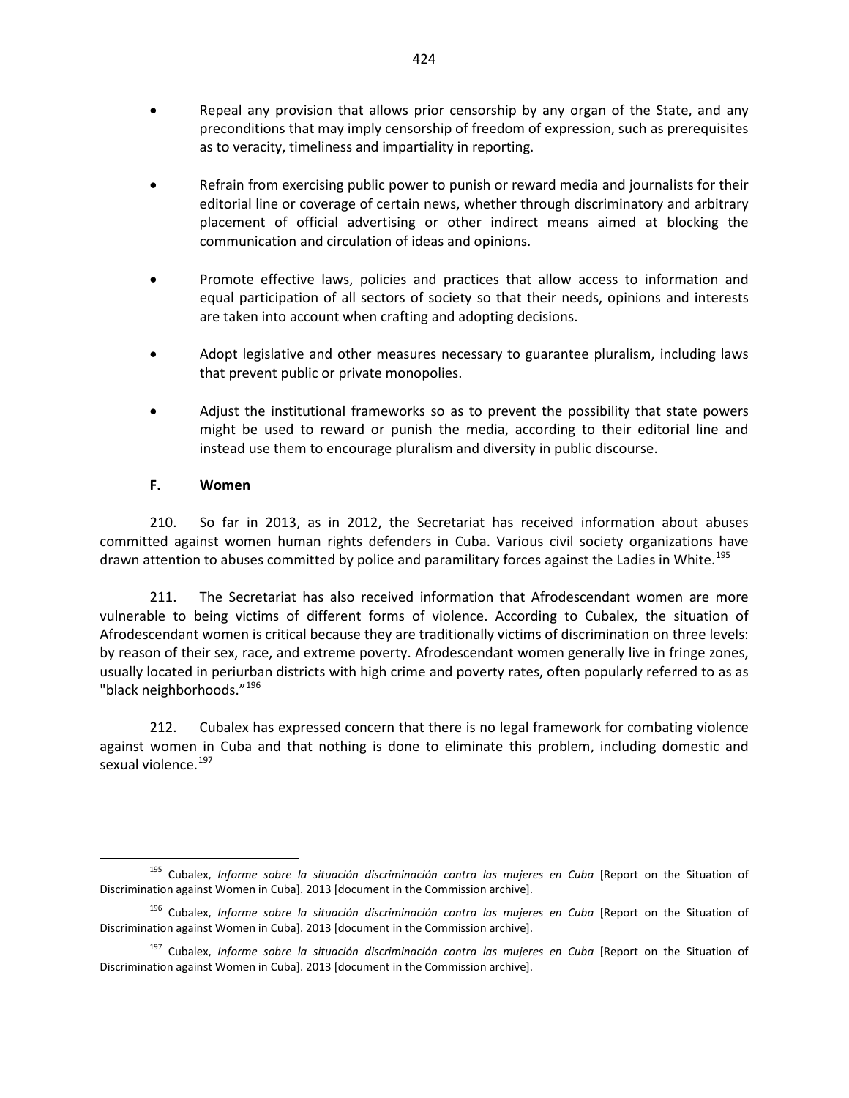- Repeal any provision that allows prior censorship by any organ of the State, and any preconditions that may imply censorship of freedom of expression, such as prerequisites as to veracity, timeliness and impartiality in reporting.
- Refrain from exercising public power to punish or reward media and journalists for their editorial line or coverage of certain news, whether through discriminatory and arbitrary placement of official advertising or other indirect means aimed at blocking the communication and circulation of ideas and opinions.
- Promote effective laws, policies and practices that allow access to information and equal participation of all sectors of society so that their needs, opinions and interests are taken into account when crafting and adopting decisions.
- Adopt legislative and other measures necessary to guarantee pluralism, including laws that prevent public or private monopolies.
- Adjust the institutional frameworks so as to prevent the possibility that state powers might be used to reward or punish the media, according to their editorial line and instead use them to encourage pluralism and diversity in public discourse.

#### **F. Women**

210. So far in 2013, as in 2012, the Secretariat has received information about abuses committed against women human rights defenders in Cuba. Various civil society organizations have drawn attention to abuses committed by police and paramilitary forces against the Ladies in White.<sup>[195](#page-32-0)</sup>

211. The Secretariat has also received information that Afrodescendant women are more vulnerable to being victims of different forms of violence. According to Cubalex, the situation of Afrodescendant women is critical because they are traditionally victims of discrimination on three levels: by reason of their sex, race, and extreme poverty. Afrodescendant women generally live in fringe zones, usually located in periurban districts with high crime and poverty rates, often popularly referred to as as "black neighborhoods."<sup>[196](#page-32-1)</sup>

212. Cubalex has expressed concern that there is no legal framework for combating violence against women in Cuba and that nothing is done to eliminate this problem, including domestic and sexual violence.<sup>[197](#page-32-2)</sup>

<span id="page-32-0"></span><sup>195</sup> Cubalex, *Informe sobre la situación discriminación contra las mujeres en Cuba* [Report on the Situation of Discrimination against Women in Cuba]. 2013 [document in the Commission archive].

<span id="page-32-1"></span><sup>&</sup>lt;sup>196</sup> Cubalex, *Informe sobre la situación discriminación contra las mujeres en Cuba* [Report on the Situation of Discrimination against Women in Cuba]. 2013 [document in the Commission archive].

<span id="page-32-2"></span><sup>&</sup>lt;sup>197</sup> Cubalex, *Informe sobre la situación discriminación contra las mujeres en Cuba* [Report on the Situation of Discrimination against Women in Cuba]. 2013 [document in the Commission archive].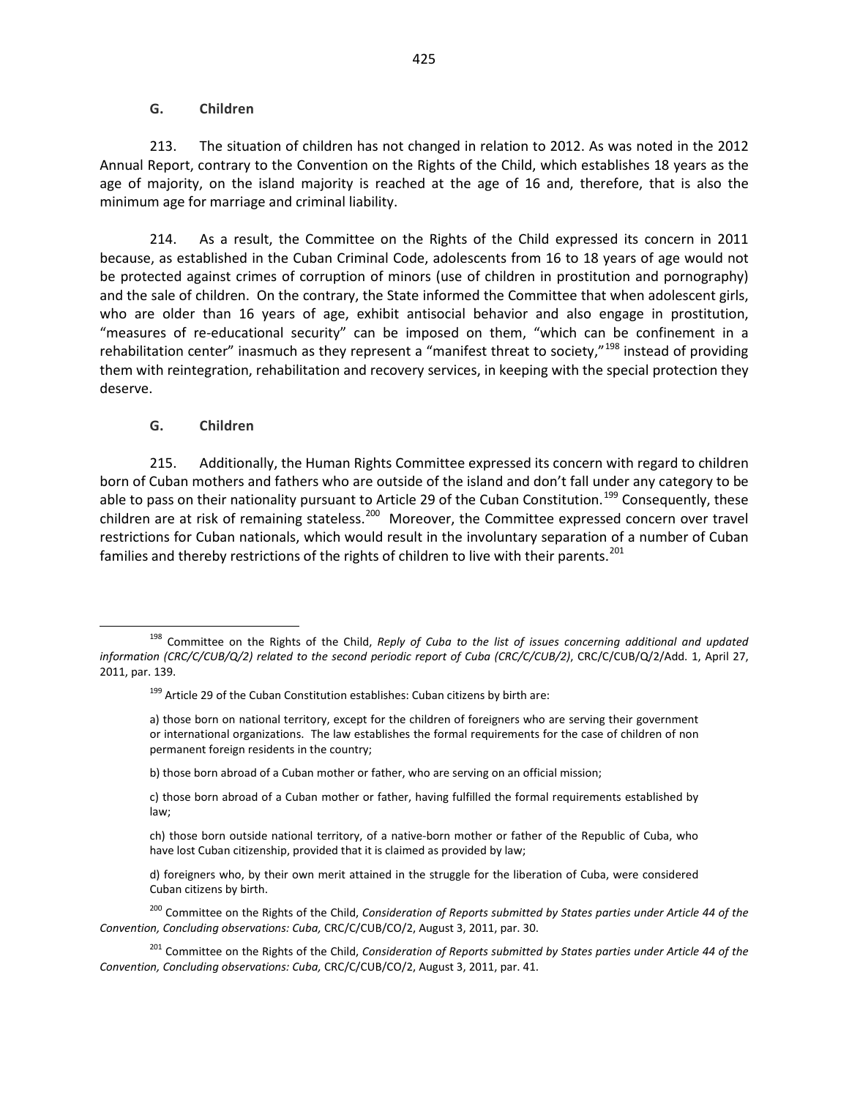#### **G. Children**

213. The situation of children has not changed in relation to 2012. As was noted in the 2012 Annual Report, contrary to the Convention on the Rights of the Child, which establishes 18 years as the age of majority, on the island majority is reached at the age of 16 and, therefore, that is also the minimum age for marriage and criminal liability.

214. As a result, the Committee on the Rights of the Child expressed its concern in 2011 because, as established in the Cuban Criminal Code, adolescents from 16 to 18 years of age would not be protected against crimes of corruption of minors (use of children in prostitution and pornography) and the sale of children. On the contrary, the State informed the Committee that when adolescent girls, who are older than 16 years of age, exhibit antisocial behavior and also engage in prostitution, "measures of re-educational security" can be imposed on them, "which can be confinement in a rehabilitation center" inasmuch as they represent a "manifest threat to society,"<sup>[198](#page-33-0)</sup> instead of providing them with reintegration, rehabilitation and recovery services, in keeping with the special protection they deserve.

#### **G. Children**

215. Additionally, the Human Rights Committee expressed its concern with regard to children born of Cuban mothers and fathers who are outside of the island and don't fall under any category to be able to pass on their nationality pursuant to Article 29 of the Cuban Constitution.<sup>[199](#page-33-1)</sup> Consequently, these children are at risk of remaining stateless.<sup>[200](#page-33-2)</sup> Moreover, the Committee expressed concern over travel restrictions for Cuban nationals, which would result in the involuntary separation of a number of Cuban families and thereby restrictions of the rights of children to live with their parents.<sup>[201](#page-33-3)</sup>

b) those born abroad of a Cuban mother or father, who are serving on an official mission;

<span id="page-33-1"></span><span id="page-33-0"></span><sup>198</sup> Committee on the Rights of the Child, *Reply of Cuba to the list of issues concerning additional and updated information (CRC/C/CUB/Q/2) related to the second periodic report of Cuba (CRC/C/CUB/2)*, CRC/C/CUB/Q/2/Add. 1, April 27, 2011, par. 139.

 $199$  Article 29 of the Cuban Constitution establishes: Cuban citizens by birth are:

a) those born on national territory, except for the children of foreigners who are serving their government or international organizations. The law establishes the formal requirements for the case of children of non permanent foreign residents in the country;

c) those born abroad of a Cuban mother or father, having fulfilled the formal requirements established by law;

ch) those born outside national territory, of a native-born mother or father of the Republic of Cuba, who have lost Cuban citizenship, provided that it is claimed as provided by law;

d) foreigners who, by their own merit attained in the struggle for the liberation of Cuba, were considered Cuban citizens by birth.

<span id="page-33-2"></span><sup>&</sup>lt;sup>200</sup> Committee on the Rights of the Child, *Consideration of Reports submitted by States parties under Article 44 of the Convention, Concluding observations: Cuba,* CRC/C/CUB/CO/2, August 3, 2011, par. 30.

<span id="page-33-3"></span><sup>201</sup> Committee on the Rights of the Child, *Consideration of Reports submitted by States parties under Article 44 of the Convention, Concluding observations: Cuba,* CRC/C/CUB/CO/2, August 3, 2011, par. 41.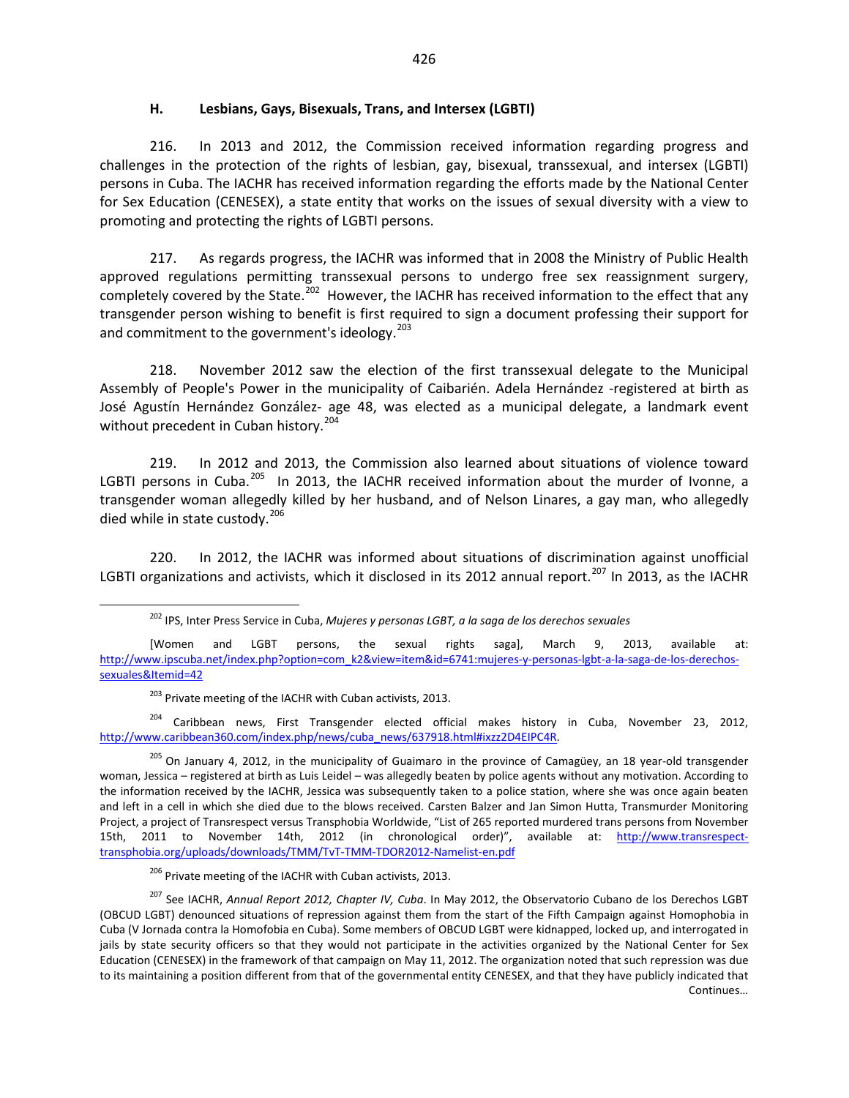#### **H. Lesbians, Gays, Bisexuals, Trans, and Intersex (LGBTI)**

216. In 2013 and 2012, the Commission received information regarding progress and challenges in the protection of the rights of lesbian, gay, bisexual, transsexual, and intersex (LGBTI) persons in Cuba. The IACHR has received information regarding the efforts made by the National Center for Sex Education (CENESEX), a state entity that works on the issues of sexual diversity with a view to promoting and protecting the rights of LGBTI persons.

217. As regards progress, the IACHR was informed that in 2008 the Ministry of Public Health approved regulations permitting transsexual persons to undergo free sex reassignment surgery, completely covered by the State.<sup>202</sup> However, the IACHR has received information to the effect that any transgender person wishing to benefit is first required to sign a document professing their support for and commitment to the government's ideology.<sup>[203](#page-34-1)</sup>

218. November 2012 saw the election of the first transsexual delegate to the Municipal Assembly of People's Power in the municipality of Caibarién. Adela Hernández -registered at birth as José Agustín Hernández González- age 48, was elected as a municipal delegate, a landmark event without precedent in Cuban history.<sup>[204](#page-34-2)</sup>

219. In 2012 and 2013, the Commission also learned about situations of violence toward LGBTI persons in Cuba.<sup>[205](#page-34-3)</sup> In 2013, the IACHR received information about the murder of Ivonne, a transgender woman allegedly killed by her husband, and of Nelson Linares, a gay man, who allegedly died while in state custody.<sup>[206](#page-34-4)</sup>

220. In 2012, the IACHR was informed about situations of discrimination against unofficial LGBTI organizations and activists, which it disclosed in its 2012 annual report.<sup>[207](#page-34-5)</sup> In 2013, as the IACHR

<sup>203</sup> Private meeting of the IACHR with Cuban activists, 2013.

<span id="page-34-2"></span><span id="page-34-1"></span><sup>204</sup> Caribbean news, First Transgender elected official makes history in Cuba, November 23, 2012, http://www.caribbean360.com/index.php/news/cuba\_news/637918.html#ixzz2D4EIPC4R.

<span id="page-34-3"></span><sup>205</sup> On January 4, 2012, in the municipality of Guaimaro in the province of Camagüey, an 18 year-old transgender woman, Jessica – registered at birth as Luis Leidel – was allegedly beaten by police agents without any motivation. According to the information received by the IACHR, Jessica was subsequently taken to a police station, where she was once again beaten and left in a cell in which she died due to the blows received. Carsten Balzer and Jan Simon Hutta, Transmurder Monitoring Project, a project of Transrespect versus Transphobia Worldwide, "List of 265 reported murdered trans persons from November 15th, 2011 to November 14th, 2012 (in chronological order)", available at: [http://www.transrespect](http://www.transrespect-transphobia.org/uploads/downloads/TMM/TvT-TMM-TDOR2012-Namelist-en.pdf)[transphobia.org/uploads/downloads/TMM/TvT-TMM-TDOR2012-Namelist-en.pdf](http://www.transrespect-transphobia.org/uploads/downloads/TMM/TvT-TMM-TDOR2012-Namelist-en.pdf)

<sup>206</sup> Private meeting of the IACHR with Cuban activists, 2013.

<sup>202</sup> IPS, Inter Press Service in Cuba, *Mujeres y personas LGBT, a la saga de los derechos sexuales*

<span id="page-34-0"></span><sup>[</sup>Women and LGBT persons, the sexual rights saga], March 9, 2013, available at: [http://www.ipscuba.net/index.php?option=com\\_k2&view=item&id=6741:mujeres-y-personas-lgbt-a-la-saga-de-los-derechos](http://www.ipscuba.net/index.php?option=com_k2&view=item&id=6741:mujeres-y-personas-lgbt-a-la-saga-de-los-derechos-sexuales&Itemid=42)[sexuales&Itemid=42](http://www.ipscuba.net/index.php?option=com_k2&view=item&id=6741:mujeres-y-personas-lgbt-a-la-saga-de-los-derechos-sexuales&Itemid=42)

<span id="page-34-5"></span><span id="page-34-4"></span><sup>207</sup> See IACHR, *Annual Report 2012, Chapter IV, Cuba*. In May 2012, the Observatorio Cubano de los Derechos LGBT (OBCUD LGBT) denounced situations of repression against them from the start of the Fifth Campaign against Homophobia in Cuba (V Jornada contra la Homofobia en Cuba). Some members of OBCUD LGBT were kidnapped, locked up, and interrogated in jails by state security officers so that they would not participate in the activities organized by the National Center for Sex Education (CENESEX) in the framework of that campaign on May 11, 2012. The organization noted that such repression was due to its maintaining a position different from that of the governmental entity CENESEX, and that they have publicly indicated that Continues…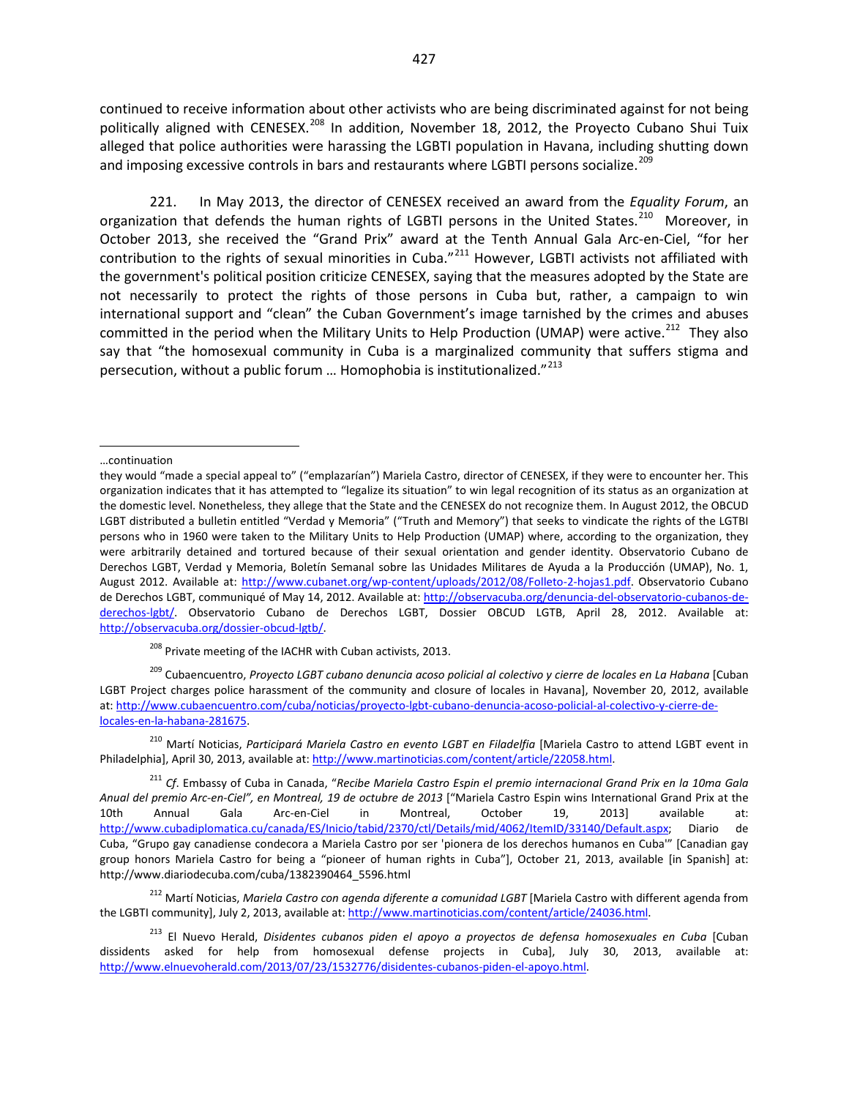continued to receive information about other activists who are being discriminated against for not being politically aligned with CENESEX.<sup>[208](#page-35-0)</sup> In addition, November 18, 2012, the Proyecto Cubano Shui Tuix alleged that police authorities were harassing the LGBTI population in Havana, including shutting down and imposing excessive controls in bars and restaurants where LGBTI persons socialize.<sup>[209](#page-35-1)</sup>

221. In May 2013, the director of CENESEX received an award from the *Equality Forum*, an organization that defends the human rights of LGBTI persons in the United States.<sup>[210](#page-35-2)</sup> Moreover, in October 2013, she received the "Grand Prix" award at the Tenth Annual Gala Arc-en-Ciel, "for her contribution to the rights of sexual minorities in Cuba."<sup>[211](#page-35-3)</sup> However, LGBTI activists not affiliated with the government's political position criticize CENESEX, saying that the measures adopted by the State are not necessarily to protect the rights of those persons in Cuba but, rather, a campaign to win international support and "clean" the Cuban Government's image tarnished by the crimes and abuses committed in the period when the Military Units to Help Production (UMAP) were active.<sup>212</sup> They also say that "the homosexual community in Cuba is a marginalized community that suffers stigma and persecution, without a public forum ... Homophobia is institutionalized."<sup>[213](#page-35-5)</sup>

j

<sup>208</sup> Private meeting of the IACHR with Cuban activists, 2013.

<span id="page-35-1"></span><span id="page-35-0"></span><sup>209</sup> Cubaencuentro, *Proyecto LGBT cubano denuncia acoso policial al colectivo y cierre de locales en La Habana* [Cuban LGBT Project charges police harassment of the community and closure of locales in Havana], November 20, 2012, available at: [http://www.cubaencuentro.com/cuba/noticias/proyecto-lgbt-cubano-denuncia-acoso-policial-al-colectivo-y-cierre-de](http://www.cubaencuentro.com/cuba/noticias/proyecto-lgbt-cubano-denuncia-acoso-policial-al-colectivo-y-cierre-de-locales-en-la-habana-281675)[locales-en-la-habana-281675.](http://www.cubaencuentro.com/cuba/noticias/proyecto-lgbt-cubano-denuncia-acoso-policial-al-colectivo-y-cierre-de-locales-en-la-habana-281675)

<span id="page-35-2"></span><sup>210</sup> Martí Noticias, *Participará Mariela Castro en evento LGBT en Filadelfia* [Mariela Castro to attend LGBT event in Philadelphia], April 30, 2013, available at[: http://www.martinoticias.com/content/article/22058.html.](http://www.martinoticias.com/content/article/22058.html) 

<sup>…</sup>continuation

they would "made a special appeal to" ("emplazarían") Mariela Castro, director of CENESEX, if they were to encounter her. This organization indicates that it has attempted to "legalize its situation" to win legal recognition of its status as an organization at the domestic level. Nonetheless, they allege that the State and the CENESEX do not recognize them. In August 2012, the OBCUD LGBT distributed a bulletin entitled "Verdad y Memoria" ("Truth and Memory") that seeks to vindicate the rights of the LGTBI persons who in 1960 were taken to the Military Units to Help Production (UMAP) where, according to the organization, they were arbitrarily detained and tortured because of their sexual orientation and gender identity. Observatorio Cubano de Derechos LGBT, Verdad y Memoria, Boletín Semanal sobre las Unidades Militares de Ayuda a la Producción (UMAP), No. 1, August 2012. Available at: [http://www.cubanet.org/wp-content/uploads/2012/08/Folleto-2-hojas1.pdf.](http://www.cubanet.org/wp-content/uploads/2012/08/Folleto-2-hojas1.pdf) Observatorio Cubano de Derechos LGBT, communiqué of May 14, 2012. Available at[: http://observacuba.org/denuncia-del-observatorio-cubanos-de](http://observacuba.org/denuncia-del-observatorio-cubanos-de-derechos-lgbt/)[derechos-lgbt/.](http://observacuba.org/denuncia-del-observatorio-cubanos-de-derechos-lgbt/) Observatorio Cubano de Derechos LGBT, Dossier OBCUD LGTB, April 28, 2012. Available at: [http://observacuba.org/dossier-obcud-lgtb/.](http://observacuba.org/dossier-obcud-lgtb/)

<span id="page-35-3"></span><sup>211</sup> *Cf*. Embassy of Cuba in Canada, "*Recibe Mariela Castro Espin el premio internacional Grand Prix en la 10ma Gala Anual del premio Arc-en-Ciel", en Montreal, 19 de octubre de 2013* ["Mariela Castro Espin wins International Grand Prix at the 10th Annual Gala Arc-en-Ciel in Montreal, October 19, 2013] available at: [http://www.cubadiplomatica.cu/canada/ES/Inicio/tabid/2370/ctl/Details/mid/4062/ItemID/33140/Default.aspx;](http://www.cubadiplomatica.cu/canada/ES/Inicio/tabid/2370/ctl/Details/mid/4062/ItemID/33140/Default.aspx) Diario de Cuba, "Grupo gay canadiense condecora a Mariela Castro por ser 'pionera de los derechos humanos en Cuba'" [Canadian gay group honors Mariela Castro for being a "pioneer of human rights in Cuba"], October 21, 2013, available [in Spanish] at: http://www.diariodecuba.com/cuba/1382390464\_5596.html

<span id="page-35-4"></span><sup>212</sup> Martí Noticias, *Mariela Castro con agenda diferente a comunidad LGBT* [Mariela Castro with different agenda from the LGBTI community], July 2, 2013, available at[: http://www.martinoticias.com/content/article/24036.html.](http://www.martinoticias.com/content/article/24036.html) 

<span id="page-35-5"></span><sup>213</sup> El Nuevo Herald, *Disidentes cubanos piden el apoyo a proyectos de defensa homosexuales en Cuba* [Cuban dissidents asked for help from homosexual defense projects in Cuba], July 30, 2013, available at: [http://www.elnuevoherald.com/2013/07/23/1532776/disidentes-cubanos-piden-el-apoyo.html.](http://www.elnuevoherald.com/2013/07/23/1532776/disidentes-cubanos-piden-el-apoyo.html)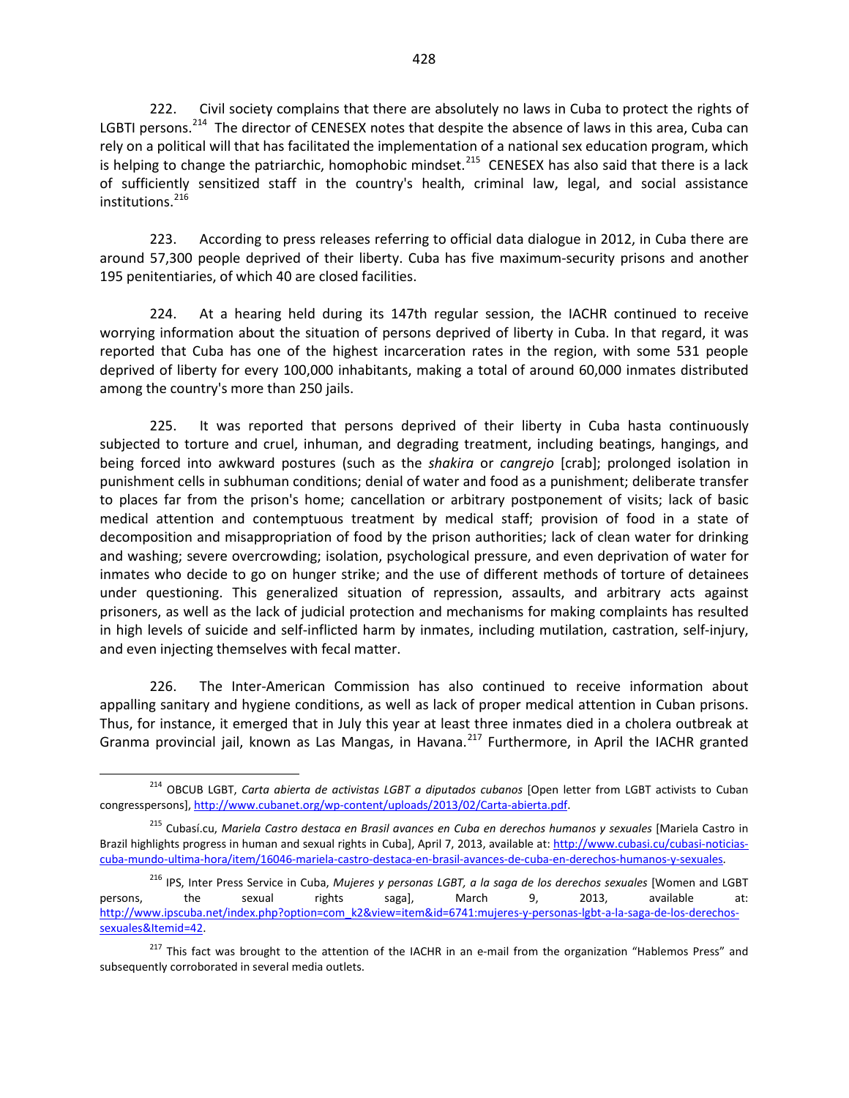222. Civil society complains that there are absolutely no laws in Cuba to protect the rights of LGBTI persons.<sup>[214](#page-36-0)</sup> The director of CENESEX notes that despite the absence of laws in this area, Cuba can rely on a political will that has facilitated the implementation of a national sex education program, which is helping to change the patriarchic, homophobic mindset.<sup>215</sup> CENESEX has also said that there is a lack of sufficiently sensitized staff in the country's health, criminal law, legal, and social assistance institutions.<sup>[216](#page-36-2)</sup>

223. According to press releases referring to official data dialogue in 2012, in Cuba there are around 57,300 people deprived of their liberty. Cuba has five maximum-security prisons and another 195 penitentiaries, of which 40 are closed facilities.

224. At a hearing held during its 147th regular session, the IACHR continued to receive worrying information about the situation of persons deprived of liberty in Cuba. In that regard, it was reported that Cuba has one of the highest incarceration rates in the region, with some 531 people deprived of liberty for every 100,000 inhabitants, making a total of around 60,000 inmates distributed among the country's more than 250 jails.

225. It was reported that persons deprived of their liberty in Cuba hasta continuously subjected to torture and cruel, inhuman, and degrading treatment, including beatings, hangings, and being forced into awkward postures (such as the *shakira* or *cangrejo* [crab]; prolonged isolation in punishment cells in subhuman conditions; denial of water and food as a punishment; deliberate transfer to places far from the prison's home; cancellation or arbitrary postponement of visits; lack of basic medical attention and contemptuous treatment by medical staff; provision of food in a state of decomposition and misappropriation of food by the prison authorities; lack of clean water for drinking and washing; severe overcrowding; isolation, psychological pressure, and even deprivation of water for inmates who decide to go on hunger strike; and the use of different methods of torture of detainees under questioning. This generalized situation of repression, assaults, and arbitrary acts against prisoners, as well as the lack of judicial protection and mechanisms for making complaints has resulted in high levels of suicide and self-inflicted harm by inmates, including mutilation, castration, self-injury, and even injecting themselves with fecal matter.

226. The Inter-American Commission has also continued to receive information about appalling sanitary and hygiene conditions, as well as lack of proper medical attention in Cuban prisons. Thus, for instance, it emerged that in July this year at least three inmates died in a cholera outbreak at Granma provincial jail, known as Las Mangas, in Havana.<sup>[217](#page-36-3)</sup> Furthermore, in April the IACHR granted

<span id="page-36-0"></span><sup>214</sup> OBCUB LGBT, *Carta abierta de activistas LGBT a diputados cubanos* [Open letter from LGBT activists to Cuban congresspersons], [http://www.cubanet.org/wp-content/uploads/2013/02/Carta-abierta.pdf.](http://www.cubanet.org/wp-content/uploads/2013/02/Carta-abierta.pdf) 

<span id="page-36-1"></span><sup>215</sup> Cubasí.cu, *Mariela Castro destaca en Brasil avances en Cuba en derechos humanos y sexuales* [Mariela Castro in Brazil highlights progress in human and sexual rights in Cuba], April 7, 2013, available at: [http://www.cubasi.cu/cubasi-noticias](http://www.cubasi.cu/cubasi-noticias-cuba-mundo-ultima-hora/item/16046-mariela-castro-destaca-en-brasil-avances-de-cuba-en-derechos-humanos-y-sexuales)[cuba-mundo-ultima-hora/item/16046-mariela-castro-destaca-en-brasil-avances-de-cuba-en-derechos-humanos-y-sexuales.](http://www.cubasi.cu/cubasi-noticias-cuba-mundo-ultima-hora/item/16046-mariela-castro-destaca-en-brasil-avances-de-cuba-en-derechos-humanos-y-sexuales)

<span id="page-36-2"></span><sup>216</sup> IPS, Inter Press Service in Cuba, *Mujeres y personas LGBT, a la saga de los derechos sexuales* [Women and LGBT persons, the sexual rights saga], March 9, 2013, available at: [http://www.ipscuba.net/index.php?option=com\\_k2&view=item&id=6741:mujeres-y-personas-lgbt-a-la-saga-de-los-derechos](http://www.ipscuba.net/index.php?option=com_k2&view=item&id=6741:mujeres-y-personas-lgbt-a-la-saga-de-los-derechos-sexuales&Itemid=42)[sexuales&Itemid=42.](http://www.ipscuba.net/index.php?option=com_k2&view=item&id=6741:mujeres-y-personas-lgbt-a-la-saga-de-los-derechos-sexuales&Itemid=42) 

<span id="page-36-3"></span><sup>&</sup>lt;sup>217</sup> This fact was brought to the attention of the IACHR in an e-mail from the organization "Hablemos Press" and subsequently corroborated in several media outlets.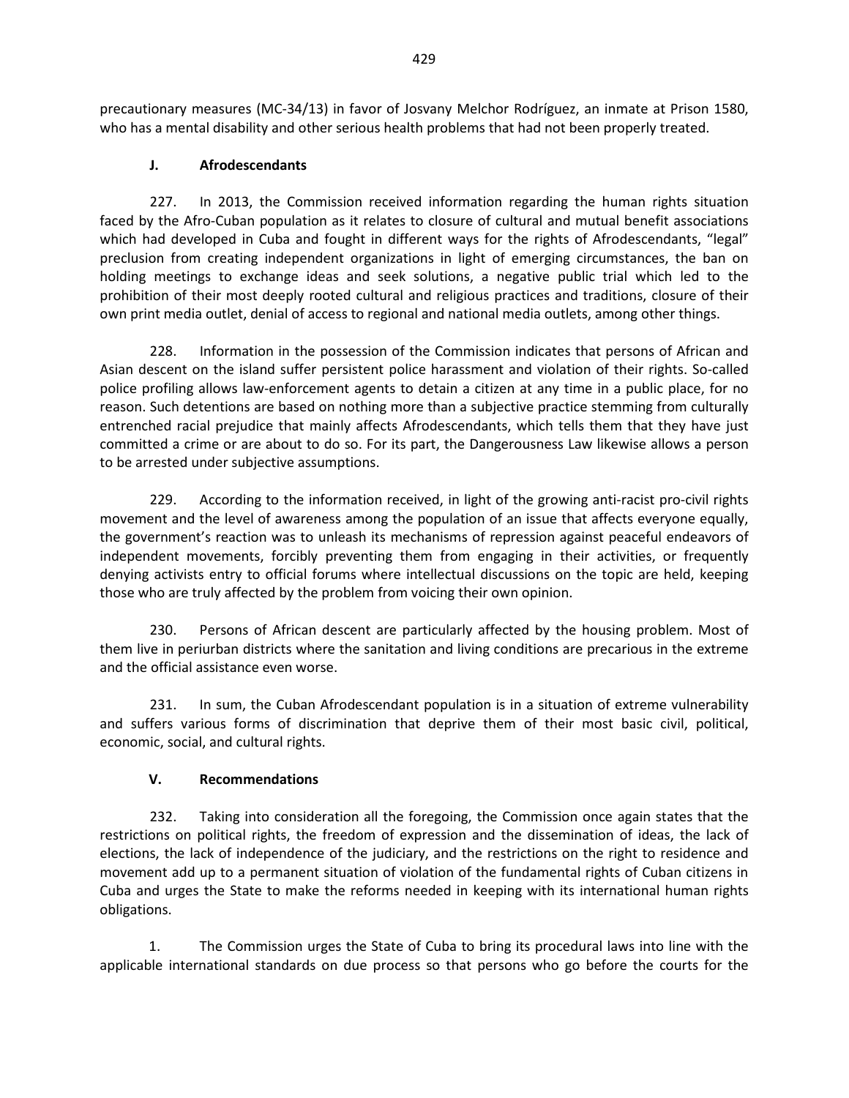precautionary measures (MC-34/13) in favor of Josvany Melchor Rodríguez, an inmate at Prison 1580, who has a mental disability and other serious health problems that had not been properly treated.

### **J. Afrodescendants**

227. In 2013, the Commission received information regarding the human rights situation faced by the Afro-Cuban population as it relates to closure of cultural and mutual benefit associations which had developed in Cuba and fought in different ways for the rights of Afrodescendants, "legal" preclusion from creating independent organizations in light of emerging circumstances, the ban on holding meetings to exchange ideas and seek solutions, a negative public trial which led to the prohibition of their most deeply rooted cultural and religious practices and traditions, closure of their own print media outlet, denial of access to regional and national media outlets, among other things.

228. Information in the possession of the Commission indicates that persons of African and Asian descent on the island suffer persistent police harassment and violation of their rights. So-called police profiling allows law-enforcement agents to detain a citizen at any time in a public place, for no reason. Such detentions are based on nothing more than a subjective practice stemming from culturally entrenched racial prejudice that mainly affects Afrodescendants, which tells them that they have just committed a crime or are about to do so. For its part, the Dangerousness Law likewise allows a person to be arrested under subjective assumptions.

229. According to the information received, in light of the growing anti-racist pro-civil rights movement and the level of awareness among the population of an issue that affects everyone equally, the government's reaction was to unleash its mechanisms of repression against peaceful endeavors of independent movements, forcibly preventing them from engaging in their activities, or frequently denying activists entry to official forums where intellectual discussions on the topic are held, keeping those who are truly affected by the problem from voicing their own opinion.

230. Persons of African descent are particularly affected by the housing problem. Most of them live in periurban districts where the sanitation and living conditions are precarious in the extreme and the official assistance even worse.

231. In sum, the Cuban Afrodescendant population is in a situation of extreme vulnerability and suffers various forms of discrimination that deprive them of their most basic civil, political, economic, social, and cultural rights.

# **V. Recommendations**

232. Taking into consideration all the foregoing, the Commission once again states that the restrictions on political rights, the freedom of expression and the dissemination of ideas, the lack of elections, the lack of independence of the judiciary, and the restrictions on the right to residence and movement add up to a permanent situation of violation of the fundamental rights of Cuban citizens in Cuba and urges the State to make the reforms needed in keeping with its international human rights obligations.

1. The Commission urges the State of Cuba to bring its procedural laws into line with the applicable international standards on due process so that persons who go before the courts for the